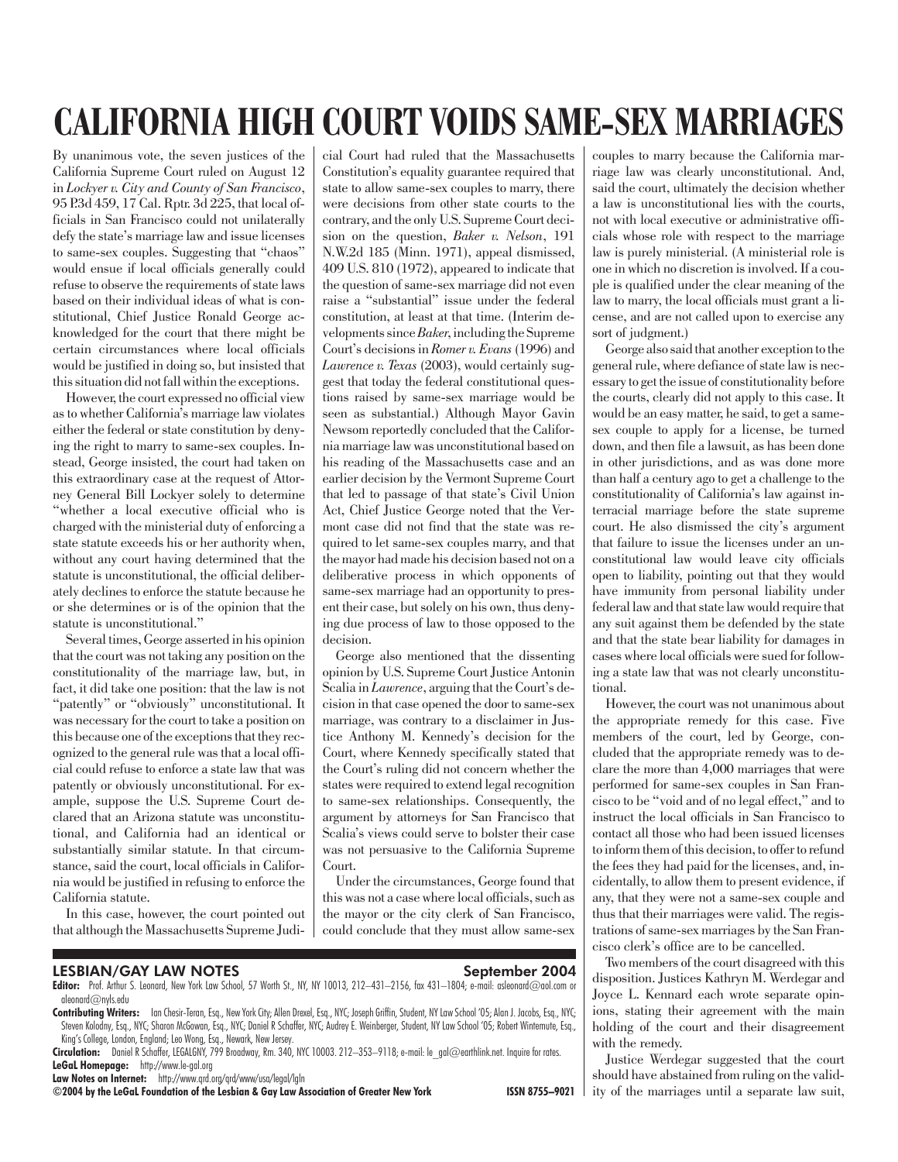# CALIFORNIA HIGH COURT VOIDS SAME-SEX MARRIAGES

By unanimous vote, the seven justices of the California Supreme Court ruled on August 12 in *Lockyer v. City and County of San Francisco*, 95 P.3d 459, 17 Cal. Rptr. 3d 225, that local officials in San Francisco could not unilaterally defy the state's marriage law and issue licenses to same-sex couples. Suggesting that "chaos" would ensue if local officials generally could refuse to observe the requirements of state laws based on their individual ideas of what is constitutional, Chief Justice Ronald George acknowledged for the court that there might be certain circumstances where local officials would be justified in doing so, but insisted that this situation did not fall within the exceptions.

However, the court expressed no official view as to whether California's marriage law violates either the federal or state constitution by denying the right to marry to same-sex couples. Instead, George insisted, the court had taken on this extraordinary case at the request of Attorney General Bill Lockyer solely to determine "whether a local executive official who is charged with the ministerial duty of enforcing a state statute exceeds his or her authority when, without any court having determined that the statute is unconstitutional, the official deliberately declines to enforce the statute because he or she determines or is of the opinion that the statute is unconstitutional."

Several times, George asserted in his opinion that the court was not taking any position on the constitutionality of the marriage law, but, in fact, it did take one position: that the law is not "patently" or "obviously" unconstitutional. It was necessary for the court to take a position on this because one of the exceptions that they recognized to the general rule was that a local official could refuse to enforce a state law that was patently or obviously unconstitutional. For example, suppose the U.S. Supreme Court declared that an Arizona statute was unconstitutional, and California had an identical or substantially similar statute. In that circumstance, said the court, local officials in California would be justified in refusing to enforce the California statute.

In this case, however, the court pointed out that although the Massachusetts Supreme Judicial Court had ruled that the Massachusetts Constitution's equality guarantee required that state to allow same-sex couples to marry, there were decisions from other state courts to the contrary, and the only U.S. Supreme Court decision on the question, *Baker v. Nelson*, 191 N.W.2d 185 (Minn. 1971), appeal dismissed, 409 U.S. 810 (1972), appeared to indicate that the question of same-sex marriage did not even raise a "substantial" issue under the federal constitution, at least at that time. (Interim developments since*Baker*, including the Supreme Court's decisions in *Romer v. Evans* (1996) and *Lawrence v. Texas* (2003), would certainly suggest that today the federal constitutional questions raised by same-sex marriage would be seen as substantial.) Although Mayor Gavin Newsom reportedly concluded that the California marriage law was unconstitutional based on his reading of the Massachusetts case and an earlier decision by the Vermont Supreme Court that led to passage of that state's Civil Union Act, Chief Justice George noted that the Vermont case did not find that the state was required to let same-sex couples marry, and that the mayor had made his decision based not on a deliberative process in which opponents of same-sex marriage had an opportunity to present their case, but solely on his own, thus denying due process of law to those opposed to the decision.

George also mentioned that the dissenting opinion by U.S. Supreme Court Justice Antonin Scalia in *Lawrence*, arguing that the Court's decision in that case opened the door to same-sex marriage, was contrary to a disclaimer in Justice Anthony M. Kennedy's decision for the Court, where Kennedy specifically stated that the Court's ruling did not concern whether the states were required to extend legal recognition to same-sex relationships. Consequently, the argument by attorneys for San Francisco that Scalia's views could serve to bolster their case was not persuasive to the California Supreme Court.

Under the circumstances, George found that this was not a case where local officials, such as the mayor or the city clerk of San Francisco, could conclude that they must allow same-sex

LESBIAN/GAY LAW NOTES September 2004

Editor: Prof. Arthur S. Leonard, New York Law School, 57 Worth St., NY, NY 10013, 212-431-2156, fax 431-1804; e-mail: asleonard@aol.com or aleonard@nyls.edu

Contributing Writers: Ian Chesir-Teran, Esq., New York City; Allen Drexel, Esq., NYC; Joseph Griffin, Student, NY Law School '05; Alan J. Jacobs, Esq., NYC; Steven Kolodny, Esq., NYC; Sharon McGowan, Esq., NYC; Daniel R Schaffer, NYC; Audrey E. Weinberger, Student, NY Law School '05; Robert Wintemute, Esq., King's College, London, England; Leo Wong, Esq., Newark, New Jersey.

Circulation: Daniel R Schaffer, LEGALGNY, 799 Broadway, Rm. 340, NYC 10003. 212-353-9118; e-mail: le\_gal@earthlink.net. Inquire for rates. LeGaL Homepage: http://www.le-gal.org

Law Notes on Internet: http://www.qrd.org/qrd/www/usa/legal/lgln

©2004 by the LeGaL Foundation of the Lesbian & Gay Law Association of Greater New York ISSN 8755–9021

couples to marry because the California marriage law was clearly unconstitutional. And, said the court, ultimately the decision whether a law is unconstitutional lies with the courts, not with local executive or administrative officials whose role with respect to the marriage law is purely ministerial. (A ministerial role is one in which no discretion is involved. If a couple is qualified under the clear meaning of the law to marry, the local officials must grant a license, and are not called upon to exercise any sort of judgment.)

George also said that another exception to the general rule, where defiance of state law is necessary to get the issue of constitutionality before the courts, clearly did not apply to this case. It would be an easy matter, he said, to get a samesex couple to apply for a license, be turned down, and then file a lawsuit, as has been done in other jurisdictions, and as was done more than half a century ago to get a challenge to the constitutionality of California's law against interracial marriage before the state supreme court. He also dismissed the city's argument that failure to issue the licenses under an unconstitutional law would leave city officials open to liability, pointing out that they would have immunity from personal liability under federal law and that state law would require that any suit against them be defended by the state and that the state bear liability for damages in cases where local officials were sued for following a state law that was not clearly unconstitutional.

However, the court was not unanimous about the appropriate remedy for this case. Five members of the court, led by George, concluded that the appropriate remedy was to declare the more than 4,000 marriages that were performed for same-sex couples in San Francisco to be "void and of no legal effect," and to instruct the local officials in San Francisco to contact all those who had been issued licenses to inform them of this decision, to offer to refund the fees they had paid for the licenses, and, incidentally, to allow them to present evidence, if any, that they were not a same-sex couple and thus that their marriages were valid. The registrations of same-sex marriages by the San Francisco clerk's office are to be cancelled.

Two members of the court disagreed with this disposition. Justices Kathryn M. Werdegar and Joyce L. Kennard each wrote separate opinions, stating their agreement with the main holding of the court and their disagreement with the remedy.

Justice Werdegar suggested that the court should have abstained from ruling on the validity of the marriages until a separate law suit,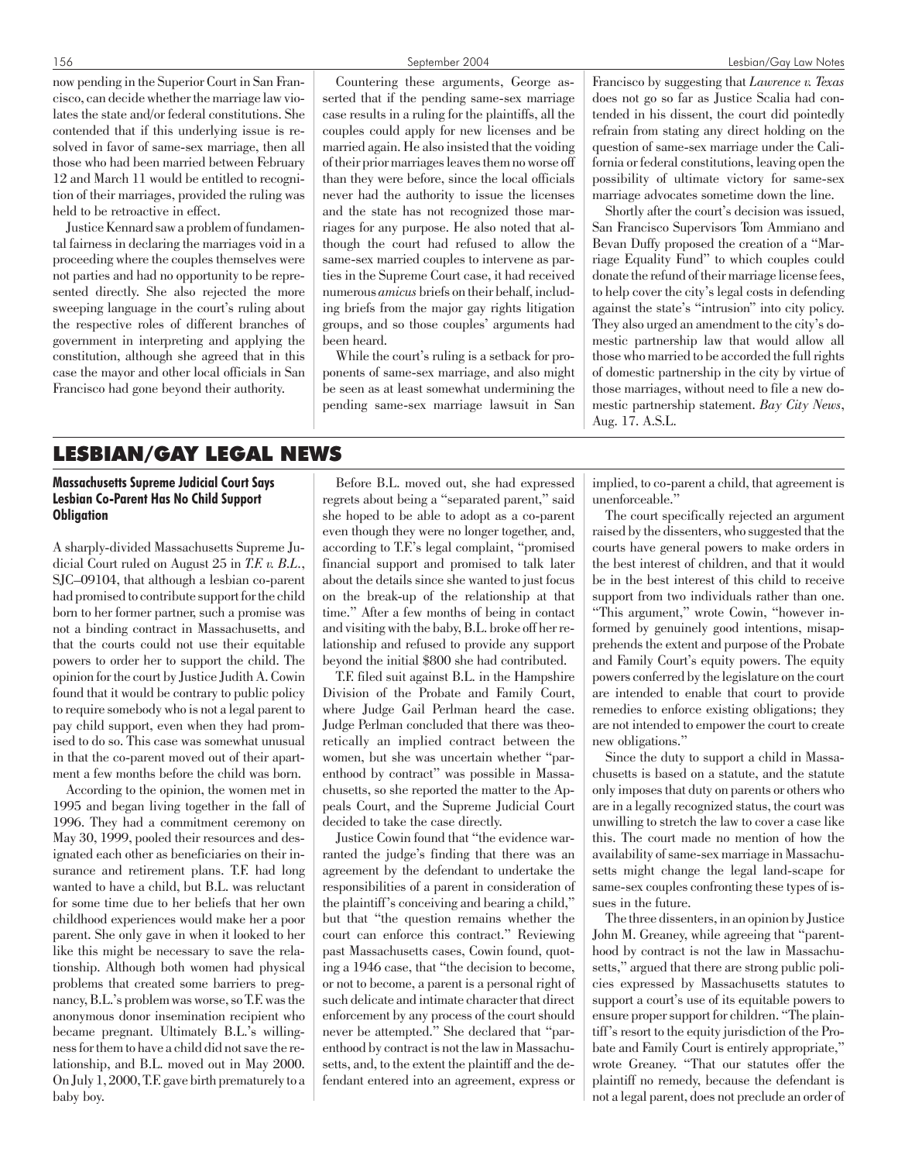now pending in the Superior Court in San Francisco, can decide whether the marriage law violates the state and/or federal constitutions. She contended that if this underlying issue is resolved in favor of same-sex marriage, then all those who had been married between February 12 and March 11 would be entitled to recognition of their marriages, provided the ruling was held to be retroactive in effect.

Justice Kennard saw a problem of fundamental fairness in declaring the marriages void in a proceeding where the couples themselves were not parties and had no opportunity to be represented directly. She also rejected the more sweeping language in the court's ruling about the respective roles of different branches of government in interpreting and applying the constitution, although she agreed that in this case the mayor and other local officials in San Francisco had gone beyond their authority.

Countering these arguments, George asserted that if the pending same-sex marriage case results in a ruling for the plaintiffs, all the couples could apply for new licenses and be married again. He also insisted that the voiding of their prior marriages leaves them no worse off than they were before, since the local officials never had the authority to issue the licenses and the state has not recognized those marriages for any purpose. He also noted that although the court had refused to allow the same-sex married couples to intervene as parties in the Supreme Court case, it had received numerous *amicus* briefs on their behalf, including briefs from the major gay rights litigation groups, and so those couples' arguments had been heard.

While the court's ruling is a setback for proponents of same-sex marriage, and also might be seen as at least somewhat undermining the pending same-sex marriage lawsuit in San Francisco by suggesting that *Lawrence v. Texas* does not go so far as Justice Scalia had contended in his dissent, the court did pointedly refrain from stating any direct holding on the question of same-sex marriage under the California or federal constitutions, leaving open the possibility of ultimate victory for same-sex marriage advocates sometime down the line.

Shortly after the court's decision was issued, San Francisco Supervisors Tom Ammiano and Bevan Duffy proposed the creation of a "Marriage Equality Fund" to which couples could donate the refund of their marriage license fees, to help cover the city's legal costs in defending against the state's "intrusion" into city policy. They also urged an amendment to the city's domestic partnership law that would allow all those who married to be accorded the full rights of domestic partnership in the city by virtue of those marriages, without need to file a new domestic partnership statement. *Bay City News*, Aug. 17. A.S.L.

# LESBIAN/GAY LEGAL NEWS

# Massachusetts Supreme Judicial Court Says Lesbian Co-Parent Has No Child Support **Obligation**

A sharply-divided Massachusetts Supreme Judicial Court ruled on August 25 in *T.F. v. B.L.*, SJC–09104, that although a lesbian co-parent had promised to contribute support for the child born to her former partner, such a promise was not a binding contract in Massachusetts, and that the courts could not use their equitable powers to order her to support the child. The opinion for the court by Justice Judith A. Cowin found that it would be contrary to public policy to require somebody who is not a legal parent to pay child support, even when they had promised to do so. This case was somewhat unusual in that the co-parent moved out of their apartment a few months before the child was born.

According to the opinion, the women met in 1995 and began living together in the fall of 1996. They had a commitment ceremony on May 30, 1999, pooled their resources and designated each other as beneficiaries on their insurance and retirement plans. T.F. had long wanted to have a child, but B.L. was reluctant for some time due to her beliefs that her own childhood experiences would make her a poor parent. She only gave in when it looked to her like this might be necessary to save the relationship. Although both women had physical problems that created some barriers to pregnancy, B.L.'s problem was worse, so T.F. was the anonymous donor insemination recipient who became pregnant. Ultimately B.L.'s willingness for them to have a child did not save the relationship, and B.L. moved out in May 2000. On July 1, 2000, T.F. gave birth prematurely to a baby boy.

Before B.L. moved out, she had expressed regrets about being a "separated parent," said she hoped to be able to adopt as a co-parent even though they were no longer together, and, according to T.F.'s legal complaint, "promised financial support and promised to talk later about the details since she wanted to just focus on the break-up of the relationship at that time." After a few months of being in contact and visiting with the baby, B.L. broke off her relationship and refused to provide any support beyond the initial \$800 she had contributed.

T.F. filed suit against B.L. in the Hampshire Division of the Probate and Family Court, where Judge Gail Perlman heard the case. Judge Perlman concluded that there was theoretically an implied contract between the women, but she was uncertain whether "parenthood by contract" was possible in Massachusetts, so she reported the matter to the Appeals Court, and the Supreme Judicial Court decided to take the case directly.

Justice Cowin found that "the evidence warranted the judge's finding that there was an agreement by the defendant to undertake the responsibilities of a parent in consideration of the plaintiff's conceiving and bearing a child," but that "the question remains whether the court can enforce this contract." Reviewing past Massachusetts cases, Cowin found, quoting a 1946 case, that "the decision to become, or not to become, a parent is a personal right of such delicate and intimate character that direct enforcement by any process of the court should never be attempted." She declared that "parenthood by contract is not the law in Massachusetts, and, to the extent the plaintiff and the defendant entered into an agreement, express or

implied, to co-parent a child, that agreement is unenforceable."

The court specifically rejected an argument raised by the dissenters, who suggested that the courts have general powers to make orders in the best interest of children, and that it would be in the best interest of this child to receive support from two individuals rather than one. "This argument," wrote Cowin, "however informed by genuinely good intentions, misapprehends the extent and purpose of the Probate and Family Court's equity powers. The equity powers conferred by the legislature on the court are intended to enable that court to provide remedies to enforce existing obligations; they are not intended to empower the court to create new obligations."

Since the duty to support a child in Massachusetts is based on a statute, and the statute only imposes that duty on parents or others who are in a legally recognized status, the court was unwilling to stretch the law to cover a case like this. The court made no mention of how the availability of same-sex marriage in Massachusetts might change the legal land-scape for same-sex couples confronting these types of issues in the future.

The three dissenters, in an opinion by Justice John M. Greaney, while agreeing that "parenthood by contract is not the law in Massachusetts," argued that there are strong public policies expressed by Massachusetts statutes to support a court's use of its equitable powers to ensure proper support for children. "The plaintiff's resort to the equity jurisdiction of the Probate and Family Court is entirely appropriate," wrote Greaney. "That our statutes offer the plaintiff no remedy, because the defendant is not a legal parent, does not preclude an order of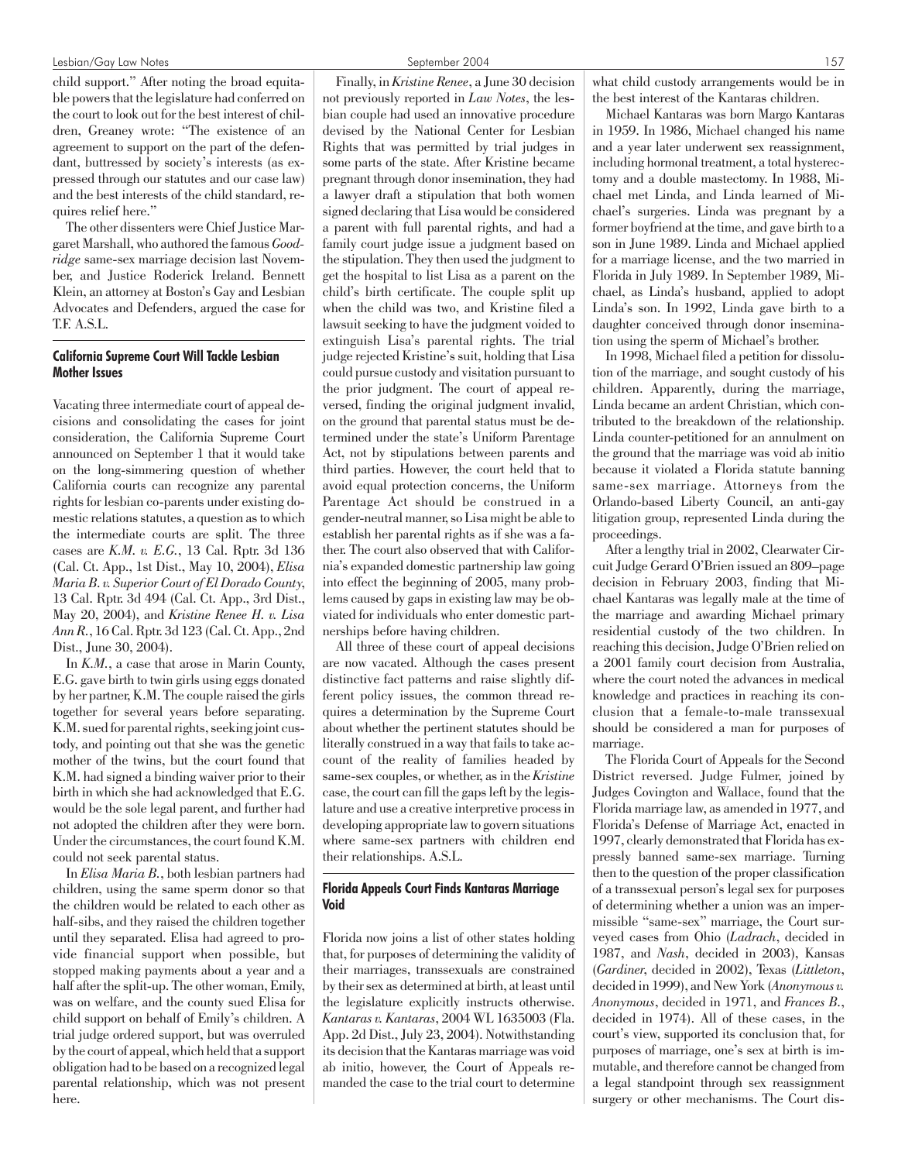#### Lesbian/Gay Law Notes 157

child support." After noting the broad equitable powers that the legislature had conferred on the court to look out for the best interest of children, Greaney wrote: "The existence of an agreement to support on the part of the defendant, buttressed by society's interests (as expressed through our statutes and our case law) and the best interests of the child standard, requires relief here."

The other dissenters were Chief Justice Margaret Marshall, who authored the famous *Goodridge* same-sex marriage decision last November, and Justice Roderick Ireland. Bennett Klein, an attorney at Boston's Gay and Lesbian Advocates and Defenders, argued the case for T.F. A.S.L.

# California Supreme Court Will Tackle Lesbian Mother Issues

Vacating three intermediate court of appeal decisions and consolidating the cases for joint consideration, the California Supreme Court announced on September 1 that it would take on the long-simmering question of whether California courts can recognize any parental rights for lesbian co-parents under existing domestic relations statutes, a question as to which the intermediate courts are split. The three cases are *K.M. v. E.G.*, 13 Cal. Rptr. 3d 136 (Cal. Ct. App., 1st Dist., May 10, 2004), *Elisa Maria B. v. Superior Court of El Dorado County*, 13 Cal. Rptr. 3d 494 (Cal. Ct. App., 3rd Dist., May 20, 2004), and *Kristine Renee H. v. Lisa Ann R.*, 16 Cal. Rptr. 3d 123 (Cal. Ct. App., 2nd Dist., June 30, 2004).

In *K.M.*, a case that arose in Marin County, E.G. gave birth to twin girls using eggs donated by her partner, K.M. The couple raised the girls together for several years before separating. K.M. sued for parental rights, seeking joint custody, and pointing out that she was the genetic mother of the twins, but the court found that K.M. had signed a binding waiver prior to their birth in which she had acknowledged that E.G. would be the sole legal parent, and further had not adopted the children after they were born. Under the circumstances, the court found K.M. could not seek parental status.

In *Elisa Maria B.*, both lesbian partners had children, using the same sperm donor so that the children would be related to each other as half-sibs, and they raised the children together until they separated. Elisa had agreed to provide financial support when possible, but stopped making payments about a year and a half after the split-up. The other woman, Emily, was on welfare, and the county sued Elisa for child support on behalf of Emily's children. A trial judge ordered support, but was overruled by the court of appeal, which held that a support obligation had to be based on a recognized legal parental relationship, which was not present here.

Finally, in *Kristine Renee*, a June 30 decision not previously reported in *Law Notes*, the lesbian couple had used an innovative procedure devised by the National Center for Lesbian Rights that was permitted by trial judges in some parts of the state. After Kristine became pregnant through donor insemination, they had a lawyer draft a stipulation that both women signed declaring that Lisa would be considered a parent with full parental rights, and had a family court judge issue a judgment based on the stipulation. They then used the judgment to get the hospital to list Lisa as a parent on the child's birth certificate. The couple split up when the child was two, and Kristine filed a lawsuit seeking to have the judgment voided to extinguish Lisa's parental rights. The trial judge rejected Kristine's suit, holding that Lisa could pursue custody and visitation pursuant to the prior judgment. The court of appeal reversed, finding the original judgment invalid, on the ground that parental status must be determined under the state's Uniform Parentage Act, not by stipulations between parents and third parties. However, the court held that to avoid equal protection concerns, the Uniform Parentage Act should be construed in a gender-neutral manner, so Lisa might be able to establish her parental rights as if she was a father. The court also observed that with California's expanded domestic partnership law going into effect the beginning of 2005, many problems caused by gaps in existing law may be obviated for individuals who enter domestic partnerships before having children.

All three of these court of appeal decisions are now vacated. Although the cases present distinctive fact patterns and raise slightly different policy issues, the common thread requires a determination by the Supreme Court about whether the pertinent statutes should be literally construed in a way that fails to take account of the reality of families headed by same-sex couples, or whether, as in the *Kristine* case, the court can fill the gaps left by the legislature and use a creative interpretive process in developing appropriate law to govern situations where same-sex partners with children end their relationships. A.S.L.

# Florida Appeals Court Finds Kantaras Marriage Void

Florida now joins a list of other states holding that, for purposes of determining the validity of their marriages, transsexuals are constrained by their sex as determined at birth, at least until the legislature explicitly instructs otherwise. *Kantaras v. Kantaras*, 2004 WL 1635003 (Fla. App. 2d Dist., July 23, 2004). Notwithstanding its decision that the Kantaras marriage was void ab initio, however, the Court of Appeals remanded the case to the trial court to determine

what child custody arrangements would be in the best interest of the Kantaras children.

Michael Kantaras was born Margo Kantaras in 1959. In 1986, Michael changed his name and a year later underwent sex reassignment, including hormonal treatment, a total hysterectomy and a double mastectomy. In 1988, Michael met Linda, and Linda learned of Michael's surgeries. Linda was pregnant by a former boyfriend at the time, and gave birth to a son in June 1989. Linda and Michael applied for a marriage license, and the two married in Florida in July 1989. In September 1989, Michael, as Linda's husband, applied to adopt Linda's son. In 1992, Linda gave birth to a daughter conceived through donor insemination using the sperm of Michael's brother.

In 1998, Michael filed a petition for dissolution of the marriage, and sought custody of his children. Apparently, during the marriage, Linda became an ardent Christian, which contributed to the breakdown of the relationship. Linda counter-petitioned for an annulment on the ground that the marriage was void ab initio because it violated a Florida statute banning same-sex marriage. Attorneys from the Orlando-based Liberty Council, an anti-gay litigation group, represented Linda during the proceedings.

After a lengthy trial in 2002, Clearwater Circuit Judge Gerard O'Brien issued an 809–page decision in February 2003, finding that Michael Kantaras was legally male at the time of the marriage and awarding Michael primary residential custody of the two children. In reaching this decision, Judge O'Brien relied on a 2001 family court decision from Australia, where the court noted the advances in medical knowledge and practices in reaching its conclusion that a female-to-male transsexual should be considered a man for purposes of marriage.

The Florida Court of Appeals for the Second District reversed. Judge Fulmer, joined by Judges Covington and Wallace, found that the Florida marriage law, as amended in 1977, and Florida's Defense of Marriage Act, enacted in 1997, clearly demonstrated that Florida has expressly banned same-sex marriage. Turning then to the question of the proper classification of a transsexual person's legal sex for purposes of determining whether a union was an impermissible "same-sex" marriage, the Court surveyed cases from Ohio (*Ladrach*, decided in 1987, and *Nash*, decided in 2003), Kansas (*Gardiner*, decided in 2002), Texas (*Littleton*, decided in 1999), and New York (*Anonymous v. Anonymous*, decided in 1971, and *Frances B.*, decided in 1974). All of these cases, in the court's view, supported its conclusion that, for purposes of marriage, one's sex at birth is immutable, and therefore cannot be changed from a legal standpoint through sex reassignment surgery or other mechanisms. The Court dis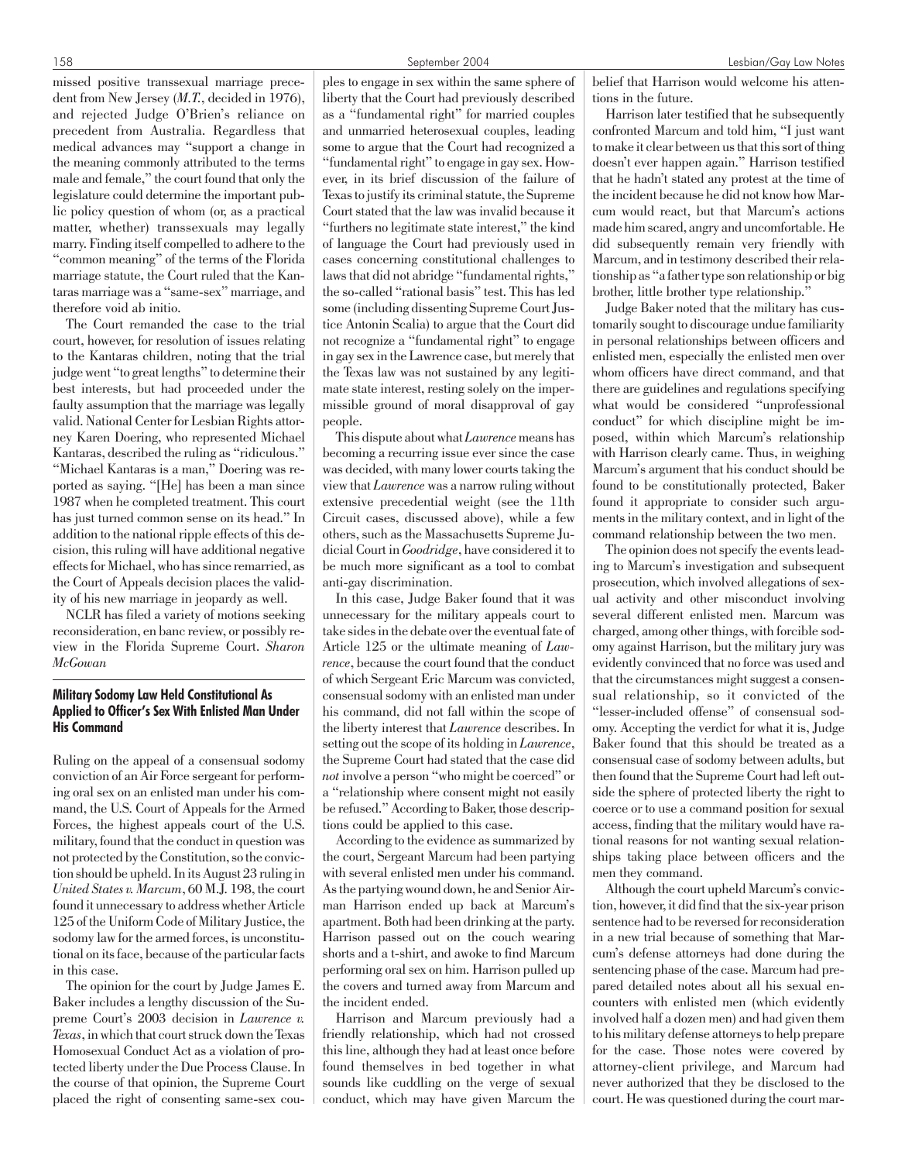missed positive transsexual marriage precedent from New Jersey (*M.T.*, decided in 1976), and rejected Judge O'Brien's reliance on precedent from Australia. Regardless that medical advances may "support a change in the meaning commonly attributed to the terms male and female," the court found that only the legislature could determine the important public policy question of whom (or, as a practical matter, whether) transsexuals may legally marry. Finding itself compelled to adhere to the "common meaning" of the terms of the Florida marriage statute, the Court ruled that the Kantaras marriage was a "same-sex" marriage, and therefore void ab initio.

The Court remanded the case to the trial court, however, for resolution of issues relating to the Kantaras children, noting that the trial judge went "to great lengths" to determine their best interests, but had proceeded under the faulty assumption that the marriage was legally valid. National Center for Lesbian Rights attorney Karen Doering, who represented Michael Kantaras, described the ruling as "ridiculous." "Michael Kantaras is a man," Doering was reported as saying. "[He] has been a man since 1987 when he completed treatment. This court has just turned common sense on its head." In addition to the national ripple effects of this decision, this ruling will have additional negative effects for Michael, who has since remarried, as the Court of Appeals decision places the validity of his new marriage in jeopardy as well.

NCLR has filed a variety of motions seeking reconsideration, en banc review, or possibly review in the Florida Supreme Court. *Sharon McGowan*

# Military Sodomy Law Held Constitutional As Applied to Officer's Sex With Enlisted Man Under His Command

Ruling on the appeal of a consensual sodomy conviction of an Air Force sergeant for performing oral sex on an enlisted man under his command, the U.S. Court of Appeals for the Armed Forces, the highest appeals court of the U.S. military, found that the conduct in question was not protected by the Constitution, so the conviction should be upheld. In its August 23 ruling in *United States v. Marcum*, 60 M.J. 198, the court found it unnecessary to address whether Article 125 of the Uniform Code of Military Justice, the sodomy law for the armed forces, is unconstitutional on its face, because of the particular facts in this case.

The opinion for the court by Judge James E. Baker includes a lengthy discussion of the Supreme Court's 2003 decision in *Lawrence v. Texas*, in which that court struck down the Texas Homosexual Conduct Act as a violation of protected liberty under the Due Process Clause. In the course of that opinion, the Supreme Court placed the right of consenting same-sex couples to engage in sex within the same sphere of liberty that the Court had previously described as a "fundamental right" for married couples and unmarried heterosexual couples, leading some to argue that the Court had recognized a "fundamental right" to engage in gay sex. However, in its brief discussion of the failure of Texas to justify its criminal statute, the Supreme Court stated that the law was invalid because it "furthers no legitimate state interest," the kind of language the Court had previously used in cases concerning constitutional challenges to laws that did not abridge "fundamental rights," the so-called "rational basis" test. This has led some (including dissenting Supreme Court Justice Antonin Scalia) to argue that the Court did not recognize a "fundamental right" to engage in gay sex in the Lawrence case, but merely that the Texas law was not sustained by any legitimate state interest, resting solely on the impermissible ground of moral disapproval of gay people.

This dispute about what *Lawrence*means has becoming a recurring issue ever since the case was decided, with many lower courts taking the view that *Lawrence* was a narrow ruling without extensive precedential weight (see the 11th Circuit cases, discussed above), while a few others, such as the Massachusetts Supreme Judicial Court in *Goodridge*, have considered it to be much more significant as a tool to combat anti-gay discrimination.

In this case, Judge Baker found that it was unnecessary for the military appeals court to take sides in the debate over the eventual fate of Article 125 or the ultimate meaning of *Lawrence*, because the court found that the conduct of which Sergeant Eric Marcum was convicted, consensual sodomy with an enlisted man under his command, did not fall within the scope of the liberty interest that *Lawrence* describes. In setting out the scope of its holding in *Lawrence*, the Supreme Court had stated that the case did *not* involve a person "who might be coerced" or a "relationship where consent might not easily be refused." According to Baker, those descriptions could be applied to this case.

According to the evidence as summarized by the court, Sergeant Marcum had been partying with several enlisted men under his command. As the partying wound down, he and Senior Airman Harrison ended up back at Marcum's apartment. Both had been drinking at the party. Harrison passed out on the couch wearing shorts and a t-shirt, and awoke to find Marcum performing oral sex on him. Harrison pulled up the covers and turned away from Marcum and the incident ended.

Harrison and Marcum previously had a friendly relationship, which had not crossed this line, although they had at least once before found themselves in bed together in what sounds like cuddling on the verge of sexual conduct, which may have given Marcum the belief that Harrison would welcome his attentions in the future.

Harrison later testified that he subsequently confronted Marcum and told him, "I just want to make it clear between us that this sort of thing doesn't ever happen again." Harrison testified that he hadn't stated any protest at the time of the incident because he did not know how Marcum would react, but that Marcum's actions made him scared, angry and uncomfortable. He did subsequently remain very friendly with Marcum, and in testimony described their relationship as "a father type son relationship or big brother, little brother type relationship."

Judge Baker noted that the military has customarily sought to discourage undue familiarity in personal relationships between officers and enlisted men, especially the enlisted men over whom officers have direct command, and that there are guidelines and regulations specifying what would be considered "unprofessional conduct" for which discipline might be imposed, within which Marcum's relationship with Harrison clearly came. Thus, in weighing Marcum's argument that his conduct should be found to be constitutionally protected, Baker found it appropriate to consider such arguments in the military context, and in light of the command relationship between the two men.

The opinion does not specify the events leading to Marcum's investigation and subsequent prosecution, which involved allegations of sexual activity and other misconduct involving several different enlisted men. Marcum was charged, among other things, with forcible sodomy against Harrison, but the military jury was evidently convinced that no force was used and that the circumstances might suggest a consensual relationship, so it convicted of the "lesser-included offense" of consensual sodomy. Accepting the verdict for what it is, Judge Baker found that this should be treated as a consensual case of sodomy between adults, but then found that the Supreme Court had left outside the sphere of protected liberty the right to coerce or to use a command position for sexual access, finding that the military would have rational reasons for not wanting sexual relationships taking place between officers and the men they command.

Although the court upheld Marcum's conviction, however, it did find that the six-year prison sentence had to be reversed for reconsideration in a new trial because of something that Marcum's defense attorneys had done during the sentencing phase of the case. Marcum had prepared detailed notes about all his sexual encounters with enlisted men (which evidently involved half a dozen men) and had given them to his military defense attorneys to help prepare for the case. Those notes were covered by attorney-client privilege, and Marcum had never authorized that they be disclosed to the court. He was questioned during the court mar-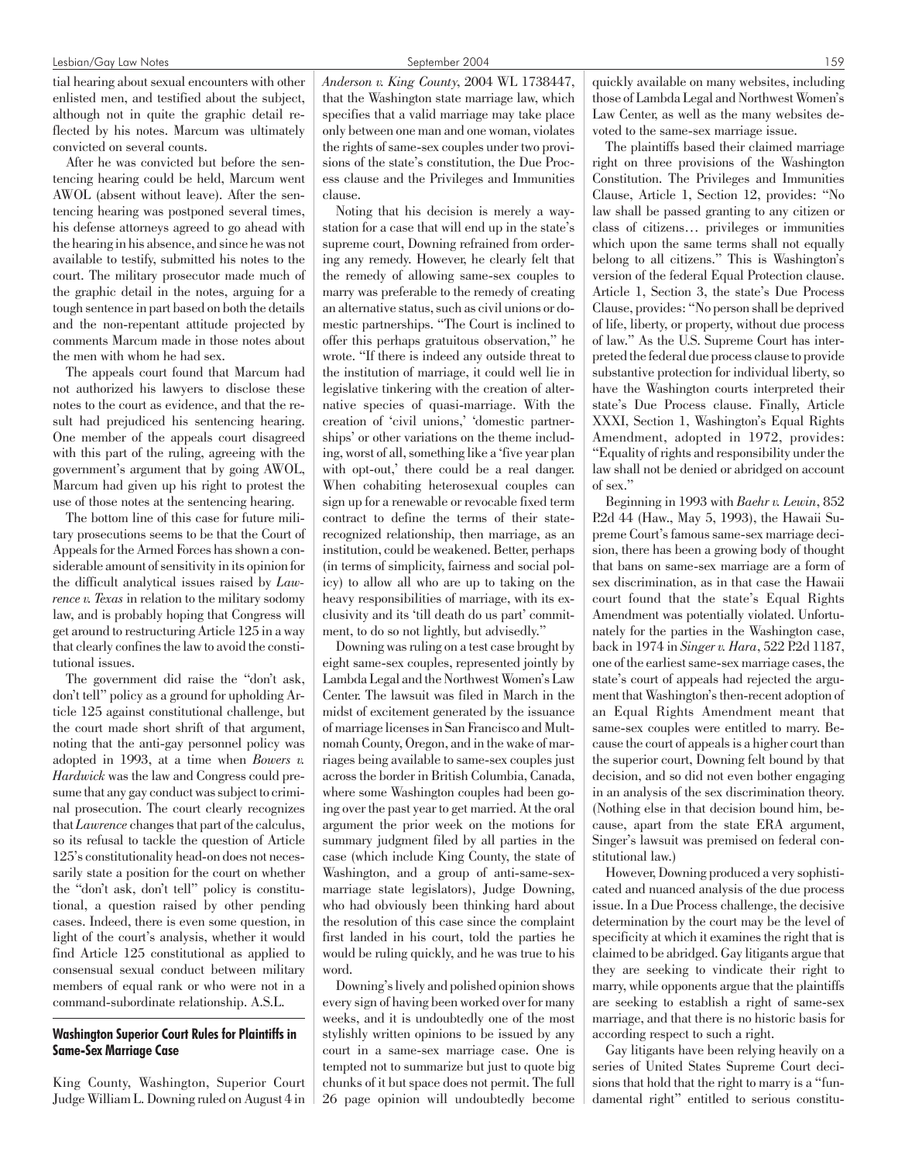tial hearing about sexual encounters with other enlisted men, and testified about the subject, although not in quite the graphic detail reflected by his notes. Marcum was ultimately convicted on several counts.

After he was convicted but before the sentencing hearing could be held, Marcum went AWOL (absent without leave). After the sentencing hearing was postponed several times, his defense attorneys agreed to go ahead with the hearing in his absence, and since he was not available to testify, submitted his notes to the court. The military prosecutor made much of the graphic detail in the notes, arguing for a tough sentence in part based on both the details and the non-repentant attitude projected by comments Marcum made in those notes about the men with whom he had sex.

The appeals court found that Marcum had not authorized his lawyers to disclose these notes to the court as evidence, and that the result had prejudiced his sentencing hearing. One member of the appeals court disagreed with this part of the ruling, agreeing with the government's argument that by going AWOL, Marcum had given up his right to protest the use of those notes at the sentencing hearing.

The bottom line of this case for future military prosecutions seems to be that the Court of Appeals for the Armed Forces has shown a considerable amount of sensitivity in its opinion for the difficult analytical issues raised by *Lawrence v. Texas* in relation to the military sodomy law, and is probably hoping that Congress will get around to restructuring Article 125 in a way that clearly confines the law to avoid the constitutional issues.

The government did raise the "don't ask, don't tell" policy as a ground for upholding Article 125 against constitutional challenge, but the court made short shrift of that argument, noting that the anti-gay personnel policy was adopted in 1993, at a time when *Bowers v. Hardwick* was the law and Congress could presume that any gay conduct was subject to criminal prosecution. The court clearly recognizes that *Lawrence* changes that part of the calculus, so its refusal to tackle the question of Article 125's constitutionality head-on does not necessarily state a position for the court on whether the "don't ask, don't tell" policy is constitutional, a question raised by other pending cases. Indeed, there is even some question, in light of the court's analysis, whether it would find Article 125 constitutional as applied to consensual sexual conduct between military members of equal rank or who were not in a command-subordinate relationship. A.S.L.

#### Washington Superior Court Rules for Plaintiffs in Same-Sex Marriage Case

King County, Washington, Superior Court Judge William L. Downing ruled on August 4 in *Anderson v. King County*, 2004 WL 1738447, that the Washington state marriage law, which specifies that a valid marriage may take place only between one man and one woman, violates the rights of same-sex couples under two provisions of the state's constitution, the Due Process clause and the Privileges and Immunities clause.

Noting that his decision is merely a waystation for a case that will end up in the state's supreme court, Downing refrained from ordering any remedy. However, he clearly felt that the remedy of allowing same-sex couples to marry was preferable to the remedy of creating an alternative status, such as civil unions or domestic partnerships. "The Court is inclined to offer this perhaps gratuitous observation," he wrote. "If there is indeed any outside threat to the institution of marriage, it could well lie in legislative tinkering with the creation of alternative species of quasi-marriage. With the creation of 'civil unions,' 'domestic partnerships' or other variations on the theme including, worst of all, something like a 'five year plan with opt-out,' there could be a real danger. When cohabiting heterosexual couples can sign up for a renewable or revocable fixed term contract to define the terms of their staterecognized relationship, then marriage, as an institution, could be weakened. Better, perhaps (in terms of simplicity, fairness and social policy) to allow all who are up to taking on the heavy responsibilities of marriage, with its exclusivity and its 'till death do us part' commitment, to do so not lightly, but advisedly."

Downing was ruling on a test case brought by eight same-sex couples, represented jointly by Lambda Legal and the Northwest Women's Law Center. The lawsuit was filed in March in the midst of excitement generated by the issuance of marriage licenses in San Francisco and Multnomah County, Oregon, and in the wake of marriages being available to same-sex couples just across the border in British Columbia, Canada, where some Washington couples had been going over the past year to get married. At the oral argument the prior week on the motions for summary judgment filed by all parties in the case (which include King County, the state of Washington, and a group of anti-same-sexmarriage state legislators), Judge Downing, who had obviously been thinking hard about the resolution of this case since the complaint first landed in his court, told the parties he would be ruling quickly, and he was true to his word.

Downing's lively and polished opinion shows every sign of having been worked over for many weeks, and it is undoubtedly one of the most stylishly written opinions to be issued by any court in a same-sex marriage case. One is tempted not to summarize but just to quote big chunks of it but space does not permit. The full 26 page opinion will undoubtedly become quickly available on many websites, including those of Lambda Legal and Northwest Women's Law Center, as well as the many websites devoted to the same-sex marriage issue.

The plaintiffs based their claimed marriage right on three provisions of the Washington Constitution. The Privileges and Immunities Clause, Article 1, Section 12, provides: "No law shall be passed granting to any citizen or class of citizens… privileges or immunities which upon the same terms shall not equally belong to all citizens." This is Washington's version of the federal Equal Protection clause. Article 1, Section 3, the state's Due Process Clause, provides: "No person shall be deprived of life, liberty, or property, without due process of law." As the U.S. Supreme Court has interpreted the federal due process clause to provide substantive protection for individual liberty, so have the Washington courts interpreted their state's Due Process clause. Finally, Article XXXI, Section 1, Washington's Equal Rights Amendment, adopted in 1972, provides: "Equality of rights and responsibility under the law shall not be denied or abridged on account of sex."

Beginning in 1993 with *Baehr v. Lewin*, 852 P.2d 44 (Haw., May 5, 1993), the Hawaii Supreme Court's famous same-sex marriage decision, there has been a growing body of thought that bans on same-sex marriage are a form of sex discrimination, as in that case the Hawaii court found that the state's Equal Rights Amendment was potentially violated. Unfortunately for the parties in the Washington case, back in 1974 in *Singer v. Hara*, 522 P.2d 1187, one of the earliest same-sex marriage cases, the state's court of appeals had rejected the argument that Washington's then-recent adoption of an Equal Rights Amendment meant that same-sex couples were entitled to marry. Because the court of appeals is a higher court than the superior court, Downing felt bound by that decision, and so did not even bother engaging in an analysis of the sex discrimination theory. (Nothing else in that decision bound him, because, apart from the state ERA argument, Singer's lawsuit was premised on federal constitutional law.)

However, Downing produced a very sophisticated and nuanced analysis of the due process issue. In a Due Process challenge, the decisive determination by the court may be the level of specificity at which it examines the right that is claimed to be abridged. Gay litigants argue that they are seeking to vindicate their right to marry, while opponents argue that the plaintiffs are seeking to establish a right of same-sex marriage, and that there is no historic basis for according respect to such a right.

Gay litigants have been relying heavily on a series of United States Supreme Court decisions that hold that the right to marry is a "fundamental right" entitled to serious constitu-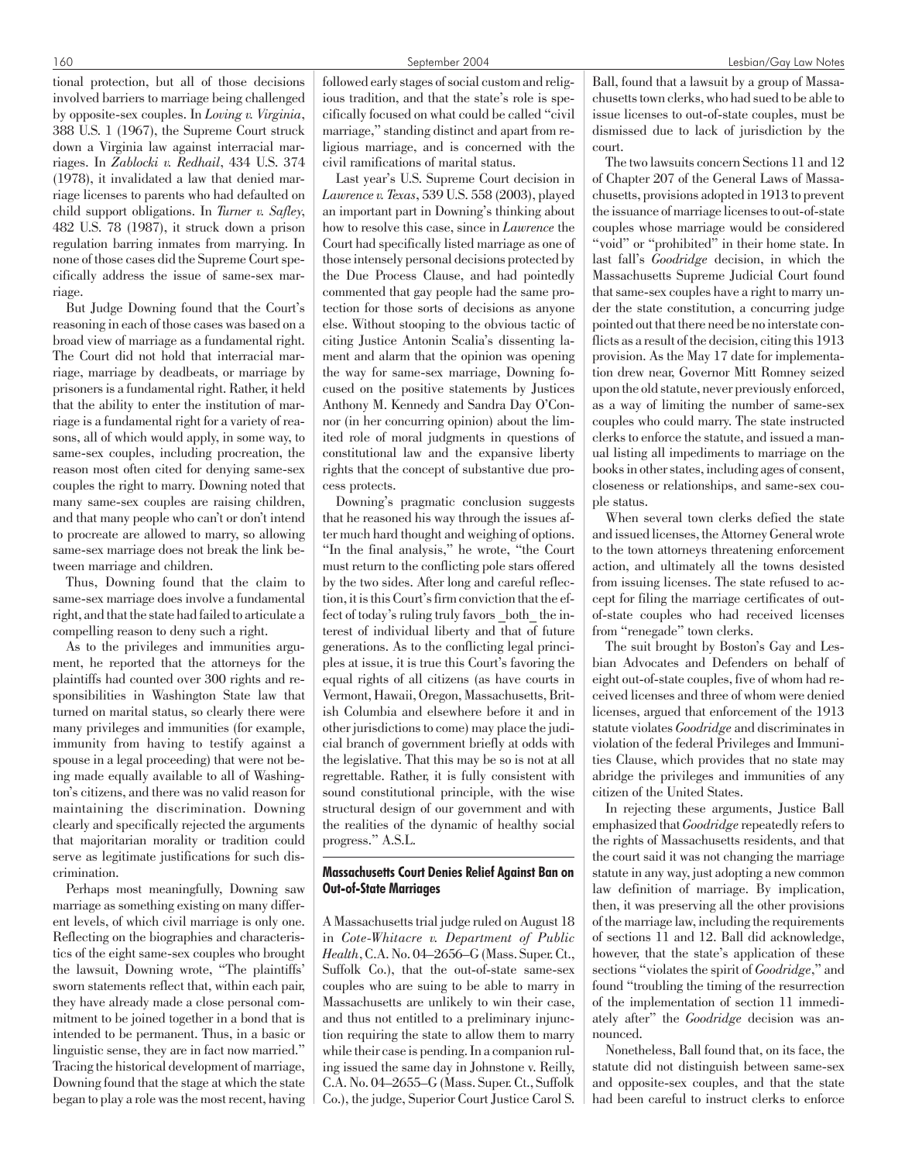tional protection, but all of those decisions involved barriers to marriage being challenged by opposite-sex couples. In *Loving v. Virginia*, 388 U.S. 1 (1967), the Supreme Court struck down a Virginia law against interracial marriages. In *Zablocki v. Redhail*, 434 U.S. 374 (1978), it invalidated a law that denied marriage licenses to parents who had defaulted on child support obligations. In *Turner v. Safley*, 482 U.S. 78 (1987), it struck down a prison regulation barring inmates from marrying. In none of those cases did the Supreme Court specifically address the issue of same-sex marriage.

But Judge Downing found that the Court's reasoning in each of those cases was based on a broad view of marriage as a fundamental right. The Court did not hold that interracial marriage, marriage by deadbeats, or marriage by prisoners is a fundamental right. Rather, it held that the ability to enter the institution of marriage is a fundamental right for a variety of reasons, all of which would apply, in some way, to same-sex couples, including procreation, the reason most often cited for denying same-sex couples the right to marry. Downing noted that many same-sex couples are raising children, and that many people who can't or don't intend to procreate are allowed to marry, so allowing same-sex marriage does not break the link between marriage and children.

Thus, Downing found that the claim to same-sex marriage does involve a fundamental right, and that the state had failed to articulate a compelling reason to deny such a right.

As to the privileges and immunities argument, he reported that the attorneys for the plaintiffs had counted over 300 rights and responsibilities in Washington State law that turned on marital status, so clearly there were many privileges and immunities (for example, immunity from having to testify against a spouse in a legal proceeding) that were not being made equally available to all of Washington's citizens, and there was no valid reason for maintaining the discrimination. Downing clearly and specifically rejected the arguments that majoritarian morality or tradition could serve as legitimate justifications for such discrimination.

Perhaps most meaningfully, Downing saw marriage as something existing on many different levels, of which civil marriage is only one. Reflecting on the biographies and characteristics of the eight same-sex couples who brought the lawsuit, Downing wrote, "The plaintiffs' sworn statements reflect that, within each pair, they have already made a close personal commitment to be joined together in a bond that is intended to be permanent. Thus, in a basic or linguistic sense, they are in fact now married." Tracing the historical development of marriage, Downing found that the stage at which the state began to play a role was the most recent, having followed early stages of social custom and religious tradition, and that the state's role is specifically focused on what could be called "civil marriage," standing distinct and apart from religious marriage, and is concerned with the civil ramifications of marital status.

Last year's U.S. Supreme Court decision in *Lawrence v. Texas*, 539 U.S. 558 (2003), played an important part in Downing's thinking about how to resolve this case, since in *Lawrence* the Court had specifically listed marriage as one of those intensely personal decisions protected by the Due Process Clause, and had pointedly commented that gay people had the same protection for those sorts of decisions as anyone else. Without stooping to the obvious tactic of citing Justice Antonin Scalia's dissenting lament and alarm that the opinion was opening the way for same-sex marriage, Downing focused on the positive statements by Justices Anthony M. Kennedy and Sandra Day O'Connor (in her concurring opinion) about the limited role of moral judgments in questions of constitutional law and the expansive liberty rights that the concept of substantive due process protects.

Downing's pragmatic conclusion suggests that he reasoned his way through the issues after much hard thought and weighing of options. "In the final analysis," he wrote, "the Court must return to the conflicting pole stars offered by the two sides. After long and careful reflection, it is this Court's firm conviction that the effect of today's ruling truly favors \_both\_ the interest of individual liberty and that of future generations. As to the conflicting legal principles at issue, it is true this Court's favoring the equal rights of all citizens (as have courts in Vermont, Hawaii, Oregon, Massachusetts, British Columbia and elsewhere before it and in other jurisdictions to come) may place the judicial branch of government briefly at odds with the legislative. That this may be so is not at all regrettable. Rather, it is fully consistent with sound constitutional principle, with the wise structural design of our government and with the realities of the dynamic of healthy social progress." A.S.L.

# Massachusetts Court Denies Relief Against Ban on Out-of-State Marriages

A Massachusetts trial judge ruled on August 18 in *Cote-Whitacre v. Department of Public Health*, C.A. No. 04–2656–G (Mass. Super. Ct., Suffolk Co.), that the out-of-state same-sex couples who are suing to be able to marry in Massachusetts are unlikely to win their case, and thus not entitled to a preliminary injunction requiring the state to allow them to marry while their case is pending. In a companion ruling issued the same day in Johnstone v. Reilly, C.A. No. 04–2655–G (Mass. Super. Ct., Suffolk Co.), the judge, Superior Court Justice Carol S.

Ball, found that a lawsuit by a group of Massachusetts town clerks, who had sued to be able to issue licenses to out-of-state couples, must be dismissed due to lack of jurisdiction by the court.

The two lawsuits concern Sections 11 and 12 of Chapter 207 of the General Laws of Massachusetts, provisions adopted in 1913 to prevent the issuance of marriage licenses to out-of-state couples whose marriage would be considered "void" or "prohibited" in their home state. In last fall's *Goodridge* decision, in which the Massachusetts Supreme Judicial Court found that same-sex couples have a right to marry under the state constitution, a concurring judge pointed out that there need be no interstate conflicts as a result of the decision, citing this 1913 provision. As the May 17 date for implementation drew near, Governor Mitt Romney seized upon the old statute, never previously enforced, as a way of limiting the number of same-sex couples who could marry. The state instructed clerks to enforce the statute, and issued a manual listing all impediments to marriage on the books in other states, including ages of consent, closeness or relationships, and same-sex couple status.

When several town clerks defied the state and issued licenses, the Attorney General wrote to the town attorneys threatening enforcement action, and ultimately all the towns desisted from issuing licenses. The state refused to accept for filing the marriage certificates of outof-state couples who had received licenses from "renegade" town clerks.

The suit brought by Boston's Gay and Lesbian Advocates and Defenders on behalf of eight out-of-state couples, five of whom had received licenses and three of whom were denied licenses, argued that enforcement of the 1913 statute violates *Goodridge* and discriminates in violation of the federal Privileges and Immunities Clause, which provides that no state may abridge the privileges and immunities of any citizen of the United States.

In rejecting these arguments, Justice Ball emphasized that *Goodridge*repeatedly refers to the rights of Massachusetts residents, and that the court said it was not changing the marriage statute in any way, just adopting a new common law definition of marriage. By implication, then, it was preserving all the other provisions of the marriage law, including the requirements of sections 11 and 12. Ball did acknowledge, however, that the state's application of these sections "violates the spirit of *Goodridge*," and found "troubling the timing of the resurrection of the implementation of section 11 immediately after" the *Goodridge* decision was announced.

Nonetheless, Ball found that, on its face, the statute did not distinguish between same-sex and opposite-sex couples, and that the state had been careful to instruct clerks to enforce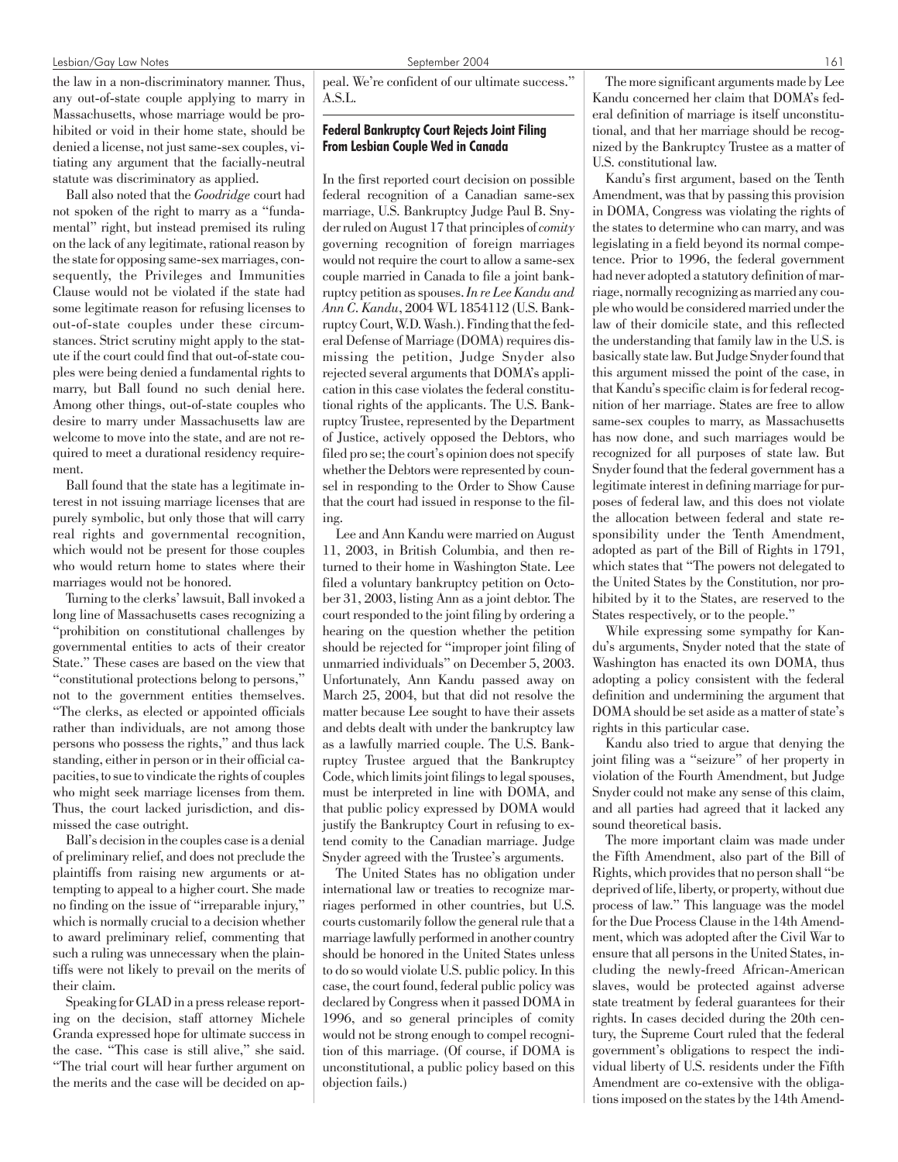#### Lesbian/Gay Law Notes September 2004 161

the law in a non-discriminatory manner. Thus, any out-of-state couple applying to marry in Massachusetts, whose marriage would be prohibited or void in their home state, should be denied a license, not just same-sex couples, vitiating any argument that the facially-neutral statute was discriminatory as applied.

Ball also noted that the *Goodridge* court had not spoken of the right to marry as a "fundamental" right, but instead premised its ruling on the lack of any legitimate, rational reason by the state for opposing same-sex marriages, consequently, the Privileges and Immunities Clause would not be violated if the state had some legitimate reason for refusing licenses to out-of-state couples under these circumstances. Strict scrutiny might apply to the statute if the court could find that out-of-state couples were being denied a fundamental rights to marry, but Ball found no such denial here. Among other things, out-of-state couples who desire to marry under Massachusetts law are welcome to move into the state, and are not required to meet a durational residency requirement.

Ball found that the state has a legitimate interest in not issuing marriage licenses that are purely symbolic, but only those that will carry real rights and governmental recognition, which would not be present for those couples who would return home to states where their marriages would not be honored.

Turning to the clerks' lawsuit, Ball invoked a long line of Massachusetts cases recognizing a "prohibition on constitutional challenges by governmental entities to acts of their creator State." These cases are based on the view that "constitutional protections belong to persons," not to the government entities themselves. "The clerks, as elected or appointed officials rather than individuals, are not among those persons who possess the rights," and thus lack standing, either in person or in their official capacities, to sue to vindicate the rights of couples who might seek marriage licenses from them. Thus, the court lacked jurisdiction, and dismissed the case outright.

Ball's decision in the couples case is a denial of preliminary relief, and does not preclude the plaintiffs from raising new arguments or attempting to appeal to a higher court. She made no finding on the issue of "irreparable injury," which is normally crucial to a decision whether to award preliminary relief, commenting that such a ruling was unnecessary when the plaintiffs were not likely to prevail on the merits of their claim.

Speaking for GLAD in a press release reporting on the decision, staff attorney Michele Granda expressed hope for ultimate success in the case. "This case is still alive," she said. "The trial court will hear further argument on the merits and the case will be decided on appeal. We're confident of our ultimate success." A.S.L.

# Federal Bankruptcy Court Rejects Joint Filing From Lesbian Couple Wed in Canada

In the first reported court decision on possible federal recognition of a Canadian same-sex marriage, U.S. Bankruptcy Judge Paul B. Snyder ruled on August 17 that principles of*comity* governing recognition of foreign marriages would not require the court to allow a same-sex couple married in Canada to file a joint bankruptcy petition as spouses.*In re Lee Kandu and Ann C. Kandu*, 2004 WL 1854112 (U.S. Bankruptcy Court, W.D. Wash.). Finding that the federal Defense of Marriage (DOMA) requires dismissing the petition, Judge Snyder also rejected several arguments that DOMA's application in this case violates the federal constitutional rights of the applicants. The U.S. Bankruptcy Trustee, represented by the Department of Justice, actively opposed the Debtors, who filed pro se; the court's opinion does not specify whether the Debtors were represented by counsel in responding to the Order to Show Cause that the court had issued in response to the filing.

Lee and Ann Kandu were married on August 11, 2003, in British Columbia, and then returned to their home in Washington State. Lee filed a voluntary bankruptcy petition on October 31, 2003, listing Ann as a joint debtor. The court responded to the joint filing by ordering a hearing on the question whether the petition should be rejected for "improper joint filing of unmarried individuals" on December 5, 2003. Unfortunately, Ann Kandu passed away on March 25, 2004, but that did not resolve the matter because Lee sought to have their assets and debts dealt with under the bankruptcy law as a lawfully married couple. The U.S. Bankruptcy Trustee argued that the Bankruptcy Code, which limits joint filings to legal spouses, must be interpreted in line with DOMA, and that public policy expressed by DOMA would justify the Bankruptcy Court in refusing to extend comity to the Canadian marriage. Judge Snyder agreed with the Trustee's arguments.

The United States has no obligation under international law or treaties to recognize marriages performed in other countries, but U.S. courts customarily follow the general rule that a marriage lawfully performed in another country should be honored in the United States unless to do so would violate U.S. public policy. In this case, the court found, federal public policy was declared by Congress when it passed DOMA in 1996, and so general principles of comity would not be strong enough to compel recognition of this marriage. (Of course, if DOMA is unconstitutional, a public policy based on this objection fails.)

The more significant arguments made by Lee Kandu concerned her claim that DOMA's federal definition of marriage is itself unconstitutional, and that her marriage should be recognized by the Bankruptcy Trustee as a matter of U.S. constitutional law.

Kandu's first argument, based on the Tenth Amendment, was that by passing this provision in DOMA, Congress was violating the rights of the states to determine who can marry, and was legislating in a field beyond its normal competence. Prior to 1996, the federal government had never adopted a statutory definition of marriage, normally recognizing as married any couple who would be considered married under the law of their domicile state, and this reflected the understanding that family law in the U.S. is basically state law. But Judge Snyder found that this argument missed the point of the case, in that Kandu's specific claim is for federal recognition of her marriage. States are free to allow same-sex couples to marry, as Massachusetts has now done, and such marriages would be recognized for all purposes of state law. But Snyder found that the federal government has a legitimate interest in defining marriage for purposes of federal law, and this does not violate the allocation between federal and state responsibility under the Tenth Amendment, adopted as part of the Bill of Rights in 1791, which states that "The powers not delegated to the United States by the Constitution, nor prohibited by it to the States, are reserved to the States respectively, or to the people."

While expressing some sympathy for Kandu's arguments, Snyder noted that the state of Washington has enacted its own DOMA, thus adopting a policy consistent with the federal definition and undermining the argument that DOMA should be set aside as a matter of state's rights in this particular case.

Kandu also tried to argue that denying the joint filing was a "seizure" of her property in violation of the Fourth Amendment, but Judge Snyder could not make any sense of this claim, and all parties had agreed that it lacked any sound theoretical basis.

The more important claim was made under the Fifth Amendment, also part of the Bill of Rights, which provides that no person shall "be deprived of life, liberty, or property, without due process of law." This language was the model for the Due Process Clause in the 14th Amendment, which was adopted after the Civil War to ensure that all persons in the United States, including the newly-freed African-American slaves, would be protected against adverse state treatment by federal guarantees for their rights. In cases decided during the 20th century, the Supreme Court ruled that the federal government's obligations to respect the individual liberty of U.S. residents under the Fifth Amendment are co-extensive with the obligations imposed on the states by the 14th Amend-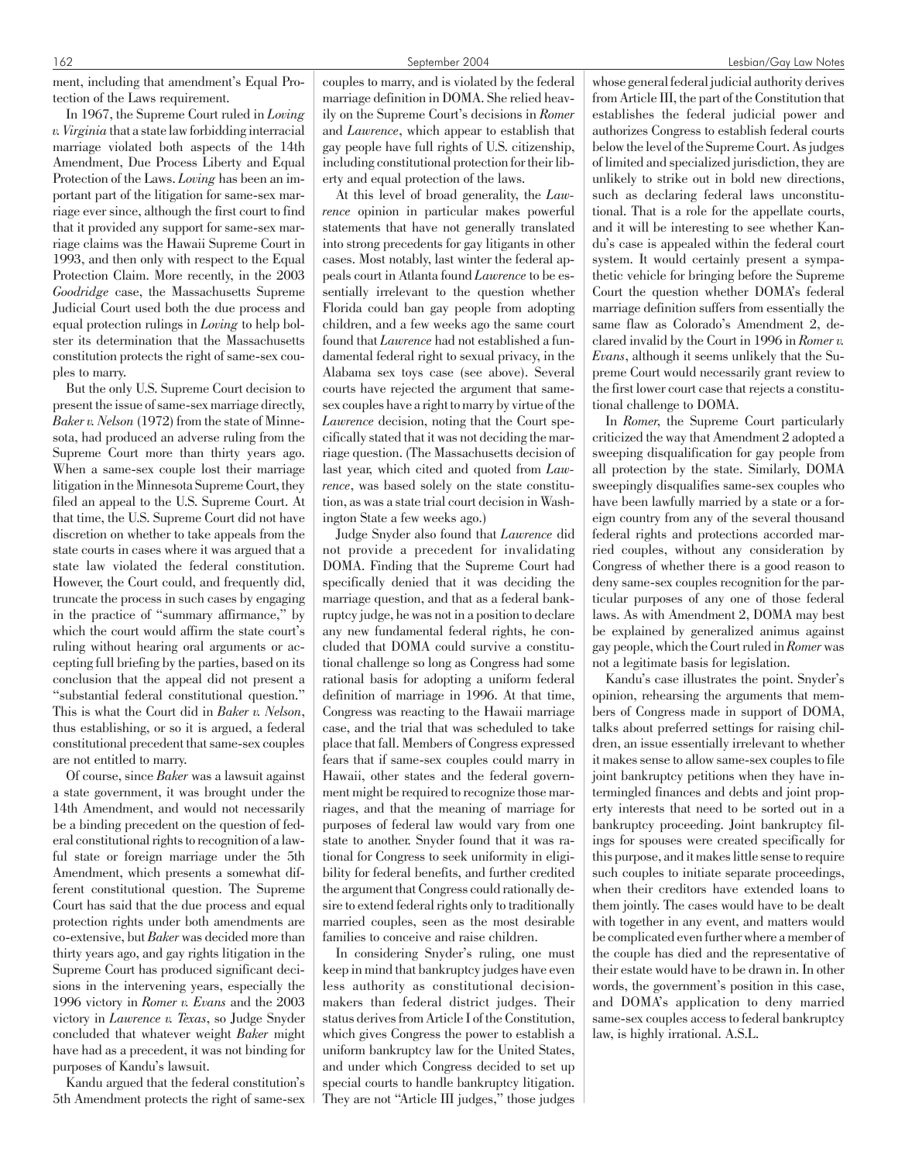ment, including that amendment's Equal Protection of the Laws requirement.

In 1967, the Supreme Court ruled in *Loving v. Virginia* that a state law forbidding interracial marriage violated both aspects of the 14th Amendment, Due Process Liberty and Equal Protection of the Laws. *Loving* has been an important part of the litigation for same-sex marriage ever since, although the first court to find that it provided any support for same-sex marriage claims was the Hawaii Supreme Court in 1993, and then only with respect to the Equal Protection Claim. More recently, in the 2003 *Goodridge* case, the Massachusetts Supreme Judicial Court used both the due process and equal protection rulings in *Loving* to help bolster its determination that the Massachusetts constitution protects the right of same-sex couples to marry.

But the only U.S. Supreme Court decision to present the issue of same-sex marriage directly, *Baker v. Nelson* (1972) from the state of Minnesota, had produced an adverse ruling from the Supreme Court more than thirty years ago. When a same-sex couple lost their marriage litigation in the Minnesota Supreme Court, they filed an appeal to the U.S. Supreme Court. At that time, the U.S. Supreme Court did not have discretion on whether to take appeals from the state courts in cases where it was argued that a state law violated the federal constitution. However, the Court could, and frequently did, truncate the process in such cases by engaging in the practice of "summary affirmance," by which the court would affirm the state court's ruling without hearing oral arguments or accepting full briefing by the parties, based on its conclusion that the appeal did not present a "substantial federal constitutional question." This is what the Court did in *Baker v. Nelson*, thus establishing, or so it is argued, a federal constitutional precedent that same-sex couples are not entitled to marry.

Of course, since *Baker* was a lawsuit against a state government, it was brought under the 14th Amendment, and would not necessarily be a binding precedent on the question of federal constitutional rights to recognition of a lawful state or foreign marriage under the 5th Amendment, which presents a somewhat different constitutional question. The Supreme Court has said that the due process and equal protection rights under both amendments are co-extensive, but *Baker* was decided more than thirty years ago, and gay rights litigation in the Supreme Court has produced significant decisions in the intervening years, especially the 1996 victory in *Romer v. Evans* and the 2003 victory in *Lawrence v. Texas*, so Judge Snyder concluded that whatever weight *Baker* might have had as a precedent, it was not binding for purposes of Kandu's lawsuit.

Kandu argued that the federal constitution's 5th Amendment protects the right of same-sex couples to marry, and is violated by the federal marriage definition in DOMA. She relied heavily on the Supreme Court's decisions in *Romer* and *Lawrence*, which appear to establish that gay people have full rights of U.S. citizenship, including constitutional protection for their liberty and equal protection of the laws.

At this level of broad generality, the *Lawrence* opinion in particular makes powerful statements that have not generally translated into strong precedents for gay litigants in other cases. Most notably, last winter the federal appeals court in Atlanta found *Lawrence*to be essentially irrelevant to the question whether Florida could ban gay people from adopting children, and a few weeks ago the same court found that *Lawrence* had not established a fundamental federal right to sexual privacy, in the Alabama sex toys case (see above). Several courts have rejected the argument that samesex couples have a right to marry by virtue of the *Lawrence* decision, noting that the Court specifically stated that it was not deciding the marriage question. (The Massachusetts decision of last year, which cited and quoted from *Lawrence*, was based solely on the state constitution, as was a state trial court decision in Washington State a few weeks ago.)

Judge Snyder also found that *Lawrence* did not provide a precedent for invalidating DOMA. Finding that the Supreme Court had specifically denied that it was deciding the marriage question, and that as a federal bankruptcy judge, he was not in a position to declare any new fundamental federal rights, he concluded that DOMA could survive a constitutional challenge so long as Congress had some rational basis for adopting a uniform federal definition of marriage in 1996. At that time, Congress was reacting to the Hawaii marriage case, and the trial that was scheduled to take place that fall. Members of Congress expressed fears that if same-sex couples could marry in Hawaii, other states and the federal government might be required to recognize those marriages, and that the meaning of marriage for purposes of federal law would vary from one state to another. Snyder found that it was rational for Congress to seek uniformity in eligibility for federal benefits, and further credited the argument that Congress could rationally desire to extend federal rights only to traditionally married couples, seen as the most desirable families to conceive and raise children.

In considering Snyder's ruling, one must keep in mind that bankruptcy judges have even less authority as constitutional decisionmakers than federal district judges. Their status derives from Article I of the Constitution, which gives Congress the power to establish a uniform bankruptcy law for the United States, and under which Congress decided to set up special courts to handle bankruptcy litigation. They are not "Article III judges," those judges whose general federal judicial authority derives from Article III, the part of the Constitution that establishes the federal judicial power and authorizes Congress to establish federal courts below the level of the Supreme Court. As judges of limited and specialized jurisdiction, they are unlikely to strike out in bold new directions, such as declaring federal laws unconstitutional. That is a role for the appellate courts, and it will be interesting to see whether Kandu's case is appealed within the federal court system. It would certainly present a sympathetic vehicle for bringing before the Supreme Court the question whether DOMA's federal marriage definition suffers from essentially the same flaw as Colorado's Amendment 2, declared invalid by the Court in 1996 in *Romer v. Evans*, although it seems unlikely that the Supreme Court would necessarily grant review to the first lower court case that rejects a constitutional challenge to DOMA.

In *Romer*, the Supreme Court particularly criticized the way that Amendment 2 adopted a sweeping disqualification for gay people from all protection by the state. Similarly, DOMA sweepingly disqualifies same-sex couples who have been lawfully married by a state or a foreign country from any of the several thousand federal rights and protections accorded married couples, without any consideration by Congress of whether there is a good reason to deny same-sex couples recognition for the particular purposes of any one of those federal laws. As with Amendment 2, DOMA may best be explained by generalized animus against gay people, which the Court ruled in*Romer*was not a legitimate basis for legislation.

Kandu's case illustrates the point. Snyder's opinion, rehearsing the arguments that members of Congress made in support of DOMA, talks about preferred settings for raising children, an issue essentially irrelevant to whether it makes sense to allow same-sex couples to file joint bankruptcy petitions when they have intermingled finances and debts and joint property interests that need to be sorted out in a bankruptcy proceeding. Joint bankruptcy filings for spouses were created specifically for this purpose, and it makes little sense to require such couples to initiate separate proceedings, when their creditors have extended loans to them jointly. The cases would have to be dealt with together in any event, and matters would be complicated even further where a member of the couple has died and the representative of their estate would have to be drawn in. In other words, the government's position in this case, and DOMA's application to deny married same-sex couples access to federal bankruptcy law, is highly irrational. A.S.L.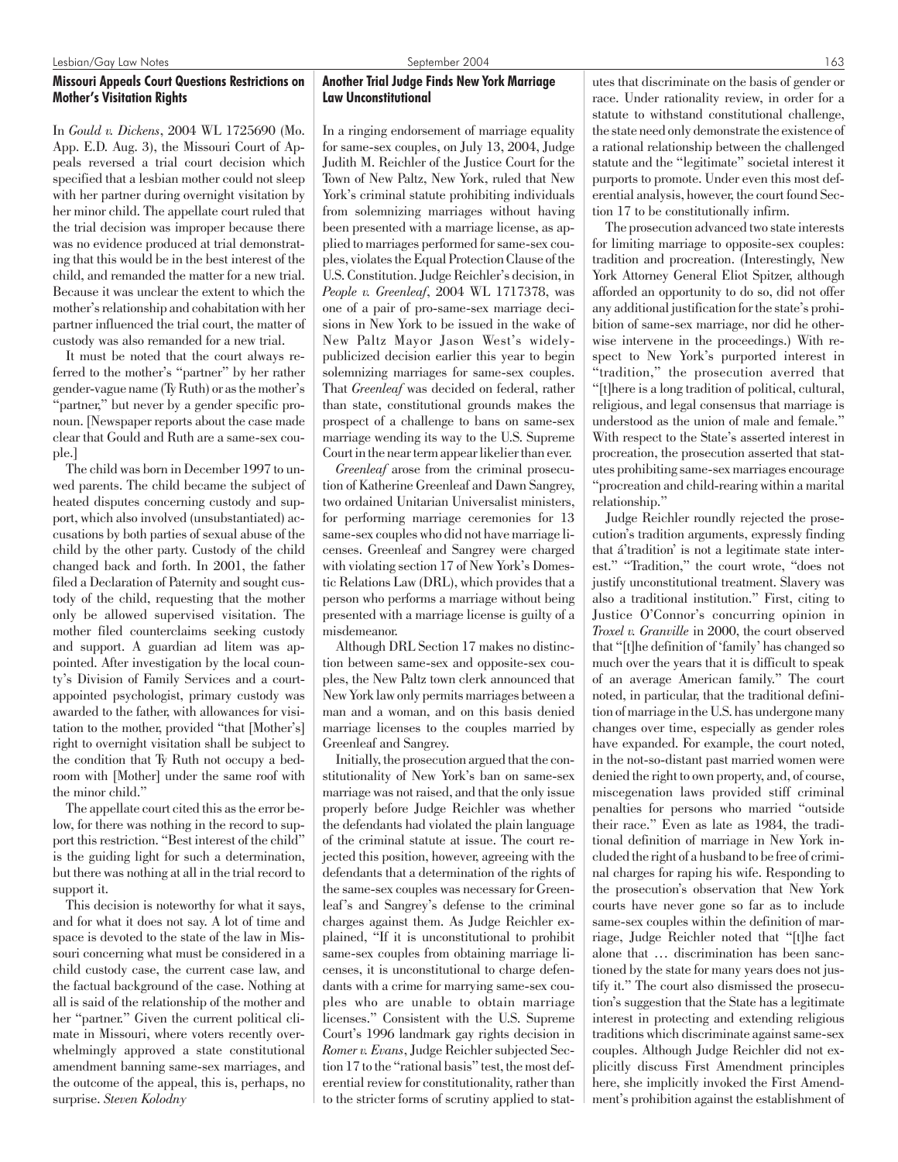# Missouri Appeals Court Questions Restrictions on Mother's Visitation Rights

In *Gould v. Dickens*, 2004 WL 1725690 (Mo. App. E.D. Aug. 3), the Missouri Court of Appeals reversed a trial court decision which specified that a lesbian mother could not sleep with her partner during overnight visitation by her minor child. The appellate court ruled that the trial decision was improper because there was no evidence produced at trial demonstrating that this would be in the best interest of the child, and remanded the matter for a new trial. Because it was unclear the extent to which the mother's relationship and cohabitation with her partner influenced the trial court, the matter of custody was also remanded for a new trial.

It must be noted that the court always referred to the mother's "partner" by her rather gender-vague name (Ty Ruth) or as the mother's "partner," but never by a gender specific pronoun. [Newspaper reports about the case made clear that Gould and Ruth are a same-sex couple.]

The child was born in December 1997 to unwed parents. The child became the subject of heated disputes concerning custody and support, which also involved (unsubstantiated) accusations by both parties of sexual abuse of the child by the other party. Custody of the child changed back and forth. In 2001, the father filed a Declaration of Paternity and sought custody of the child, requesting that the mother only be allowed supervised visitation. The mother filed counterclaims seeking custody and support. A guardian ad litem was appointed. After investigation by the local county's Division of Family Services and a courtappointed psychologist, primary custody was awarded to the father, with allowances for visitation to the mother, provided "that [Mother's] right to overnight visitation shall be subject to the condition that Ty Ruth not occupy a bedroom with [Mother] under the same roof with the minor child."

The appellate court cited this as the error below, for there was nothing in the record to support this restriction. "Best interest of the child" is the guiding light for such a determination, but there was nothing at all in the trial record to support it.

This decision is noteworthy for what it says, and for what it does not say. A lot of time and space is devoted to the state of the law in Missouri concerning what must be considered in a child custody case, the current case law, and the factual background of the case. Nothing at all is said of the relationship of the mother and her "partner." Given the current political climate in Missouri, where voters recently overwhelmingly approved a state constitutional amendment banning same-sex marriages, and the outcome of the appeal, this is, perhaps, no surprise. *Steven Kolodny*

# Another Trial Judge Finds New York Marriage Law Unconstitutional

In a ringing endorsement of marriage equality for same-sex couples, on July 13, 2004, Judge Judith M. Reichler of the Justice Court for the Town of New Paltz, New York, ruled that New York's criminal statute prohibiting individuals from solemnizing marriages without having been presented with a marriage license, as applied to marriages performed for same-sex couples, violates the Equal Protection Clause of the U.S. Constitution. Judge Reichler's decision, in *People v. Greenleaf*, 2004 WL 1717378, was one of a pair of pro-same-sex marriage decisions in New York to be issued in the wake of New Paltz Mayor Jason West's widelypublicized decision earlier this year to begin solemnizing marriages for same-sex couples. That *Greenleaf* was decided on federal, rather than state, constitutional grounds makes the prospect of a challenge to bans on same-sex marriage wending its way to the U.S. Supreme Court in the near term appear likelier than ever.

*Greenleaf* arose from the criminal prosecution of Katherine Greenleaf and Dawn Sangrey, two ordained Unitarian Universalist ministers, for performing marriage ceremonies for 13 same-sex couples who did not have marriage licenses. Greenleaf and Sangrey were charged with violating section 17 of New York's Domestic Relations Law (DRL), which provides that a person who performs a marriage without being presented with a marriage license is guilty of a misdemeanor.

Although DRL Section 17 makes no distinction between same-sex and opposite-sex couples, the New Paltz town clerk announced that New York law only permits marriages between a man and a woman, and on this basis denied marriage licenses to the couples married by Greenleaf and Sangrey.

Initially, the prosecution argued that the constitutionality of New York's ban on same-sex marriage was not raised, and that the only issue properly before Judge Reichler was whether the defendants had violated the plain language of the criminal statute at issue. The court rejected this position, however, agreeing with the defendants that a determination of the rights of the same-sex couples was necessary for Greenleaf's and Sangrey's defense to the criminal charges against them. As Judge Reichler explained, "If it is unconstitutional to prohibit same-sex couples from obtaining marriage licenses, it is unconstitutional to charge defendants with a crime for marrying same-sex couples who are unable to obtain marriage licenses." Consistent with the U.S. Supreme Court's 1996 landmark gay rights decision in *Romer v. Evans*, Judge Reichler subjected Section 17 to the "rational basis" test, the most deferential review for constitutionality, rather than to the stricter forms of scrutiny applied to statutes that discriminate on the basis of gender or race. Under rationality review, in order for a statute to withstand constitutional challenge, the state need only demonstrate the existence of a rational relationship between the challenged statute and the "legitimate" societal interest it purports to promote. Under even this most deferential analysis, however, the court found Section 17 to be constitutionally infirm.

The prosecution advanced two state interests for limiting marriage to opposite-sex couples: tradition and procreation. (Interestingly, New York Attorney General Eliot Spitzer, although afforded an opportunity to do so, did not offer any additional justification for the state's prohibition of same-sex marriage, nor did he otherwise intervene in the proceedings.) With respect to New York's purported interest in "tradition," the prosecution averred that "[t]here is a long tradition of political, cultural, religious, and legal consensus that marriage is understood as the union of male and female." With respect to the State's asserted interest in procreation, the prosecution asserted that statutes prohibiting same-sex marriages encourage "procreation and child-rearing within a marital relationship."

Judge Reichler roundly rejected the prosecution's tradition arguments, expressly finding that á'tradition' is not a legitimate state interest." "Tradition," the court wrote, "does not justify unconstitutional treatment. Slavery was also a traditional institution." First, citing to Justice O'Connor's concurring opinion in *Troxel v. Granville* in 2000, the court observed that "[t]he definition of 'family' has changed so much over the years that it is difficult to speak of an average American family." The court noted, in particular, that the traditional definition of marriage in the U.S. has undergone many changes over time, especially as gender roles have expanded. For example, the court noted, in the not-so-distant past married women were denied the right to own property, and, of course, miscegenation laws provided stiff criminal penalties for persons who married "outside their race." Even as late as 1984, the traditional definition of marriage in New York included the right of a husband to be free of criminal charges for raping his wife. Responding to the prosecution's observation that New York courts have never gone so far as to include same-sex couples within the definition of marriage, Judge Reichler noted that "[t]he fact alone that … discrimination has been sanctioned by the state for many years does not justify it." The court also dismissed the prosecution's suggestion that the State has a legitimate interest in protecting and extending religious traditions which discriminate against same-sex couples. Although Judge Reichler did not explicitly discuss First Amendment principles here, she implicitly invoked the First Amendment's prohibition against the establishment of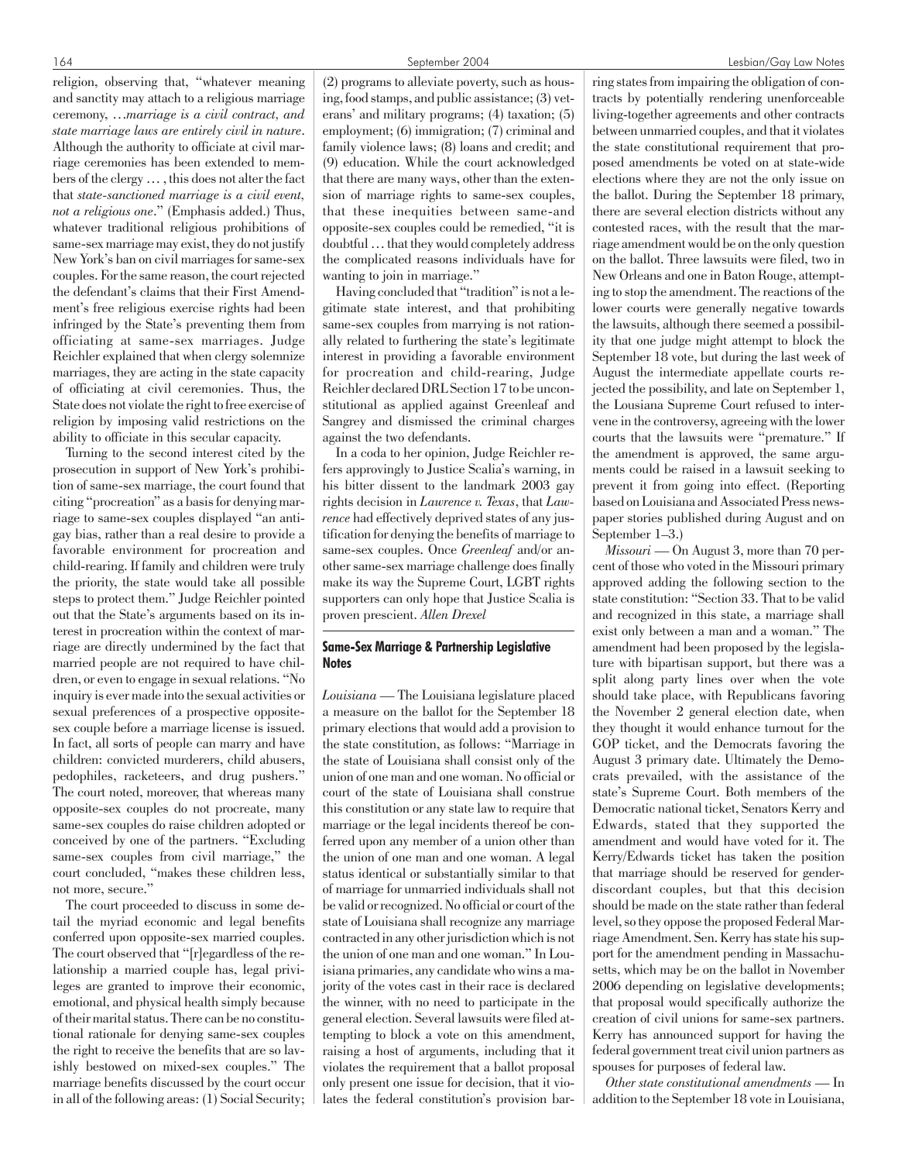religion, observing that, "whatever meaning and sanctity may attach to a religious marriage ceremony, …*marriage is a civil contract, and state marriage laws are entirely civil in nature*. Although the authority to officiate at civil marriage ceremonies has been extended to members of the clergy … , this does not alter the fact that *state-sanctioned marriage is a civil event, not a religious one*." (Emphasis added.) Thus, whatever traditional religious prohibitions of same-sex marriage may exist, they do not justify New York's ban on civil marriages for same-sex couples. For the same reason, the court rejected the defendant's claims that their First Amendment's free religious exercise rights had been infringed by the State's preventing them from officiating at same-sex marriages. Judge Reichler explained that when clergy solemnize marriages, they are acting in the state capacity of officiating at civil ceremonies. Thus, the State does not violate the right to free exercise of religion by imposing valid restrictions on the ability to officiate in this secular capacity.

Turning to the second interest cited by the prosecution in support of New York's prohibition of same-sex marriage, the court found that citing "procreation" as a basis for denying marriage to same-sex couples displayed "an antigay bias, rather than a real desire to provide a favorable environment for procreation and child-rearing. If family and children were truly the priority, the state would take all possible steps to protect them." Judge Reichler pointed out that the State's arguments based on its interest in procreation within the context of marriage are directly undermined by the fact that married people are not required to have children, or even to engage in sexual relations. "No inquiry is ever made into the sexual activities or sexual preferences of a prospective oppositesex couple before a marriage license is issued. In fact, all sorts of people can marry and have children: convicted murderers, child abusers, pedophiles, racketeers, and drug pushers." The court noted, moreover, that whereas many opposite-sex couples do not procreate, many same-sex couples do raise children adopted or conceived by one of the partners. "Excluding same-sex couples from civil marriage," the court concluded, "makes these children less, not more, secure."

The court proceeded to discuss in some detail the myriad economic and legal benefits conferred upon opposite-sex married couples. The court observed that "[r]egardless of the relationship a married couple has, legal privileges are granted to improve their economic, emotional, and physical health simply because of their marital status. There can be no constitutional rationale for denying same-sex couples the right to receive the benefits that are so lavishly bestowed on mixed-sex couples." The marriage benefits discussed by the court occur in all of the following areas: (1) Social Security;

(2) programs to alleviate poverty, such as housing, food stamps, and public assistance; (3) veterans' and military programs; (4) taxation; (5) employment; (6) immigration; (7) criminal and family violence laws; (8) loans and credit; and (9) education. While the court acknowledged that there are many ways, other than the extension of marriage rights to same-sex couples, that these inequities between same-and opposite-sex couples could be remedied, "it is doubtful … that they would completely address the complicated reasons individuals have for wanting to join in marriage."

Having concluded that "tradition" is not a legitimate state interest, and that prohibiting same-sex couples from marrying is not rationally related to furthering the state's legitimate interest in providing a favorable environment for procreation and child-rearing, Judge Reichler declared DRL Section 17 to be unconstitutional as applied against Greenleaf and Sangrey and dismissed the criminal charges against the two defendants.

In a coda to her opinion, Judge Reichler refers approvingly to Justice Scalia's warning, in his bitter dissent to the landmark 2003 gay rights decision in *Lawrence v. Texas*, that *Lawrence* had effectively deprived states of any justification for denying the benefits of marriage to same-sex couples. Once *Greenleaf* and/or another same-sex marriage challenge does finally make its way the Supreme Court, LGBT rights supporters can only hope that Justice Scalia is proven prescient. *Allen Drexel*

#### Same-Sex Marriage & Partnership Legislative **Notes**

*Louisiana* — The Louisiana legislature placed a measure on the ballot for the September 18 primary elections that would add a provision to the state constitution, as follows: "Marriage in the state of Louisiana shall consist only of the union of one man and one woman. No official or court of the state of Louisiana shall construe this constitution or any state law to require that marriage or the legal incidents thereof be conferred upon any member of a union other than the union of one man and one woman. A legal status identical or substantially similar to that of marriage for unmarried individuals shall not be valid or recognized. No official or court of the state of Louisiana shall recognize any marriage contracted in any other jurisdiction which is not the union of one man and one woman." In Louisiana primaries, any candidate who wins a majority of the votes cast in their race is declared the winner, with no need to participate in the general election. Several lawsuits were filed attempting to block a vote on this amendment, raising a host of arguments, including that it violates the requirement that a ballot proposal only present one issue for decision, that it violates the federal constitution's provision bar-

ring states from impairing the obligation of contracts by potentially rendering unenforceable living-together agreements and other contracts between unmarried couples, and that it violates the state constitutional requirement that proposed amendments be voted on at state-wide elections where they are not the only issue on the ballot. During the September 18 primary, there are several election districts without any contested races, with the result that the marriage amendment would be on the only question on the ballot. Three lawsuits were filed, two in New Orleans and one in Baton Rouge, attempting to stop the amendment. The reactions of the lower courts were generally negative towards the lawsuits, although there seemed a possibility that one judge might attempt to block the September 18 vote, but during the last week of August the intermediate appellate courts rejected the possibility, and late on September 1, the Lousiana Supreme Court refused to intervene in the controversy, agreeing with the lower courts that the lawsuits were "premature." If the amendment is approved, the same arguments could be raised in a lawsuit seeking to prevent it from going into effect. (Reporting based on Louisiana and Associated Press newspaper stories published during August and on September 1–3.)

*Missouri* — On August 3, more than 70 percent of those who voted in the Missouri primary approved adding the following section to the state constitution: "Section 33. That to be valid and recognized in this state, a marriage shall exist only between a man and a woman." The amendment had been proposed by the legislature with bipartisan support, but there was a split along party lines over when the vote should take place, with Republicans favoring the November 2 general election date, when they thought it would enhance turnout for the GOP ticket, and the Democrats favoring the August 3 primary date. Ultimately the Democrats prevailed, with the assistance of the state's Supreme Court. Both members of the Democratic national ticket, Senators Kerry and Edwards, stated that they supported the amendment and would have voted for it. The Kerry/Edwards ticket has taken the position that marriage should be reserved for genderdiscordant couples, but that this decision should be made on the state rather than federal level, so they oppose the proposed Federal Marriage Amendment. Sen. Kerry has state his support for the amendment pending in Massachusetts, which may be on the ballot in November 2006 depending on legislative developments; that proposal would specifically authorize the creation of civil unions for same-sex partners. Kerry has announced support for having the federal government treat civil union partners as spouses for purposes of federal law.

*Other state constitutional amendments* — In addition to the September 18 vote in Louisiana,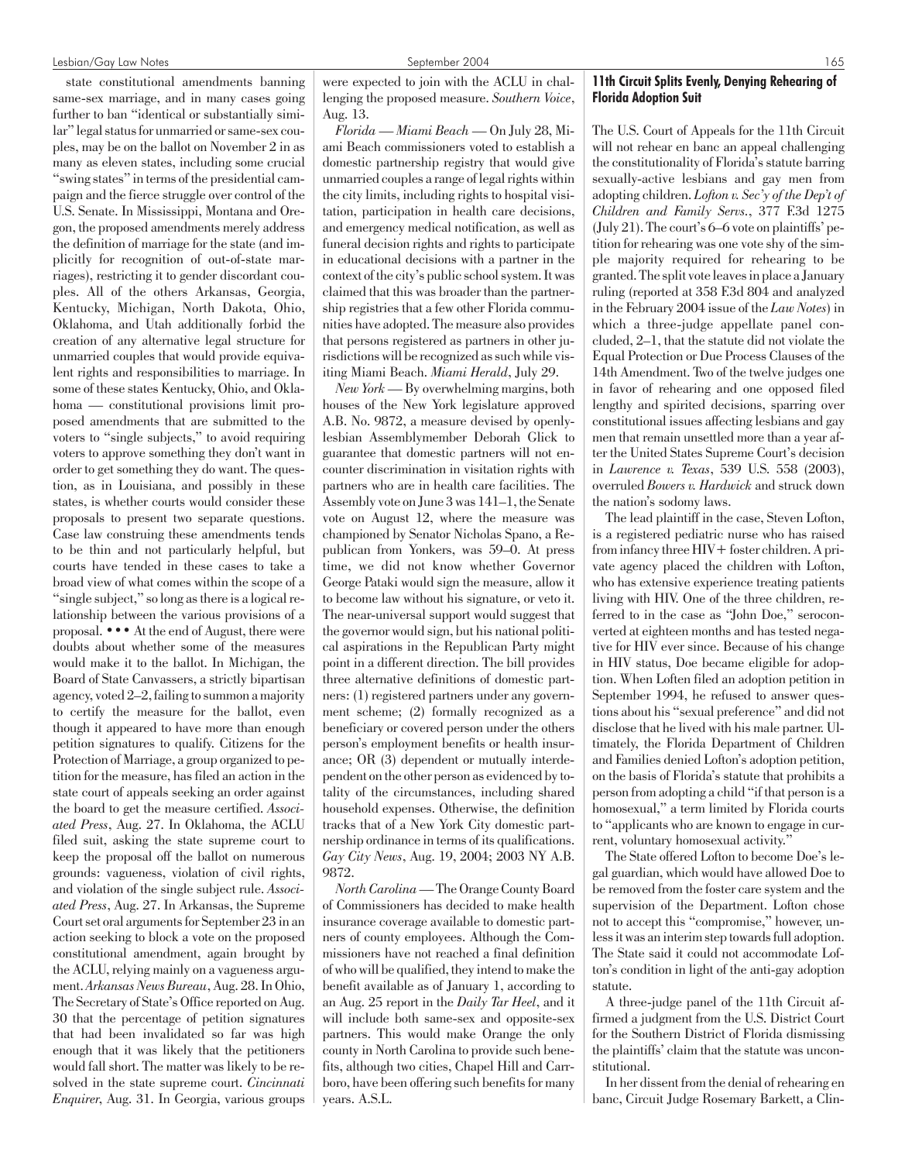state constitutional amendments banning same-sex marriage, and in many cases going further to ban "identical or substantially similar" legal status for unmarried or same-sex couples, may be on the ballot on November 2 in as many as eleven states, including some crucial "swing states" in terms of the presidential campaign and the fierce struggle over control of the U.S. Senate. In Mississippi, Montana and Oregon, the proposed amendments merely address the definition of marriage for the state (and implicitly for recognition of out-of-state marriages), restricting it to gender discordant couples. All of the others Arkansas, Georgia, Kentucky, Michigan, North Dakota, Ohio, Oklahoma, and Utah additionally forbid the creation of any alternative legal structure for unmarried couples that would provide equivalent rights and responsibilities to marriage. In some of these states Kentucky, Ohio, and Oklahoma — constitutional provisions limit proposed amendments that are submitted to the voters to "single subjects," to avoid requiring voters to approve something they don't want in order to get something they do want. The question, as in Louisiana, and possibly in these states, is whether courts would consider these proposals to present two separate questions. Case law construing these amendments tends to be thin and not particularly helpful, but courts have tended in these cases to take a broad view of what comes within the scope of a "single subject," so long as there is a logical relationship between the various provisions of a proposal. ••• At the end of August, there were doubts about whether some of the measures would make it to the ballot. In Michigan, the Board of State Canvassers, a strictly bipartisan agency, voted 2–2, failing to summon a majority to certify the measure for the ballot, even though it appeared to have more than enough petition signatures to qualify. Citizens for the Protection of Marriage, a group organized to petition for the measure, has filed an action in the state court of appeals seeking an order against the board to get the measure certified. *Associated Press*, Aug. 27. In Oklahoma, the ACLU filed suit, asking the state supreme court to keep the proposal off the ballot on numerous grounds: vagueness, violation of civil rights, and violation of the single subject rule. *Associated Press*, Aug. 27. In Arkansas, the Supreme Court set oral arguments for September 23 in an action seeking to block a vote on the proposed constitutional amendment, again brought by the ACLU, relying mainly on a vagueness argument. *Arkansas News Bureau*, Aug. 28. In Ohio, The Secretary of State's Office reported on Aug. 30 that the percentage of petition signatures that had been invalidated so far was high enough that it was likely that the petitioners would fall short. The matter was likely to be resolved in the state supreme court. *Cincinnati Enquirer*, Aug. 31. In Georgia, various groups

were expected to join with the ACLU in challenging the proposed measure. *Southern Voice*, Aug. 13.

*Florida — Miami Beach* — On July 28, Miami Beach commissioners voted to establish a domestic partnership registry that would give unmarried couples a range of legal rights within the city limits, including rights to hospital visitation, participation in health care decisions, and emergency medical notification, as well as funeral decision rights and rights to participate in educational decisions with a partner in the context of the city's public school system. It was claimed that this was broader than the partnership registries that a few other Florida communities have adopted. The measure also provides that persons registered as partners in other jurisdictions will be recognized as such while visiting Miami Beach. *Miami Herald*, July 29.

*New York* — By overwhelming margins, both houses of the New York legislature approved A.B. No. 9872, a measure devised by openlylesbian Assemblymember Deborah Glick to guarantee that domestic partners will not encounter discrimination in visitation rights with partners who are in health care facilities. The Assembly vote on June 3 was 141–1, the Senate vote on August 12, where the measure was championed by Senator Nicholas Spano, a Republican from Yonkers, was 59–0. At press time, we did not know whether Governor George Pataki would sign the measure, allow it to become law without his signature, or veto it. The near-universal support would suggest that the governor would sign, but his national political aspirations in the Republican Party might point in a different direction. The bill provides three alternative definitions of domestic partners: (1) registered partners under any government scheme; (2) formally recognized as a beneficiary or covered person under the others person's employment benefits or health insurance; OR (3) dependent or mutually interdependent on the other person as evidenced by totality of the circumstances, including shared household expenses. Otherwise, the definition tracks that of a New York City domestic partnership ordinance in terms of its qualifications. *Gay City News*, Aug. 19, 2004; 2003 NY A.B. 9872.

*North Carolina*— The Orange County Board of Commissioners has decided to make health insurance coverage available to domestic partners of county employees. Although the Commissioners have not reached a final definition of who will be qualified, they intend to make the benefit available as of January 1, according to an Aug. 25 report in the *Daily Tar Heel*, and it will include both same-sex and opposite-sex partners. This would make Orange the only county in North Carolina to provide such benefits, although two cities, Chapel Hill and Carrboro, have been offering such benefits for many years. A.S.L.

# 11th Circuit Splits Evenly, Denying Rehearing of Florida Adoption Suit

The U.S. Court of Appeals for the 11th Circuit will not rehear en banc an appeal challenging the constitutionality of Florida's statute barring sexually-active lesbians and gay men from adopting children. *Lofton v. Sec'y of the Dep't of Children and Family Servs.*, 377 F.3d 1275 (July 21). The court's 6–6 vote on plaintiffs' petition for rehearing was one vote shy of the simple majority required for rehearing to be granted. The split vote leaves in place a January ruling (reported at 358 F.3d 804 and analyzed in the February 2004 issue of the *Law Notes*) in which a three-judge appellate panel concluded, 2–1, that the statute did not violate the Equal Protection or Due Process Clauses of the 14th Amendment. Two of the twelve judges one in favor of rehearing and one opposed filed lengthy and spirited decisions, sparring over constitutional issues affecting lesbians and gay men that remain unsettled more than a year after the United States Supreme Court's decision in *Lawrence v. Texas*, 539 U.S. 558 (2003), overruled *Bowers v. Hardwick* and struck down the nation's sodomy laws.

The lead plaintiff in the case, Steven Lofton, is a registered pediatric nurse who has raised from infancy three HIV + foster children. A private agency placed the children with Lofton, who has extensive experience treating patients living with HIV. One of the three children, referred to in the case as "John Doe," seroconverted at eighteen months and has tested negative for HIV ever since. Because of his change in HIV status, Doe became eligible for adoption. When Loften filed an adoption petition in September 1994, he refused to answer questions about his "sexual preference" and did not disclose that he lived with his male partner. Ultimately, the Florida Department of Children and Families denied Lofton's adoption petition, on the basis of Florida's statute that prohibits a person from adopting a child "if that person is a homosexual," a term limited by Florida courts to "applicants who are known to engage in current, voluntary homosexual activity."

The State offered Lofton to become Doe's legal guardian, which would have allowed Doe to be removed from the foster care system and the supervision of the Department. Lofton chose not to accept this "compromise," however, unless it was an interim step towards full adoption. The State said it could not accommodate Lofton's condition in light of the anti-gay adoption statute.

A three-judge panel of the 11th Circuit affirmed a judgment from the U.S. District Court for the Southern District of Florida dismissing the plaintiffs' claim that the statute was unconstitutional.

In her dissent from the denial of rehearing en banc, Circuit Judge Rosemary Barkett, a Clin-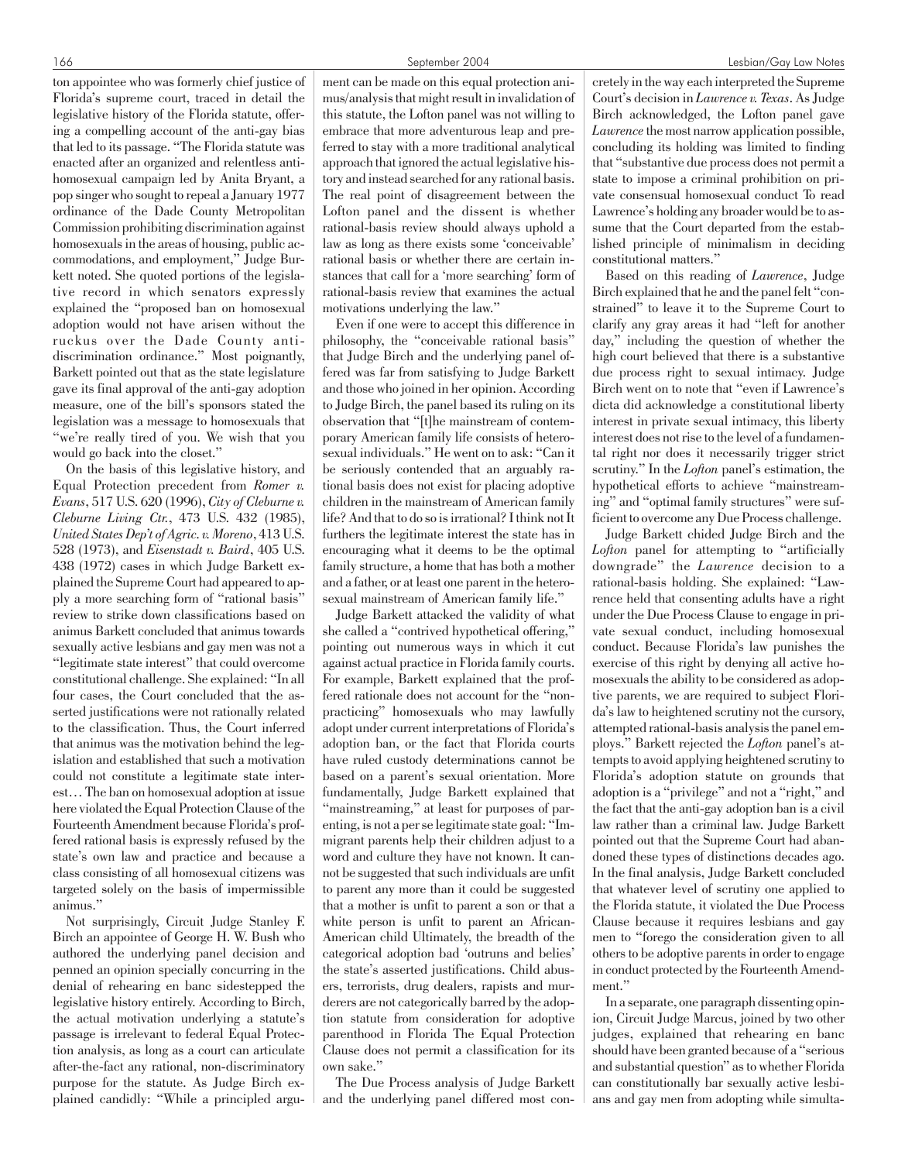ton appointee who was formerly chief justice of Florida's supreme court, traced in detail the legislative history of the Florida statute, offering a compelling account of the anti-gay bias that led to its passage. "The Florida statute was enacted after an organized and relentless antihomosexual campaign led by Anita Bryant, a pop singer who sought to repeal a January 1977 ordinance of the Dade County Metropolitan Commission prohibiting discrimination against homosexuals in the areas of housing, public accommodations, and employment," Judge Burkett noted. She quoted portions of the legislative record in which senators expressly explained the "proposed ban on homosexual adoption would not have arisen without the ruckus over the Dade County antidiscrimination ordinance." Most poignantly, Barkett pointed out that as the state legislature gave its final approval of the anti-gay adoption measure, one of the bill's sponsors stated the legislation was a message to homosexuals that "we're really tired of you. We wish that you would go back into the closet."

On the basis of this legislative history, and Equal Protection precedent from *Romer v. Evans*, 517 U.S. 620 (1996), *City of Cleburne v. Cleburne Living Ctr.*, 473 U.S. 432 (1985), *United States Dep't of Agric. v. Moreno*, 413 U.S. 528 (1973), and *Eisenstadt v. Baird*, 405 U.S. 438 (1972) cases in which Judge Barkett explained the Supreme Court had appeared to apply a more searching form of "rational basis" review to strike down classifications based on animus Barkett concluded that animus towards sexually active lesbians and gay men was not a "legitimate state interest" that could overcome constitutional challenge. She explained: "In all four cases, the Court concluded that the asserted justifications were not rationally related to the classification. Thus, the Court inferred that animus was the motivation behind the legislation and established that such a motivation could not constitute a legitimate state interest… The ban on homosexual adoption at issue here violated the Equal Protection Clause of the Fourteenth Amendment because Florida's proffered rational basis is expressly refused by the state's own law and practice and because a class consisting of all homosexual citizens was targeted solely on the basis of impermissible animus."

Not surprisingly, Circuit Judge Stanley F. Birch an appointee of George H. W. Bush who authored the underlying panel decision and penned an opinion specially concurring in the denial of rehearing en banc sidestepped the legislative history entirely. According to Birch, the actual motivation underlying a statute's passage is irrelevant to federal Equal Protection analysis, as long as a court can articulate after-the-fact any rational, non-discriminatory purpose for the statute. As Judge Birch explained candidly: "While a principled argument can be made on this equal protection animus/analysis that might result in invalidation of this statute, the Lofton panel was not willing to embrace that more adventurous leap and preferred to stay with a more traditional analytical approach that ignored the actual legislative history and instead searched for any rational basis. The real point of disagreement between the Lofton panel and the dissent is whether rational-basis review should always uphold a law as long as there exists some 'conceivable' rational basis or whether there are certain instances that call for a 'more searching' form of rational-basis review that examines the actual motivations underlying the law."

Even if one were to accept this difference in philosophy, the "conceivable rational basis" that Judge Birch and the underlying panel offered was far from satisfying to Judge Barkett and those who joined in her opinion. According to Judge Birch, the panel based its ruling on its observation that "[t]he mainstream of contemporary American family life consists of heterosexual individuals." He went on to ask: "Can it be seriously contended that an arguably rational basis does not exist for placing adoptive children in the mainstream of American family life? And that to do so is irrational? I think not It furthers the legitimate interest the state has in encouraging what it deems to be the optimal family structure, a home that has both a mother and a father, or at least one parent in the heterosexual mainstream of American family life."

Judge Barkett attacked the validity of what she called a "contrived hypothetical offering," pointing out numerous ways in which it cut against actual practice in Florida family courts. For example, Barkett explained that the proffered rationale does not account for the "nonpracticing" homosexuals who may lawfully adopt under current interpretations of Florida's adoption ban, or the fact that Florida courts have ruled custody determinations cannot be based on a parent's sexual orientation. More fundamentally, Judge Barkett explained that "mainstreaming," at least for purposes of parenting, is not a per se legitimate state goal: "Immigrant parents help their children adjust to a word and culture they have not known. It cannot be suggested that such individuals are unfit to parent any more than it could be suggested that a mother is unfit to parent a son or that a white person is unfit to parent an African-American child Ultimately, the breadth of the categorical adoption bad 'outruns and belies' the state's asserted justifications. Child abusers, terrorists, drug dealers, rapists and murderers are not categorically barred by the adoption statute from consideration for adoptive parenthood in Florida The Equal Protection Clause does not permit a classification for its own sake."

The Due Process analysis of Judge Barkett and the underlying panel differed most con-

cretely in the way each interpreted the Supreme Court's decision in *Lawrence v. Texas*. As Judge Birch acknowledged, the Lofton panel gave *Lawrence*the most narrow application possible, concluding its holding was limited to finding that "substantive due process does not permit a state to impose a criminal prohibition on private consensual homosexual conduct To read Lawrence's holding any broader would be to assume that the Court departed from the established principle of minimalism in deciding constitutional matters."

Based on this reading of *Lawrence*, Judge Birch explained that he and the panel felt "constrained" to leave it to the Supreme Court to clarify any gray areas it had "left for another day," including the question of whether the high court believed that there is a substantive due process right to sexual intimacy. Judge Birch went on to note that "even if Lawrence's dicta did acknowledge a constitutional liberty interest in private sexual intimacy, this liberty interest does not rise to the level of a fundamental right nor does it necessarily trigger strict scrutiny." In the *Lofton* panel's estimation, the hypothetical efforts to achieve "mainstreaming" and "optimal family structures" were sufficient to overcome any Due Process challenge.

Judge Barkett chided Judge Birch and the *Lofton* panel for attempting to "artificially downgrade" the *Lawrence* decision to a rational-basis holding. She explained: "Lawrence held that consenting adults have a right under the Due Process Clause to engage in private sexual conduct, including homosexual conduct. Because Florida's law punishes the exercise of this right by denying all active homosexuals the ability to be considered as adoptive parents, we are required to subject Florida's law to heightened scrutiny not the cursory, attempted rational-basis analysis the panel employs." Barkett rejected the *Lofton* panel's attempts to avoid applying heightened scrutiny to Florida's adoption statute on grounds that adoption is a "privilege" and not a "right," and the fact that the anti-gay adoption ban is a civil law rather than a criminal law. Judge Barkett pointed out that the Supreme Court had abandoned these types of distinctions decades ago. In the final analysis, Judge Barkett concluded that whatever level of scrutiny one applied to the Florida statute, it violated the Due Process Clause because it requires lesbians and gay men to "forego the consideration given to all others to be adoptive parents in order to engage in conduct protected by the Fourteenth Amendment."

In a separate, one paragraph dissenting opinion, Circuit Judge Marcus, joined by two other judges, explained that rehearing en banc should have been granted because of a "serious and substantial question" as to whether Florida can constitutionally bar sexually active lesbians and gay men from adopting while simulta-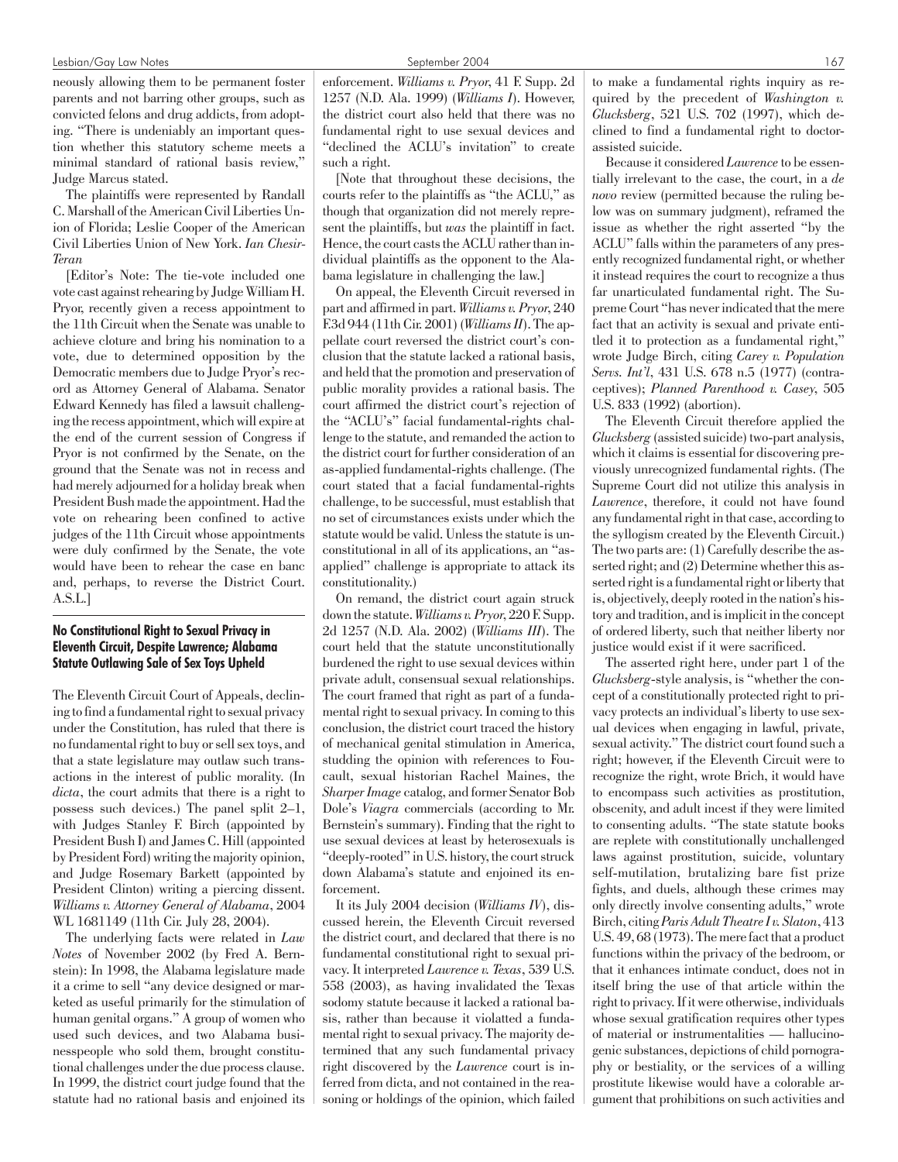#### Lesbian/Gay Law Notes and the September 2004 167 september 2004 167 september 2004 167 september 2004 167 september 2004 167 september 2004 167 september 2004 167 september 2004 167 september 2004 167 september 2004 167 se

neously allowing them to be permanent foster parents and not barring other groups, such as convicted felons and drug addicts, from adopting. "There is undeniably an important question whether this statutory scheme meets a minimal standard of rational basis review," Judge Marcus stated.

The plaintiffs were represented by Randall C. Marshall of the American Civil Liberties Union of Florida; Leslie Cooper of the American Civil Liberties Union of New York. *Ian Chesir-Teran*

[Editor's Note: The tie-vote included one vote cast against rehearing by Judge William H. Pryor, recently given a recess appointment to the 11th Circuit when the Senate was unable to achieve cloture and bring his nomination to a vote, due to determined opposition by the Democratic members due to Judge Pryor's record as Attorney General of Alabama. Senator Edward Kennedy has filed a lawsuit challenging the recess appointment, which will expire at the end of the current session of Congress if Pryor is not confirmed by the Senate, on the ground that the Senate was not in recess and had merely adjourned for a holiday break when President Bush made the appointment. Had the vote on rehearing been confined to active judges of the 11th Circuit whose appointments were duly confirmed by the Senate, the vote would have been to rehear the case en banc and, perhaps, to reverse the District Court. A.S.L.]

# No Constitutional Right to Sexual Privacy in Eleventh Circuit, Despite Lawrence; Alabama Statute Outlawing Sale of Sex Toys Upheld

The Eleventh Circuit Court of Appeals, declining to find a fundamental right to sexual privacy under the Constitution, has ruled that there is no fundamental right to buy or sell sex toys, and that a state legislature may outlaw such transactions in the interest of public morality. (In *dicta*, the court admits that there is a right to possess such devices.) The panel split 2–1, with Judges Stanley F. Birch (appointed by President Bush I) and James C. Hill (appointed by President Ford) writing the majority opinion, and Judge Rosemary Barkett (appointed by President Clinton) writing a piercing dissent. *Williams v. Attorney General of Alabama*, 2004 WL 1681149 (11th Cir. July 28, 2004).

The underlying facts were related in *Law Notes* of November 2002 (by Fred A. Bernstein): In 1998, the Alabama legislature made it a crime to sell "any device designed or marketed as useful primarily for the stimulation of human genital organs." A group of women who used such devices, and two Alabama businesspeople who sold them, brought constitutional challenges under the due process clause. In 1999, the district court judge found that the statute had no rational basis and enjoined its enforcement. *Williams v. Pryor*, 41 F. Supp. 2d 1257 (N.D. Ala. 1999) (*Williams I*). However, the district court also held that there was no fundamental right to use sexual devices and "declined the ACLU's invitation" to create such a right.

[Note that throughout these decisions, the courts refer to the plaintiffs as "the ACLU," as though that organization did not merely represent the plaintiffs, but *was* the plaintiff in fact. Hence, the court casts the ACLU rather than individual plaintiffs as the opponent to the Alabama legislature in challenging the law.]

On appeal, the Eleventh Circuit reversed in part and affirmed in part. *Williams v. Pryor*, 240 F.3d 944 (11th Cir. 2001) (*Williams II*). The appellate court reversed the district court's conclusion that the statute lacked a rational basis, and held that the promotion and preservation of public morality provides a rational basis. The court affirmed the district court's rejection of the "ACLU's" facial fundamental-rights challenge to the statute, and remanded the action to the district court for further consideration of an as-applied fundamental-rights challenge. (The court stated that a facial fundamental-rights challenge, to be successful, must establish that no set of circumstances exists under which the statute would be valid. Unless the statute is unconstitutional in all of its applications, an "asapplied" challenge is appropriate to attack its constitutionality.)

On remand, the district court again struck down the statute.*Williams v. Pryor*, 220 F. Supp. 2d 1257 (N.D. Ala. 2002) (*Williams III*). The court held that the statute unconstitutionally burdened the right to use sexual devices within private adult, consensual sexual relationships. The court framed that right as part of a fundamental right to sexual privacy. In coming to this conclusion, the district court traced the history of mechanical genital stimulation in America, studding the opinion with references to Foucault, sexual historian Rachel Maines, the *Sharper Image* catalog, and former Senator Bob Dole's *Viagra* commercials (according to Mr. Bernstein's summary). Finding that the right to use sexual devices at least by heterosexuals is "deeply-rooted" in U.S. history, the court struck down Alabama's statute and enjoined its enforcement.

It its July 2004 decision (*Williams IV*), discussed herein, the Eleventh Circuit reversed the district court, and declared that there is no fundamental constitutional right to sexual privacy. It interpreted *Lawrence v. Texas*, 539 U.S. 558 (2003), as having invalidated the Texas sodomy statute because it lacked a rational basis, rather than because it violatted a fundamental right to sexual privacy. The majority determined that any such fundamental privacy right discovered by the *Lawrence* court is inferred from dicta, and not contained in the reasoning or holdings of the opinion, which failed

to make a fundamental rights inquiry as required by the precedent of *Washington v. Glucksberg*, 521 U.S. 702 (1997), which declined to find a fundamental right to doctorassisted suicide.

Because it considered *Lawrence*to be essentially irrelevant to the case, the court, in a *de novo* review (permitted because the ruling below was on summary judgment), reframed the issue as whether the right asserted "by the ACLU" falls within the parameters of any presently recognized fundamental right, or whether it instead requires the court to recognize a thus far unarticulated fundamental right. The Supreme Court "has never indicated that the mere fact that an activity is sexual and private entitled it to protection as a fundamental right," wrote Judge Birch, citing *Carey v. Population Servs. Int'l*, 431 U.S. 678 n.5 (1977) (contraceptives); *Planned Parenthood v. Casey*, 505 U.S. 833 (1992) (abortion).

The Eleventh Circuit therefore applied the *Glucksberg* (assisted suicide) two-part analysis, which it claims is essential for discovering previously unrecognized fundamental rights. (The Supreme Court did not utilize this analysis in *Lawrence*, therefore, it could not have found any fundamental right in that case, according to the syllogism created by the Eleventh Circuit.) The two parts are: (1) Carefully describe the asserted right; and (2) Determine whether this asserted right is a fundamental right or liberty that is, objectively, deeply rooted in the nation's history and tradition, and is implicit in the concept of ordered liberty, such that neither liberty nor justice would exist if it were sacrificed.

The asserted right here, under part 1 of the *Glucksberg*-style analysis, is "whether the concept of a constitutionally protected right to privacy protects an individual's liberty to use sexual devices when engaging in lawful, private, sexual activity." The district court found such a right; however, if the Eleventh Circuit were to recognize the right, wrote Brich, it would have to encompass such activities as prostitution, obscenity, and adult incest if they were limited to consenting adults. "The state statute books are replete with constitutionally unchallenged laws against prostitution, suicide, voluntary self-mutilation, brutalizing bare fist prize fights, and duels, although these crimes may only directly involve consenting adults," wrote Birch, citing*Paris Adult Theatre I v. Slaton*, 413 U.S. 49, 68 (1973). The mere fact that a product functions within the privacy of the bedroom, or that it enhances intimate conduct, does not in itself bring the use of that article within the right to privacy. If it were otherwise, individuals whose sexual gratification requires other types of material or instrumentalities — hallucinogenic substances, depictions of child pornography or bestiality, or the services of a willing prostitute likewise would have a colorable argument that prohibitions on such activities and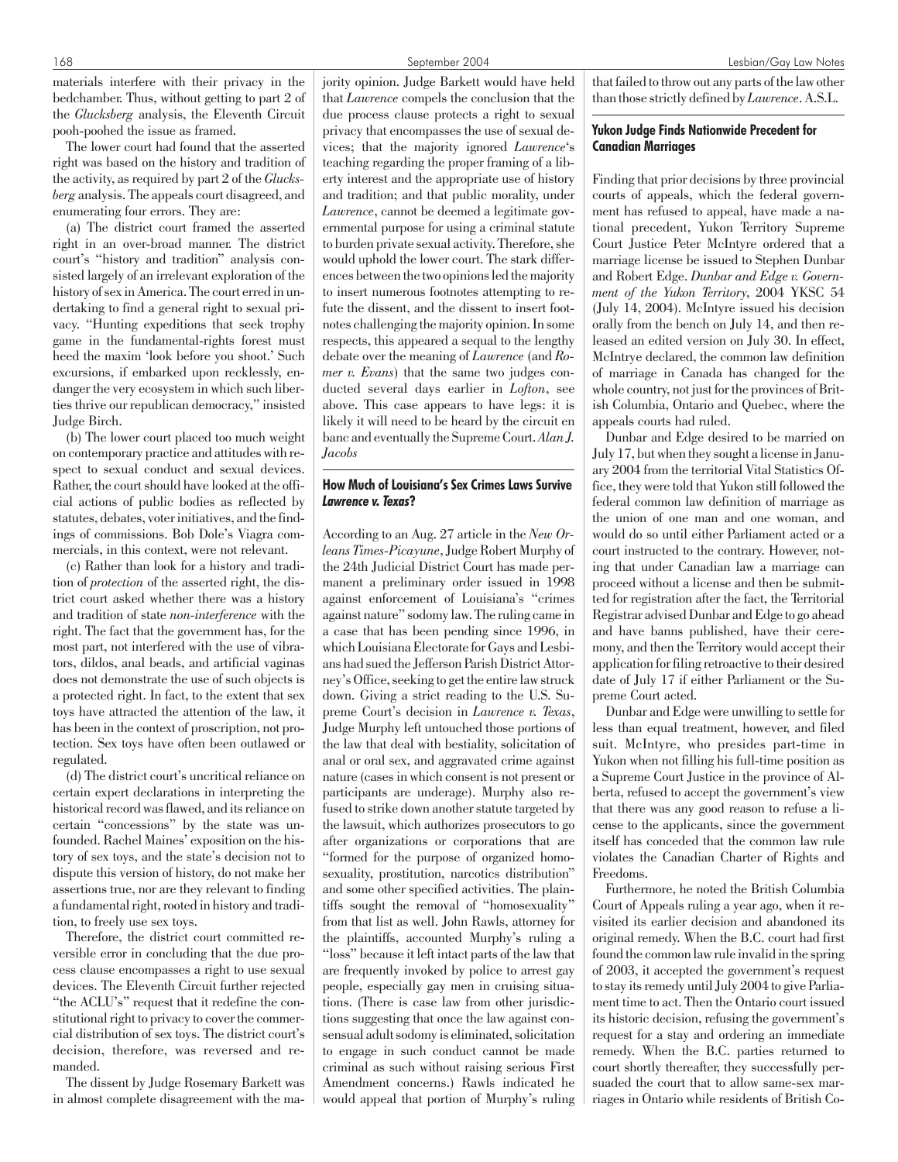materials interfere with their privacy in the bedchamber. Thus, without getting to part 2 of the *Glucksberg* analysis, the Eleventh Circuit pooh-poohed the issue as framed.

The lower court had found that the asserted right was based on the history and tradition of the activity, as required by part 2 of the *Glucksberg* analysis. The appeals court disagreed, and enumerating four errors. They are:

(a) The district court framed the asserted right in an over-broad manner. The district court's "history and tradition" analysis consisted largely of an irrelevant exploration of the history of sex in America. The court erred in undertaking to find a general right to sexual privacy. "Hunting expeditions that seek trophy game in the fundamental-rights forest must heed the maxim 'look before you shoot.' Such excursions, if embarked upon recklessly, endanger the very ecosystem in which such liberties thrive our republican democracy," insisted Judge Birch.

(b) The lower court placed too much weight on contemporary practice and attitudes with respect to sexual conduct and sexual devices. Rather, the court should have looked at the official actions of public bodies as reflected by statutes, debates, voter initiatives, and the findings of commissions. Bob Dole's Viagra commercials, in this context, were not relevant.

(c) Rather than look for a history and tradition of *protection* of the asserted right, the district court asked whether there was a history and tradition of state *non-interference* with the right. The fact that the government has, for the most part, not interfered with the use of vibrators, dildos, anal beads, and artificial vaginas does not demonstrate the use of such objects is a protected right. In fact, to the extent that sex toys have attracted the attention of the law, it has been in the context of proscription, not protection. Sex toys have often been outlawed or regulated.

(d) The district court's uncritical reliance on certain expert declarations in interpreting the historical record was flawed, and its reliance on certain "concessions" by the state was unfounded. Rachel Maines' exposition on the history of sex toys, and the state's decision not to dispute this version of history, do not make her assertions true, nor are they relevant to finding a fundamental right, rooted in history and tradition, to freely use sex toys.

Therefore, the district court committed reversible error in concluding that the due process clause encompasses a right to use sexual devices. The Eleventh Circuit further rejected "the ACLU's" request that it redefine the constitutional right to privacy to cover the commercial distribution of sex toys. The district court's decision, therefore, was reversed and remanded.

The dissent by Judge Rosemary Barkett was in almost complete disagreement with the majority opinion. Judge Barkett would have held that *Lawrence* compels the conclusion that the due process clause protects a right to sexual privacy that encompasses the use of sexual devices; that the majority ignored *Lawrence*'s teaching regarding the proper framing of a liberty interest and the appropriate use of history and tradition; and that public morality, under *Lawrence*, cannot be deemed a legitimate governmental purpose for using a criminal statute to burden private sexual activity. Therefore, she would uphold the lower court. The stark differences between the two opinions led the majority to insert numerous footnotes attempting to refute the dissent, and the dissent to insert footnotes challenging the majority opinion. In some respects, this appeared a sequal to the lengthy debate over the meaning of *Lawrence* (and *Romer v. Evans*) that the same two judges conducted several days earlier in *Lofton*, see above. This case appears to have legs: it is likely it will need to be heard by the circuit en banc and eventually the Supreme Court. *Alan J. Jacobs*

# How Much of Louisiana's Sex Crimes Laws Survive *Lawrence v. Texas*?

According to an Aug. 27 article in the *New Orleans Times-Picayune*, Judge Robert Murphy of the 24th Judicial District Court has made permanent a preliminary order issued in 1998 against enforcement of Louisiana's "crimes against nature" sodomy law. The ruling came in a case that has been pending since 1996, in which Louisiana Electorate for Gays and Lesbians had sued the Jefferson Parish District Attorney's Office, seeking to get the entire law struck down. Giving a strict reading to the U.S. Supreme Court's decision in *Lawrence v. Texas*, Judge Murphy left untouched those portions of the law that deal with bestiality, solicitation of anal or oral sex, and aggravated crime against nature (cases in which consent is not present or participants are underage). Murphy also refused to strike down another statute targeted by the lawsuit, which authorizes prosecutors to go after organizations or corporations that are "formed for the purpose of organized homosexuality, prostitution, narcotics distribution" and some other specified activities. The plaintiffs sought the removal of "homosexuality" from that list as well. John Rawls, attorney for the plaintiffs, accounted Murphy's ruling a "loss" because it left intact parts of the law that are frequently invoked by police to arrest gay people, especially gay men in cruising situations. (There is case law from other jurisdictions suggesting that once the law against consensual adult sodomy is eliminated, solicitation to engage in such conduct cannot be made criminal as such without raising serious First Amendment concerns.) Rawls indicated he would appeal that portion of Murphy's ruling that failed to throw out any parts of the law other than those strictly defined by*Lawrence*. A.S.L.

# Yukon Judge Finds Nationwide Precedent for Canadian Marriages

Finding that prior decisions by three provincial courts of appeals, which the federal government has refused to appeal, have made a national precedent, Yukon Territory Supreme Court Justice Peter McIntyre ordered that a marriage license be issued to Stephen Dunbar and Robert Edge. *Dunbar and Edge v. Government of the Yukon Territory*, 2004 YKSC 54 (July 14, 2004). McIntyre issued his decision orally from the bench on July 14, and then released an edited version on July 30. In effect, McIntrye declared, the common law definition of marriage in Canada has changed for the whole country, not just for the provinces of British Columbia, Ontario and Quebec, where the appeals courts had ruled.

Dunbar and Edge desired to be married on July 17, but when they sought a license in January 2004 from the territorial Vital Statistics Office, they were told that Yukon still followed the federal common law definition of marriage as the union of one man and one woman, and would do so until either Parliament acted or a court instructed to the contrary. However, noting that under Canadian law a marriage can proceed without a license and then be submitted for registration after the fact, the Territorial Registrar advised Dunbar and Edge to go ahead and have banns published, have their ceremony, and then the Territory would accept their application for filing retroactive to their desired date of July 17 if either Parliament or the Supreme Court acted.

Dunbar and Edge were unwilling to settle for less than equal treatment, however, and filed suit. McIntyre, who presides part-time in Yukon when not filling his full-time position as a Supreme Court Justice in the province of Alberta, refused to accept the government's view that there was any good reason to refuse a license to the applicants, since the government itself has conceded that the common law rule violates the Canadian Charter of Rights and Freedoms.

Furthermore, he noted the British Columbia Court of Appeals ruling a year ago, when it revisited its earlier decision and abandoned its original remedy. When the B.C. court had first found the common law rule invalid in the spring of 2003, it accepted the government's request to stay its remedy until July 2004 to give Parliament time to act. Then the Ontario court issued its historic decision, refusing the government's request for a stay and ordering an immediate remedy. When the B.C. parties returned to court shortly thereafter, they successfully persuaded the court that to allow same-sex marriages in Ontario while residents of British Co-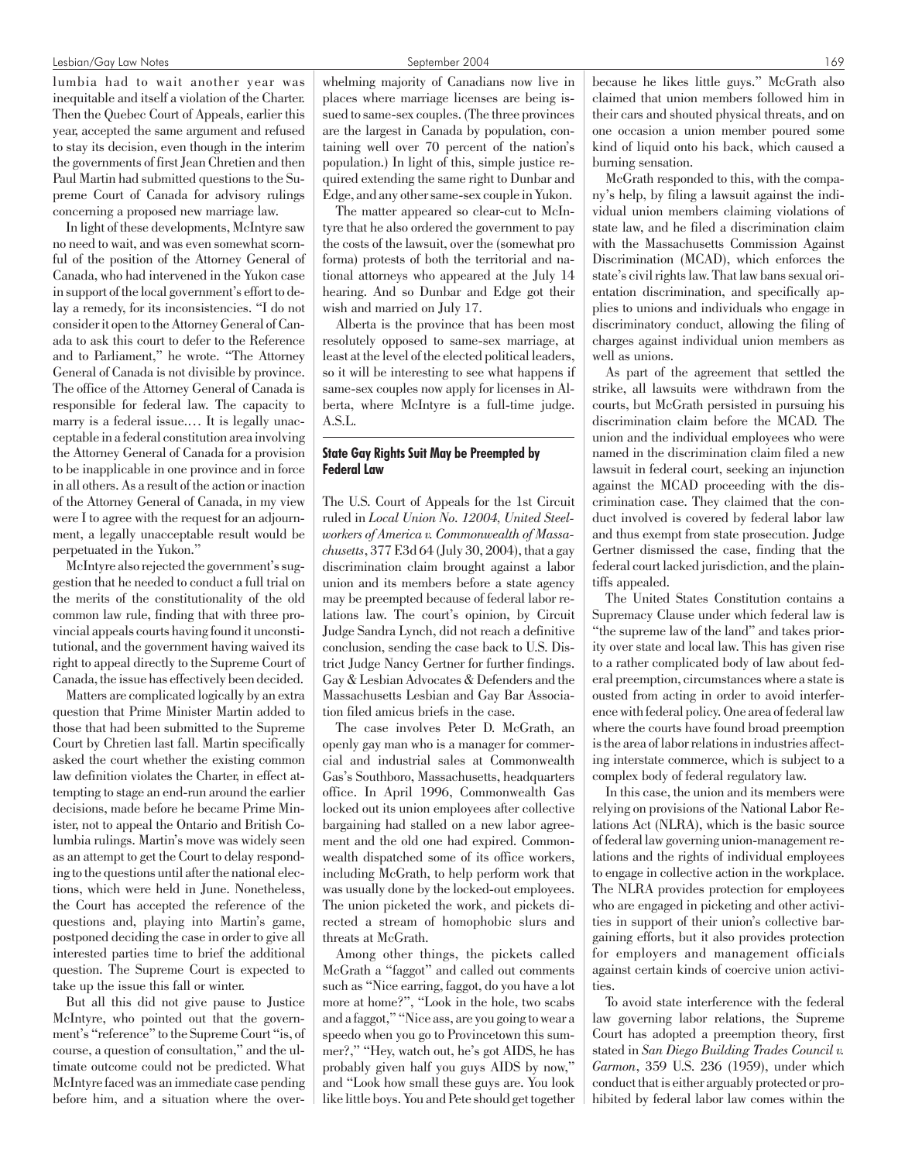#### Lesbian/Gay Law Notes September 2004 169

lumbia had to wait another year was inequitable and itself a violation of the Charter. Then the Quebec Court of Appeals, earlier this year, accepted the same argument and refused to stay its decision, even though in the interim the governments of first Jean Chretien and then Paul Martin had submitted questions to the Supreme Court of Canada for advisory rulings concerning a proposed new marriage law.

In light of these developments, McIntyre saw no need to wait, and was even somewhat scornful of the position of the Attorney General of Canada, who had intervened in the Yukon case in support of the local government's effort to delay a remedy, for its inconsistencies. "I do not consider it open to the Attorney General of Canada to ask this court to defer to the Reference and to Parliament," he wrote. "The Attorney General of Canada is not divisible by province. The office of the Attorney General of Canada is responsible for federal law. The capacity to marry is a federal issue.… It is legally unacceptable in a federal constitution area involving the Attorney General of Canada for a provision to be inapplicable in one province and in force in all others. As a result of the action or inaction of the Attorney General of Canada, in my view were I to agree with the request for an adjournment, a legally unacceptable result would be perpetuated in the Yukon."

McIntyre also rejected the government's suggestion that he needed to conduct a full trial on the merits of the constitutionality of the old common law rule, finding that with three provincial appeals courts having found it unconstitutional, and the government having waived its right to appeal directly to the Supreme Court of Canada, the issue has effectively been decided.

Matters are complicated logically by an extra question that Prime Minister Martin added to those that had been submitted to the Supreme Court by Chretien last fall. Martin specifically asked the court whether the existing common law definition violates the Charter, in effect attempting to stage an end-run around the earlier decisions, made before he became Prime Minister, not to appeal the Ontario and British Columbia rulings. Martin's move was widely seen as an attempt to get the Court to delay responding to the questions until after the national elections, which were held in June. Nonetheless, the Court has accepted the reference of the questions and, playing into Martin's game, postponed deciding the case in order to give all interested parties time to brief the additional question. The Supreme Court is expected to take up the issue this fall or winter.

But all this did not give pause to Justice McIntyre, who pointed out that the government's "reference" to the Supreme Court "is, of course, a question of consultation," and the ultimate outcome could not be predicted. What McIntyre faced was an immediate case pending before him, and a situation where the over-

whelming majority of Canadians now live in places where marriage licenses are being issued to same-sex couples. (The three provinces are the largest in Canada by population, containing well over 70 percent of the nation's population.) In light of this, simple justice required extending the same right to Dunbar and Edge, and any other same-sex couple in Yukon.

The matter appeared so clear-cut to McIntyre that he also ordered the government to pay the costs of the lawsuit, over the (somewhat pro forma) protests of both the territorial and national attorneys who appeared at the July 14 hearing. And so Dunbar and Edge got their wish and married on July 17.

Alberta is the province that has been most resolutely opposed to same-sex marriage, at least at the level of the elected political leaders, so it will be interesting to see what happens if same-sex couples now apply for licenses in Alberta, where McIntyre is a full-time judge. A.S.L.

# State Gay Rights Suit May be Preempted by Federal Law

The U.S. Court of Appeals for the 1st Circuit ruled in *Local Union No. 12004, United Steelworkers of America v. Commonwealth of Massachusetts*, 377 F.3d 64 (July 30, 2004), that a gay discrimination claim brought against a labor union and its members before a state agency may be preempted because of federal labor relations law. The court's opinion, by Circuit Judge Sandra Lynch, did not reach a definitive conclusion, sending the case back to U.S. District Judge Nancy Gertner for further findings. Gay & Lesbian Advocates & Defenders and the Massachusetts Lesbian and Gay Bar Association filed amicus briefs in the case.

The case involves Peter D. McGrath, an openly gay man who is a manager for commercial and industrial sales at Commonwealth Gas's Southboro, Massachusetts, headquarters office. In April 1996, Commonwealth Gas locked out its union employees after collective bargaining had stalled on a new labor agreement and the old one had expired. Commonwealth dispatched some of its office workers, including McGrath, to help perform work that was usually done by the locked-out employees. The union picketed the work, and pickets directed a stream of homophobic slurs and threats at McGrath.

Among other things, the pickets called McGrath a "faggot" and called out comments such as "Nice earring, faggot, do you have a lot more at home?", "Look in the hole, two scabs and a faggot," "Nice ass, are you going to wear a speedo when you go to Provincetown this summer?," "Hey, watch out, he's got AIDS, he has probably given half you guys AIDS by now," and "Look how small these guys are. You look like little boys. You and Pete should get together because he likes little guys." McGrath also claimed that union members followed him in their cars and shouted physical threats, and on one occasion a union member poured some kind of liquid onto his back, which caused a burning sensation.

McGrath responded to this, with the company's help, by filing a lawsuit against the individual union members claiming violations of state law, and he filed a discrimination claim with the Massachusetts Commission Against Discrimination (MCAD), which enforces the state's civil rights law. That law bans sexual orientation discrimination, and specifically applies to unions and individuals who engage in discriminatory conduct, allowing the filing of charges against individual union members as well as unions.

As part of the agreement that settled the strike, all lawsuits were withdrawn from the courts, but McGrath persisted in pursuing his discrimination claim before the MCAD. The union and the individual employees who were named in the discrimination claim filed a new lawsuit in federal court, seeking an injunction against the MCAD proceeding with the discrimination case. They claimed that the conduct involved is covered by federal labor law and thus exempt from state prosecution. Judge Gertner dismissed the case, finding that the federal court lacked jurisdiction, and the plaintiffs appealed.

The United States Constitution contains a Supremacy Clause under which federal law is "the supreme law of the land" and takes priority over state and local law. This has given rise to a rather complicated body of law about federal preemption, circumstances where a state is ousted from acting in order to avoid interference with federal policy. One area of federal law where the courts have found broad preemption is the area of labor relations in industries affecting interstate commerce, which is subject to a complex body of federal regulatory law.

In this case, the union and its members were relying on provisions of the National Labor Relations Act (NLRA), which is the basic source of federal law governing union-management relations and the rights of individual employees to engage in collective action in the workplace. The NLRA provides protection for employees who are engaged in picketing and other activities in support of their union's collective bargaining efforts, but it also provides protection for employers and management officials against certain kinds of coercive union activities.

To avoid state interference with the federal law governing labor relations, the Supreme Court has adopted a preemption theory, first stated in *San Diego Building Trades Council v. Garmon*, 359 U.S. 236 (1959), under which conduct that is either arguably protected or prohibited by federal labor law comes within the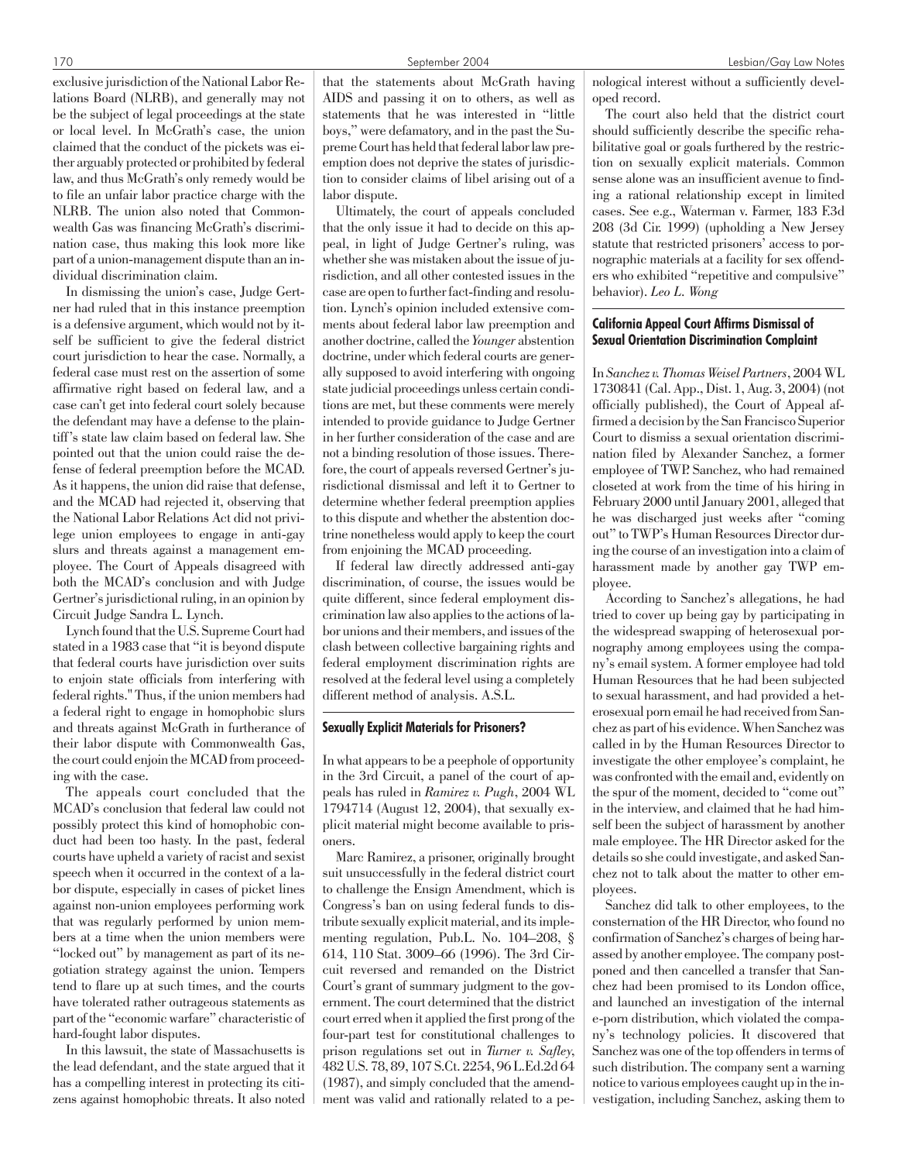exclusive jurisdiction of the National Labor Relations Board (NLRB), and generally may not be the subject of legal proceedings at the state or local level. In McGrath's case, the union claimed that the conduct of the pickets was either arguably protected or prohibited by federal law, and thus McGrath's only remedy would be to file an unfair labor practice charge with the NLRB. The union also noted that Commonwealth Gas was financing McGrath's discrimination case, thus making this look more like part of a union-management dispute than an individual discrimination claim.

In dismissing the union's case, Judge Gertner had ruled that in this instance preemption is a defensive argument, which would not by itself be sufficient to give the federal district court jurisdiction to hear the case. Normally, a federal case must rest on the assertion of some affirmative right based on federal law, and a case can't get into federal court solely because the defendant may have a defense to the plaintiff's state law claim based on federal law. She pointed out that the union could raise the defense of federal preemption before the MCAD. As it happens, the union did raise that defense, and the MCAD had rejected it, observing that the National Labor Relations Act did not privilege union employees to engage in anti-gay slurs and threats against a management employee. The Court of Appeals disagreed with both the MCAD's conclusion and with Judge Gertner's jurisdictional ruling, in an opinion by Circuit Judge Sandra L. Lynch.

Lynch found that the U.S. Supreme Court had stated in a 1983 case that "it is beyond dispute that federal courts have jurisdiction over suits to enjoin state officials from interfering with federal rights." Thus, if the union members had a federal right to engage in homophobic slurs and threats against McGrath in furtherance of their labor dispute with Commonwealth Gas, the court could enjoin the MCAD from proceeding with the case.

The appeals court concluded that the MCAD's conclusion that federal law could not possibly protect this kind of homophobic conduct had been too hasty. In the past, federal courts have upheld a variety of racist and sexist speech when it occurred in the context of a labor dispute, especially in cases of picket lines against non-union employees performing work that was regularly performed by union members at a time when the union members were "locked out" by management as part of its negotiation strategy against the union. Tempers tend to flare up at such times, and the courts have tolerated rather outrageous statements as part of the "economic warfare" characteristic of hard-fought labor disputes.

In this lawsuit, the state of Massachusetts is the lead defendant, and the state argued that it has a compelling interest in protecting its citizens against homophobic threats. It also noted that the statements about McGrath having AIDS and passing it on to others, as well as statements that he was interested in "little boys," were defamatory, and in the past the Supreme Court has held that federal labor law preemption does not deprive the states of jurisdiction to consider claims of libel arising out of a labor dispute.

Ultimately, the court of appeals concluded that the only issue it had to decide on this appeal, in light of Judge Gertner's ruling, was whether she was mistaken about the issue of jurisdiction, and all other contested issues in the case are open to further fact-finding and resolution. Lynch's opinion included extensive comments about federal labor law preemption and another doctrine, called the *Younger* abstention doctrine, under which federal courts are generally supposed to avoid interfering with ongoing state judicial proceedings unless certain conditions are met, but these comments were merely intended to provide guidance to Judge Gertner in her further consideration of the case and are not a binding resolution of those issues. Therefore, the court of appeals reversed Gertner's jurisdictional dismissal and left it to Gertner to determine whether federal preemption applies to this dispute and whether the abstention doctrine nonetheless would apply to keep the court from enjoining the MCAD proceeding.

If federal law directly addressed anti-gay discrimination, of course, the issues would be quite different, since federal employment discrimination law also applies to the actions of labor unions and their members, and issues of the clash between collective bargaining rights and federal employment discrimination rights are resolved at the federal level using a completely different method of analysis. A.S.L.

#### Sexually Explicit Materials for Prisoners?

In what appears to be a peephole of opportunity in the 3rd Circuit, a panel of the court of appeals has ruled in *Ramirez v. Pugh*, 2004 WL 1794714 (August 12, 2004), that sexually explicit material might become available to prisoners.

Marc Ramirez, a prisoner, originally brought suit unsuccessfully in the federal district court to challenge the Ensign Amendment, which is Congress's ban on using federal funds to distribute sexually explicit material, and its implementing regulation, Pub.L. No. 104–208, § 614, 110 Stat. 3009–66 (1996). The 3rd Circuit reversed and remanded on the District Court's grant of summary judgment to the government. The court determined that the district court erred when it applied the first prong of the four-part test for constitutional challenges to prison regulations set out in *Turner v. Safley*, 482 U.S. 78, 89, 107 S.Ct. 2254, 96 L.Ed.2d 64 (1987), and simply concluded that the amendment was valid and rationally related to a pe-

nological interest without a sufficiently developed record.

The court also held that the district court should sufficiently describe the specific rehabilitative goal or goals furthered by the restriction on sexually explicit materials. Common sense alone was an insufficient avenue to finding a rational relationship except in limited cases. See e.g., Waterman v. Farmer, 183 F.3d 208 (3d Cir. 1999) (upholding a New Jersey statute that restricted prisoners' access to pornographic materials at a facility for sex offenders who exhibited "repetitive and compulsive" behavior). *Leo L. Wong*

# California Appeal Court Affirms Dismissal of Sexual Orientation Discrimination Complaint

In *Sanchez v. Thomas Weisel Partners*, 2004 WL 1730841 (Cal. App., Dist. 1, Aug. 3, 2004) (not officially published), the Court of Appeal affirmed a decision by the San Francisco Superior Court to dismiss a sexual orientation discrimination filed by Alexander Sanchez, a former employee of TWP. Sanchez, who had remained closeted at work from the time of his hiring in February 2000 until January 2001, alleged that he was discharged just weeks after "coming out" to TWP's Human Resources Director during the course of an investigation into a claim of harassment made by another gay TWP employee.

According to Sanchez's allegations, he had tried to cover up being gay by participating in the widespread swapping of heterosexual pornography among employees using the company's email system. A former employee had told Human Resources that he had been subjected to sexual harassment, and had provided a heterosexual porn email he had received from Sanchez as part of his evidence. When Sanchez was called in by the Human Resources Director to investigate the other employee's complaint, he was confronted with the email and, evidently on the spur of the moment, decided to "come out" in the interview, and claimed that he had himself been the subject of harassment by another male employee. The HR Director asked for the details so she could investigate, and asked Sanchez not to talk about the matter to other employees.

Sanchez did talk to other employees, to the consternation of the HR Director, who found no confirmation of Sanchez's charges of being harassed by another employee. The company postponed and then cancelled a transfer that Sanchez had been promised to its London office, and launched an investigation of the internal e-porn distribution, which violated the company's technology policies. It discovered that Sanchez was one of the top offenders in terms of such distribution. The company sent a warning notice to various employees caught up in the investigation, including Sanchez, asking them to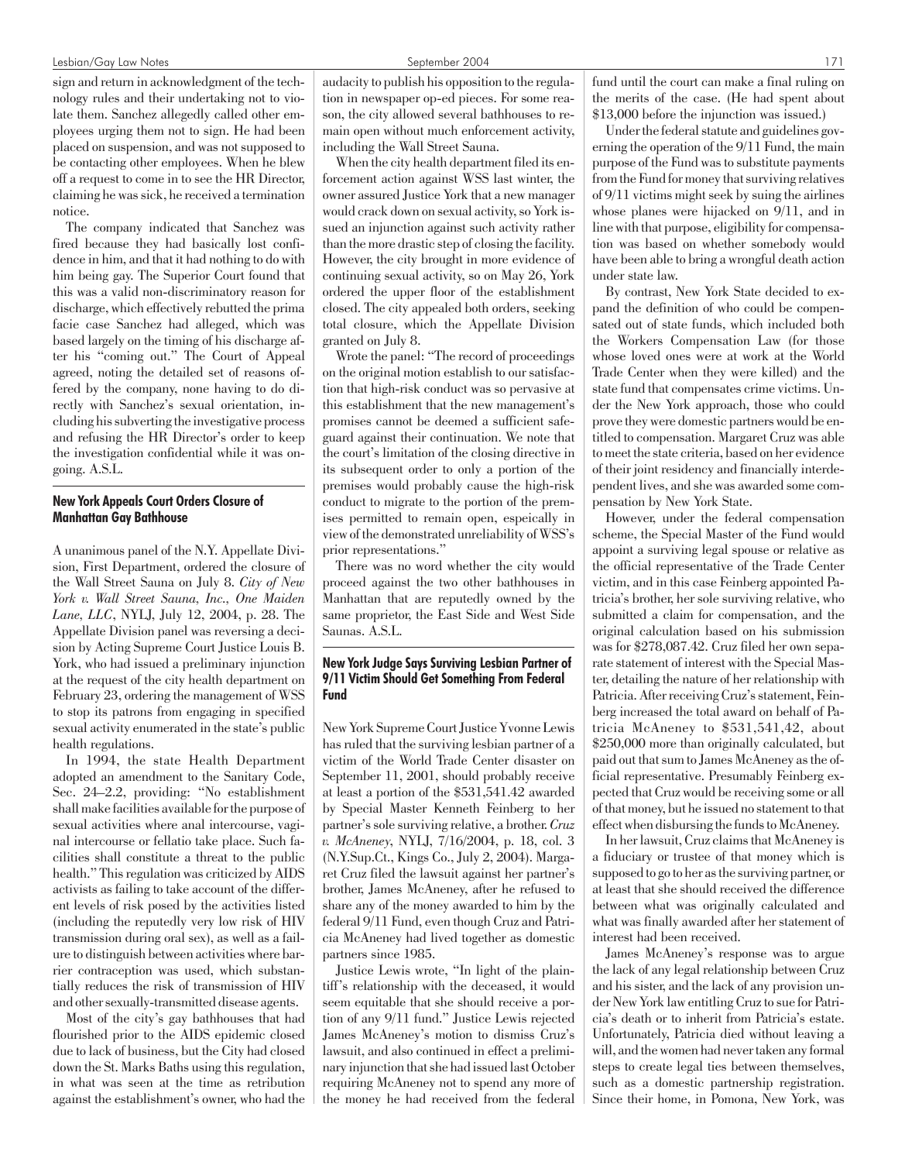#### Lesbian/Gay Law Notes September 2004 171

sign and return in acknowledgment of the technology rules and their undertaking not to violate them. Sanchez allegedly called other employees urging them not to sign. He had been placed on suspension, and was not supposed to be contacting other employees. When he blew off a request to come in to see the HR Director, claiming he was sick, he received a termination notice.

The company indicated that Sanchez was fired because they had basically lost confidence in him, and that it had nothing to do with him being gay. The Superior Court found that this was a valid non-discriminatory reason for discharge, which effectively rebutted the prima facie case Sanchez had alleged, which was based largely on the timing of his discharge after his "coming out." The Court of Appeal agreed, noting the detailed set of reasons offered by the company, none having to do directly with Sanchez's sexual orientation, including his subverting the investigative process and refusing the HR Director's order to keep the investigation confidential while it was ongoing. A.S.L.

# New York Appeals Court Orders Closure of Manhattan Gay Bathhouse

A unanimous panel of the N.Y. Appellate Division, First Department, ordered the closure of the Wall Street Sauna on July 8. *City of New York v. Wall Street Sauna, Inc., One Maiden Lane, LLC*, NYLJ, July 12, 2004, p. 28. The Appellate Division panel was reversing a decision by Acting Supreme Court Justice Louis B. York, who had issued a preliminary injunction at the request of the city health department on February 23, ordering the management of WSS to stop its patrons from engaging in specified sexual activity enumerated in the state's public health regulations.

In 1994, the state Health Department adopted an amendment to the Sanitary Code, Sec. 24–2.2, providing: "No establishment shall make facilities available for the purpose of sexual activities where anal intercourse, vaginal intercourse or fellatio take place. Such facilities shall constitute a threat to the public health." This regulation was criticized by AIDS activists as failing to take account of the different levels of risk posed by the activities listed (including the reputedly very low risk of HIV transmission during oral sex), as well as a failure to distinguish between activities where barrier contraception was used, which substantially reduces the risk of transmission of HIV and other sexually-transmitted disease agents.

Most of the city's gay bathhouses that had flourished prior to the AIDS epidemic closed due to lack of business, but the City had closed down the St. Marks Baths using this regulation, in what was seen at the time as retribution against the establishment's owner, who had the audacity to publish his opposition to the regulation in newspaper op-ed pieces. For some reason, the city allowed several bathhouses to remain open without much enforcement activity, including the Wall Street Sauna.

When the city health department filed its enforcement action against WSS last winter, the owner assured Justice York that a new manager would crack down on sexual activity, so York issued an injunction against such activity rather than the more drastic step of closing the facility. However, the city brought in more evidence of continuing sexual activity, so on May 26, York ordered the upper floor of the establishment closed. The city appealed both orders, seeking total closure, which the Appellate Division granted on July 8.

Wrote the panel: "The record of proceedings on the original motion establish to our satisfaction that high-risk conduct was so pervasive at this establishment that the new management's promises cannot be deemed a sufficient safeguard against their continuation. We note that the court's limitation of the closing directive in its subsequent order to only a portion of the premises would probably cause the high-risk conduct to migrate to the portion of the premises permitted to remain open, espeically in view of the demonstrated unreliability of WSS's prior representations."

There was no word whether the city would proceed against the two other bathhouses in Manhattan that are reputedly owned by the same proprietor, the East Side and West Side Saunas. A.S.L.

# New York Judge Says Surviving Lesbian Partner of 9/11 Victim Should Get Something From Federal Fund

New York Supreme Court Justice Yvonne Lewis has ruled that the surviving lesbian partner of a victim of the World Trade Center disaster on September 11, 2001, should probably receive at least a portion of the \$531,541.42 awarded by Special Master Kenneth Feinberg to her partner's sole surviving relative, a brother. *Cruz v. McAneney*, NYLJ, 7/16/2004, p. 18, col. 3 (N.Y.Sup.Ct., Kings Co., July 2, 2004). Margaret Cruz filed the lawsuit against her partner's brother, James McAneney, after he refused to share any of the money awarded to him by the federal 9/11 Fund, even though Cruz and Patricia McAneney had lived together as domestic partners since 1985.

Justice Lewis wrote, "In light of the plaintiff's relationship with the deceased, it would seem equitable that she should receive a portion of any 9/11 fund." Justice Lewis rejected James McAneney's motion to dismiss Cruz's lawsuit, and also continued in effect a preliminary injunction that she had issued last October requiring McAneney not to spend any more of the money he had received from the federal fund until the court can make a final ruling on the merits of the case. (He had spent about \$13,000 before the injunction was issued.)

Under the federal statute and guidelines governing the operation of the 9/11 Fund, the main purpose of the Fund was to substitute payments from the Fund for money that surviving relatives of 9/11 victims might seek by suing the airlines whose planes were hijacked on 9/11, and in line with that purpose, eligibility for compensation was based on whether somebody would have been able to bring a wrongful death action under state law.

By contrast, New York State decided to expand the definition of who could be compensated out of state funds, which included both the Workers Compensation Law (for those whose loved ones were at work at the World Trade Center when they were killed) and the state fund that compensates crime victims. Under the New York approach, those who could prove they were domestic partners would be entitled to compensation. Margaret Cruz was able to meet the state criteria, based on her evidence of their joint residency and financially interdependent lives, and she was awarded some compensation by New York State.

However, under the federal compensation scheme, the Special Master of the Fund would appoint a surviving legal spouse or relative as the official representative of the Trade Center victim, and in this case Feinberg appointed Patricia's brother, her sole surviving relative, who submitted a claim for compensation, and the original calculation based on his submission was for \$278,087.42. Cruz filed her own separate statement of interest with the Special Master, detailing the nature of her relationship with Patricia. After receiving Cruz's statement, Feinberg increased the total award on behalf of Patricia McAneney to \$531,541,42, about \$250,000 more than originally calculated, but paid out that sum to James McAneney as the official representative. Presumably Feinberg expected that Cruz would be receiving some or all of that money, but he issued no statement to that effect when disbursing the funds to McAneney.

In her lawsuit, Cruz claims that McAneney is a fiduciary or trustee of that money which is supposed to go to her as the surviving partner, or at least that she should received the difference between what was originally calculated and what was finally awarded after her statement of interest had been received.

James McAneney's response was to argue the lack of any legal relationship between Cruz and his sister, and the lack of any provision under New York law entitling Cruz to sue for Patricia's death or to inherit from Patricia's estate. Unfortunately, Patricia died without leaving a will, and the women had never taken any formal steps to create legal ties between themselves, such as a domestic partnership registration. Since their home, in Pomona, New York, was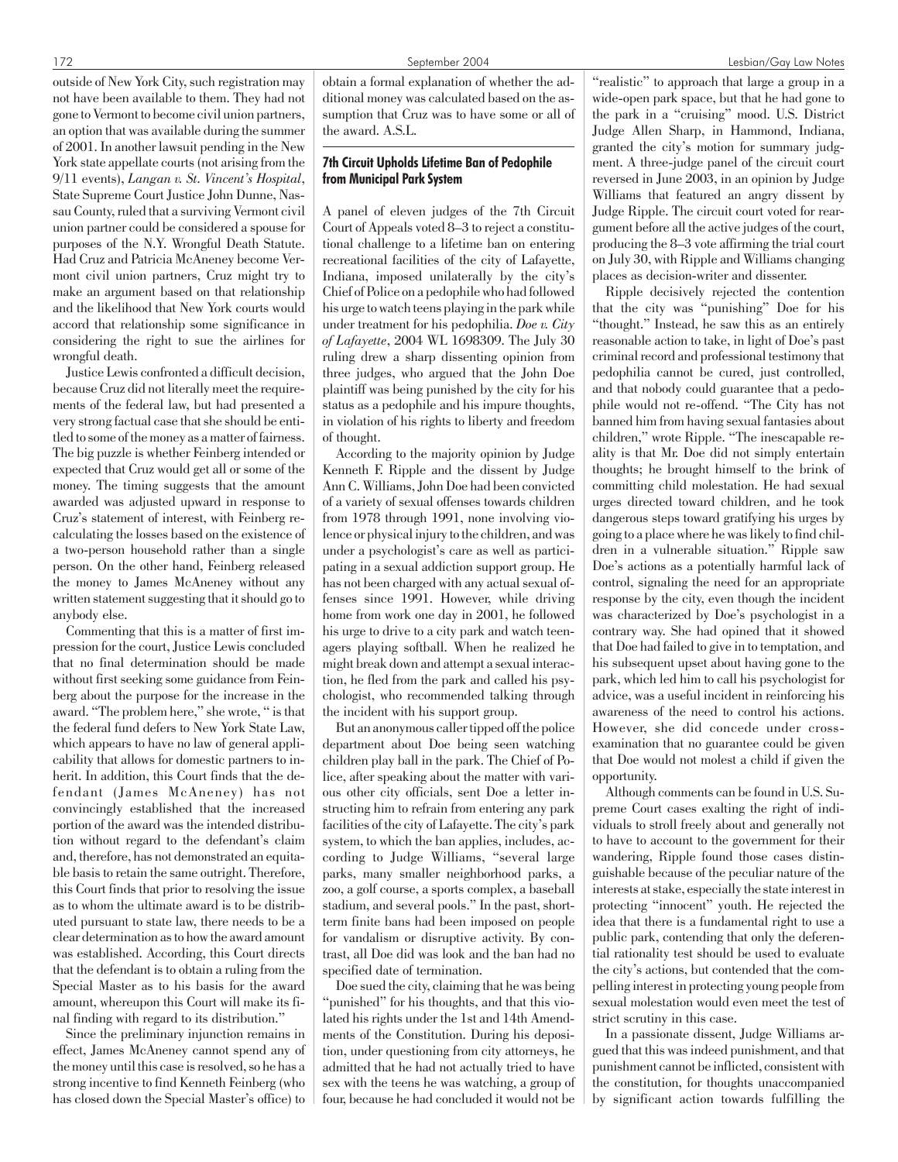outside of New York City, such registration may not have been available to them. They had not gone to Vermont to become civil union partners, an option that was available during the summer of 2001. In another lawsuit pending in the New York state appellate courts (not arising from the 9/11 events), *Langan v. St. Vincent's Hospital*, State Supreme Court Justice John Dunne, Nassau County, ruled that a surviving Vermont civil union partner could be considered a spouse for purposes of the N.Y. Wrongful Death Statute. Had Cruz and Patricia McAneney become Vermont civil union partners, Cruz might try to make an argument based on that relationship and the likelihood that New York courts would accord that relationship some significance in considering the right to sue the airlines for wrongful death.

Justice Lewis confronted a difficult decision, because Cruz did not literally meet the requirements of the federal law, but had presented a very strong factual case that she should be entitled to some of the money as a matter of fairness. The big puzzle is whether Feinberg intended or expected that Cruz would get all or some of the money. The timing suggests that the amount awarded was adjusted upward in response to Cruz's statement of interest, with Feinberg recalculating the losses based on the existence of a two-person household rather than a single person. On the other hand, Feinberg released the money to James McAneney without any written statement suggesting that it should go to anybody else.

Commenting that this is a matter of first impression for the court, Justice Lewis concluded that no final determination should be made without first seeking some guidance from Feinberg about the purpose for the increase in the award. "The problem here," she wrote, " is that the federal fund defers to New York State Law, which appears to have no law of general applicability that allows for domestic partners to inherit. In addition, this Court finds that the defendant (James McAneney) has not convincingly established that the increased portion of the award was the intended distribution without regard to the defendant's claim and, therefore, has not demonstrated an equitable basis to retain the same outright. Therefore, this Court finds that prior to resolving the issue as to whom the ultimate award is to be distributed pursuant to state law, there needs to be a clear determination as to how the award amount was established. According, this Court directs that the defendant is to obtain a ruling from the Special Master as to his basis for the award amount, whereupon this Court will make its final finding with regard to its distribution."

Since the preliminary injunction remains in effect, James McAneney cannot spend any of the money until this case is resolved, so he has a strong incentive to find Kenneth Feinberg (who has closed down the Special Master's office) to

obtain a formal explanation of whether the additional money was calculated based on the assumption that Cruz was to have some or all of the award. A.S.L.

# 7th Circuit Upholds Lifetime Ban of Pedophile from Municipal Park System

A panel of eleven judges of the 7th Circuit Court of Appeals voted 8–3 to reject a constitutional challenge to a lifetime ban on entering recreational facilities of the city of Lafayette, Indiana, imposed unilaterally by the city's Chief of Police on a pedophile who had followed his urge to watch teens playing in the park while under treatment for his pedophilia. *Doe v. City of Lafayette*, 2004 WL 1698309. The July 30 ruling drew a sharp dissenting opinion from three judges, who argued that the John Doe plaintiff was being punished by the city for his status as a pedophile and his impure thoughts, in violation of his rights to liberty and freedom of thought.

According to the majority opinion by Judge Kenneth F. Ripple and the dissent by Judge Ann C. Williams, John Doe had been convicted of a variety of sexual offenses towards children from 1978 through 1991, none involving violence or physical injury to the children, and was under a psychologist's care as well as participating in a sexual addiction support group. He has not been charged with any actual sexual offenses since 1991. However, while driving home from work one day in 2001, he followed his urge to drive to a city park and watch teenagers playing softball. When he realized he might break down and attempt a sexual interaction, he fled from the park and called his psychologist, who recommended talking through the incident with his support group.

But an anonymous caller tipped off the police department about Doe being seen watching children play ball in the park. The Chief of Police, after speaking about the matter with various other city officials, sent Doe a letter instructing him to refrain from entering any park facilities of the city of Lafayette. The city's park system, to which the ban applies, includes, according to Judge Williams, "several large parks, many smaller neighborhood parks, a zoo, a golf course, a sports complex, a baseball stadium, and several pools." In the past, shortterm finite bans had been imposed on people for vandalism or disruptive activity. By contrast, all Doe did was look and the ban had no specified date of termination.

Doe sued the city, claiming that he was being "punished" for his thoughts, and that this violated his rights under the 1st and 14th Amendments of the Constitution. During his deposition, under questioning from city attorneys, he admitted that he had not actually tried to have sex with the teens he was watching, a group of four, because he had concluded it would not be

"realistic" to approach that large a group in a wide-open park space, but that he had gone to the park in a "cruising" mood. U.S. District Judge Allen Sharp, in Hammond, Indiana, granted the city's motion for summary judgment. A three-judge panel of the circuit court reversed in June 2003, in an opinion by Judge Williams that featured an angry dissent by Judge Ripple. The circuit court voted for reargument before all the active judges of the court, producing the 8–3 vote affirming the trial court on July 30, with Ripple and Williams changing places as decision-writer and dissenter.

Ripple decisively rejected the contention that the city was "punishing" Doe for his "thought." Instead, he saw this as an entirely reasonable action to take, in light of Doe's past criminal record and professional testimony that pedophilia cannot be cured, just controlled, and that nobody could guarantee that a pedophile would not re-offend. "The City has not banned him from having sexual fantasies about children," wrote Ripple. "The inescapable reality is that Mr. Doe did not simply entertain thoughts; he brought himself to the brink of committing child molestation. He had sexual urges directed toward children, and he took dangerous steps toward gratifying his urges by going to a place where he was likely to find children in a vulnerable situation." Ripple saw Doe's actions as a potentially harmful lack of control, signaling the need for an appropriate response by the city, even though the incident was characterized by Doe's psychologist in a contrary way. She had opined that it showed that Doe had failed to give in to temptation, and his subsequent upset about having gone to the park, which led him to call his psychologist for advice, was a useful incident in reinforcing his awareness of the need to control his actions. However, she did concede under crossexamination that no guarantee could be given that Doe would not molest a child if given the opportunity.

Although comments can be found in U.S. Supreme Court cases exalting the right of individuals to stroll freely about and generally not to have to account to the government for their wandering, Ripple found those cases distinguishable because of the peculiar nature of the interests at stake, especially the state interest in protecting "innocent" youth. He rejected the idea that there is a fundamental right to use a public park, contending that only the deferential rationality test should be used to evaluate the city's actions, but contended that the compelling interest in protecting young people from sexual molestation would even meet the test of strict scrutiny in this case.

In a passionate dissent, Judge Williams argued that this was indeed punishment, and that punishment cannot be inflicted, consistent with the constitution, for thoughts unaccompanied by significant action towards fulfilling the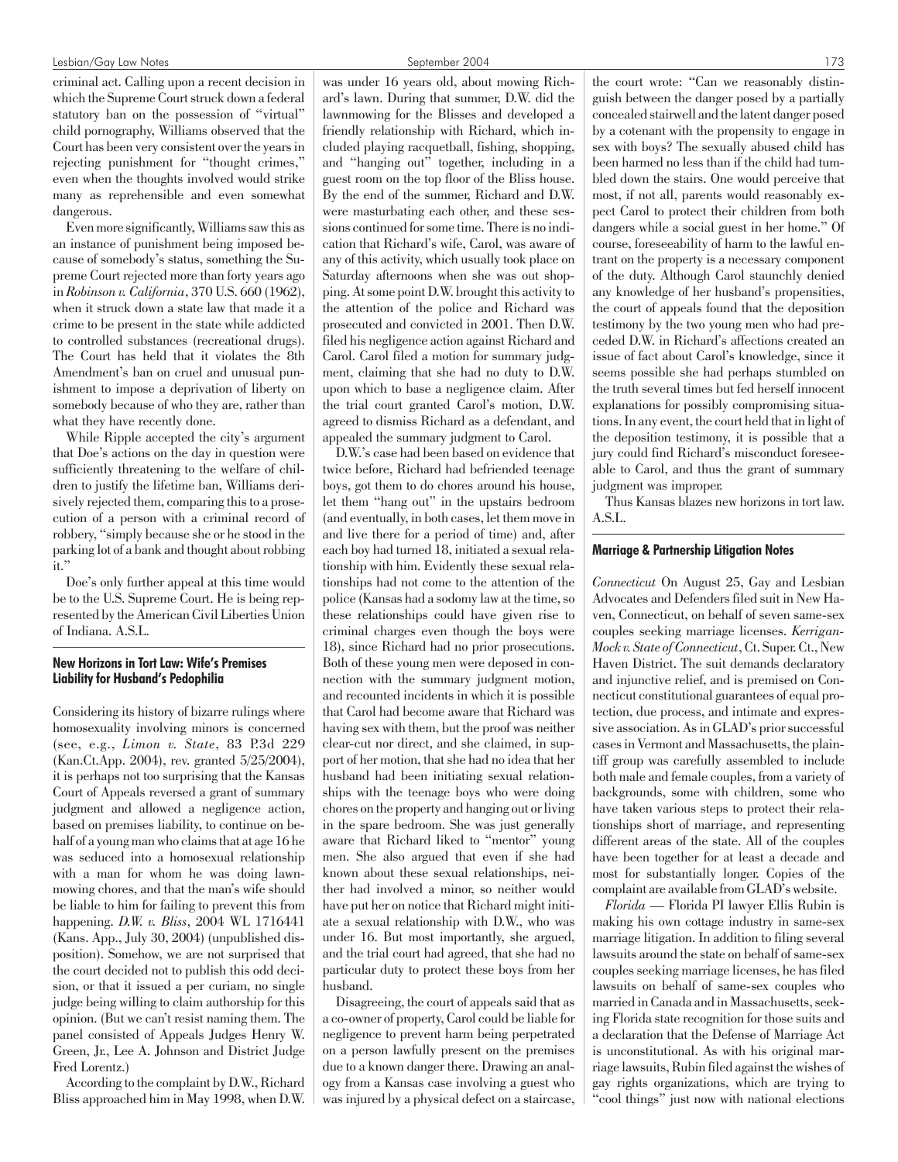#### Lesbian/Gay Law Notes September 2004 173

criminal act. Calling upon a recent decision in which the Supreme Court struck down a federal statutory ban on the possession of "virtual" child pornography, Williams observed that the Court has been very consistent over the years in rejecting punishment for "thought crimes," even when the thoughts involved would strike many as reprehensible and even somewhat dangerous.

Even more significantly, Williams saw this as an instance of punishment being imposed because of somebody's status, something the Supreme Court rejected more than forty years ago in *Robinson v. California*, 370 U.S. 660 (1962), when it struck down a state law that made it a crime to be present in the state while addicted to controlled substances (recreational drugs). The Court has held that it violates the 8th Amendment's ban on cruel and unusual punishment to impose a deprivation of liberty on somebody because of who they are, rather than what they have recently done.

While Ripple accepted the city's argument that Doe's actions on the day in question were sufficiently threatening to the welfare of children to justify the lifetime ban, Williams derisively rejected them, comparing this to a prosecution of a person with a criminal record of robbery, "simply because she or he stood in the parking lot of a bank and thought about robbing it."

Doe's only further appeal at this time would be to the U.S. Supreme Court. He is being represented by the American Civil Liberties Union of Indiana. A.S.L.

# New Horizons in Tort Law: Wife's Premises Liability for Husband's Pedophilia

Considering its history of bizarre rulings where homosexuality involving minors is concerned (see, e.g., *Limon v. State*, 83 P.3d 229 (Kan.Ct.App. 2004), rev. granted 5/25/2004), it is perhaps not too surprising that the Kansas Court of Appeals reversed a grant of summary judgment and allowed a negligence action, based on premises liability, to continue on behalf of a young man who claims that at age 16 he was seduced into a homosexual relationship with a man for whom he was doing lawnmowing chores, and that the man's wife should be liable to him for failing to prevent this from happening. *D.W. v. Bliss*, 2004 WL 1716441 (Kans. App., July 30, 2004) (unpublished disposition). Somehow, we are not surprised that the court decided not to publish this odd decision, or that it issued a per curiam, no single judge being willing to claim authorship for this opinion. (But we can't resist naming them. The panel consisted of Appeals Judges Henry W. Green, Jr., Lee A. Johnson and District Judge Fred Lorentz.)

According to the complaint by D.W., Richard Bliss approached him in May 1998, when D.W. was under 16 years old, about mowing Richard's lawn. During that summer, D.W. did the lawnmowing for the Blisses and developed a friendly relationship with Richard, which included playing racquetball, fishing, shopping, and "hanging out" together, including in a guest room on the top floor of the Bliss house. By the end of the summer, Richard and D.W. were masturbating each other, and these sessions continued for some time. There is no indication that Richard's wife, Carol, was aware of any of this activity, which usually took place on Saturday afternoons when she was out shopping. At some point D.W. brought this activity to the attention of the police and Richard was prosecuted and convicted in 2001. Then D.W. filed his negligence action against Richard and Carol. Carol filed a motion for summary judgment, claiming that she had no duty to D.W. upon which to base a negligence claim. After the trial court granted Carol's motion, D.W. agreed to dismiss Richard as a defendant, and appealed the summary judgment to Carol.

D.W.'s case had been based on evidence that twice before, Richard had befriended teenage boys, got them to do chores around his house, let them "hang out" in the upstairs bedroom (and eventually, in both cases, let them move in and live there for a period of time) and, after each boy had turned 18, initiated a sexual relationship with him. Evidently these sexual relationships had not come to the attention of the police (Kansas had a sodomy law at the time, so these relationships could have given rise to criminal charges even though the boys were 18), since Richard had no prior prosecutions. Both of these young men were deposed in connection with the summary judgment motion, and recounted incidents in which it is possible that Carol had become aware that Richard was having sex with them, but the proof was neither clear-cut nor direct, and she claimed, in support of her motion, that she had no idea that her husband had been initiating sexual relationships with the teenage boys who were doing chores on the property and hanging out or living in the spare bedroom. She was just generally aware that Richard liked to "mentor" young men. She also argued that even if she had known about these sexual relationships, neither had involved a minor, so neither would have put her on notice that Richard might initiate a sexual relationship with D.W., who was under 16. But most importantly, she argued, and the trial court had agreed, that she had no particular duty to protect these boys from her husband.

Disagreeing, the court of appeals said that as a co-owner of property, Carol could be liable for negligence to prevent harm being perpetrated on a person lawfully present on the premises due to a known danger there. Drawing an analogy from a Kansas case involving a guest who was injured by a physical defect on a staircase,

the court wrote: "Can we reasonably distinguish between the danger posed by a partially concealed stairwell and the latent danger posed by a cotenant with the propensity to engage in sex with boys? The sexually abused child has been harmed no less than if the child had tumbled down the stairs. One would perceive that most, if not all, parents would reasonably expect Carol to protect their children from both dangers while a social guest in her home." Of course, foreseeability of harm to the lawful entrant on the property is a necessary component of the duty. Although Carol staunchly denied any knowledge of her husband's propensities, the court of appeals found that the deposition testimony by the two young men who had preceded D.W. in Richard's affections created an issue of fact about Carol's knowledge, since it seems possible she had perhaps stumbled on the truth several times but fed herself innocent explanations for possibly compromising situations. In any event, the court held that in light of the deposition testimony, it is possible that a jury could find Richard's misconduct foreseeable to Carol, and thus the grant of summary judgment was improper.

Thus Kansas blazes new horizons in tort law. A.S.L.

#### Marriage & Partnership Litigation Notes

*Connecticut* On August 25, Gay and Lesbian Advocates and Defenders filed suit in New Haven, Connecticut, on behalf of seven same-sex couples seeking marriage licenses. *Kerrigan-Mock v. State of Connecticut*, Ct. Super. Ct., New Haven District. The suit demands declaratory and injunctive relief, and is premised on Connecticut constitutional guarantees of equal protection, due process, and intimate and expressive association. As in GLAD's prior successful cases in Vermont and Massachusetts, the plaintiff group was carefully assembled to include both male and female couples, from a variety of backgrounds, some with children, some who have taken various steps to protect their relationships short of marriage, and representing different areas of the state. All of the couples have been together for at least a decade and most for substantially longer. Copies of the complaint are available from GLAD's website.

*Florida* — Florida PI lawyer Ellis Rubin is making his own cottage industry in same-sex marriage litigation. In addition to filing several lawsuits around the state on behalf of same-sex couples seeking marriage licenses, he has filed lawsuits on behalf of same-sex couples who married in Canada and in Massachusetts, seeking Florida state recognition for those suits and a declaration that the Defense of Marriage Act is unconstitutional. As with his original marriage lawsuits, Rubin filed against the wishes of gay rights organizations, which are trying to "cool things" just now with national elections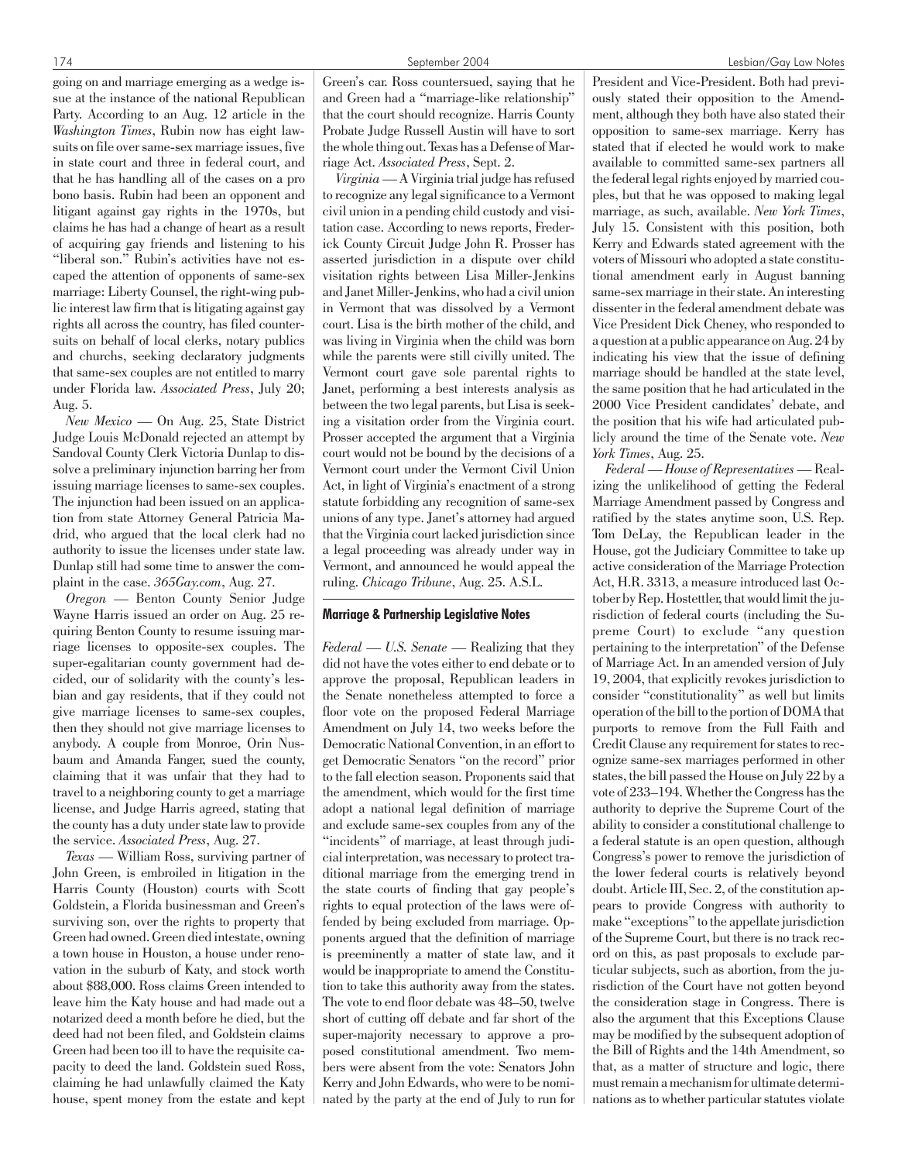going on and marriage emerging as a wedge issue at the instance of the national Republican Party. According to an Aug. 12 article in the *Washington Times*, Rubin now has eight lawsuits on file over same-sex marriage issues, five in state court and three in federal court, and that he has handling all of the cases on a pro bono basis. Rubin had been an opponent and litigant against gay rights in the 1970s, but claims he has had a change of heart as a result of acquiring gay friends and listening to his "liberal son." Rubin's activities have not escaped the attention of opponents of same-sex marriage: Liberty Counsel, the right-wing public interest law firm that is litigating against gay rights all across the country, has filed countersuits on behalf of local clerks, notary publics and churchs, seeking declaratory judgments that same-sex couples are not entitled to marry under Florida law. *Associated Press*, July 20; Aug. 5.

*New Mexico* — On Aug. 25, State District Judge Louis McDonald rejected an attempt by Sandoval County Clerk Victoria Dunlap to dissolve a preliminary injunction barring her from issuing marriage licenses to same-sex couples. The injunction had been issued on an application from state Attorney General Patricia Madrid, who argued that the local clerk had no authority to issue the licenses under state law. Dunlap still had some time to answer the complaint in the case. *365Gay.com*, Aug. 27.

*Oregon* — Benton County Senior Judge Wayne Harris issued an order on Aug. 25 requiring Benton County to resume issuing marriage licenses to opposite-sex couples. The super-egalitarian county government had decided, our of solidarity with the county's lesbian and gay residents, that if they could not give marriage licenses to same-sex couples, then they should not give marriage licenses to anybody. A couple from Monroe, Orin Nusbaum and Amanda Fanger, sued the county, claiming that it was unfair that they had to travel to a neighboring county to get a marriage license, and Judge Harris agreed, stating that the county has a duty under state law to provide the service. *Associated Press*, Aug. 27.

*Texas* — William Ross, surviving partner of John Green, is embroiled in litigation in the Harris County (Houston) courts with Scott Goldstein, a Florida businessman and Green's surviving son, over the rights to property that Green had owned. Green died intestate, owning a town house in Houston, a house under renovation in the suburb of Katy, and stock worth about \$88,000. Ross claims Green intended to leave him the Katy house and had made out a notarized deed a month before he died, but the deed had not been filed, and Goldstein claims Green had been too ill to have the requisite capacity to deed the land. Goldstein sued Ross, claiming he had unlawfully claimed the Katy house, spent money from the estate and kept Green's car. Ross countersued, saying that he and Green had a "marriage-like relationship" that the court should recognize. Harris County Probate Judge Russell Austin will have to sort the whole thing out. Texas has a Defense of Marriage Act. *Associated Press*, Sept. 2.

*Virginia*— A Virginia trial judge has refused to recognize any legal significance to a Vermont civil union in a pending child custody and visitation case. According to news reports, Frederick County Circuit Judge John R. Prosser has asserted jurisdiction in a dispute over child visitation rights between Lisa Miller-Jenkins and Janet Miller-Jenkins, who had a civil union in Vermont that was dissolved by a Vermont court. Lisa is the birth mother of the child, and was living in Virginia when the child was born while the parents were still civilly united. The Vermont court gave sole parental rights to Janet, performing a best interests analysis as between the two legal parents, but Lisa is seeking a visitation order from the Virginia court. Prosser accepted the argument that a Virginia court would not be bound by the decisions of a Vermont court under the Vermont Civil Union Act, in light of Virginia's enactment of a strong statute forbidding any recognition of same-sex unions of any type. Janet's attorney had argued that the Virginia court lacked jurisdiction since a legal proceeding was already under way in Vermont, and announced he would appeal the ruling. *Chicago Tribune*, Aug. 25. A.S.L.

#### Marriage & Partnership Legislative Notes

*Federal — U.S. Senate* — Realizing that they did not have the votes either to end debate or to approve the proposal, Republican leaders in the Senate nonetheless attempted to force a floor vote on the proposed Federal Marriage Amendment on July 14, two weeks before the Democratic National Convention, in an effort to get Democratic Senators "on the record" prior to the fall election season. Proponents said that the amendment, which would for the first time adopt a national legal definition of marriage and exclude same-sex couples from any of the "incidents" of marriage, at least through judicial interpretation, was necessary to protect traditional marriage from the emerging trend in the state courts of finding that gay people's rights to equal protection of the laws were offended by being excluded from marriage. Opponents argued that the definition of marriage is preeminently a matter of state law, and it would be inappropriate to amend the Constitution to take this authority away from the states. The vote to end floor debate was 48–50, twelve short of cutting off debate and far short of the super-majority necessary to approve a proposed constitutional amendment. Two members were absent from the vote: Senators John Kerry and John Edwards, who were to be nominated by the party at the end of July to run for President and Vice-President. Both had previously stated their opposition to the Amendment, although they both have also stated their opposition to same-sex marriage. Kerry has stated that if elected he would work to make available to committed same-sex partners all the federal legal rights enjoyed by married couples, but that he was opposed to making legal marriage, as such, available. *New York Times*, July 15. Consistent with this position, both Kerry and Edwards stated agreement with the voters of Missouri who adopted a state constitutional amendment early in August banning same-sex marriage in their state. An interesting dissenter in the federal amendment debate was Vice President Dick Cheney, who responded to a question at a public appearance on Aug. 24 by indicating his view that the issue of defining marriage should be handled at the state level, the same position that he had articulated in the 2000 Vice President candidates' debate, and the position that his wife had articulated publicly around the time of the Senate vote. *New York Times*, Aug. 25.

*Federal — House of Representatives* — Realizing the unlikelihood of getting the Federal Marriage Amendment passed by Congress and ratified by the states anytime soon, U.S. Rep. Tom DeLay, the Republican leader in the House, got the Judiciary Committee to take up active consideration of the Marriage Protection Act, H.R. 3313, a measure introduced last October by Rep. Hostettler, that would limit the jurisdiction of federal courts (including the Supreme Court) to exclude "any question pertaining to the interpretation" of the Defense of Marriage Act. In an amended version of July 19, 2004, that explicitly revokes jurisdiction to consider "constitutionality" as well but limits operation of the bill to the portion of DOMA that purports to remove from the Full Faith and Credit Clause any requirement for states to recognize same-sex marriages performed in other states, the bill passed the House on July 22 by a vote of 233–194. Whether the Congress has the authority to deprive the Supreme Court of the ability to consider a constitutional challenge to a federal statute is an open question, although Congress's power to remove the jurisdiction of the lower federal courts is relatively beyond doubt. Article III, Sec. 2, of the constitution appears to provide Congress with authority to make "exceptions" to the appellate jurisdiction of the Supreme Court, but there is no track record on this, as past proposals to exclude particular subjects, such as abortion, from the jurisdiction of the Court have not gotten beyond the consideration stage in Congress. There is also the argument that this Exceptions Clause may be modified by the subsequent adoption of the Bill of Rights and the 14th Amendment, so that, as a matter of structure and logic, there must remain a mechanism for ultimate determinations as to whether particular statutes violate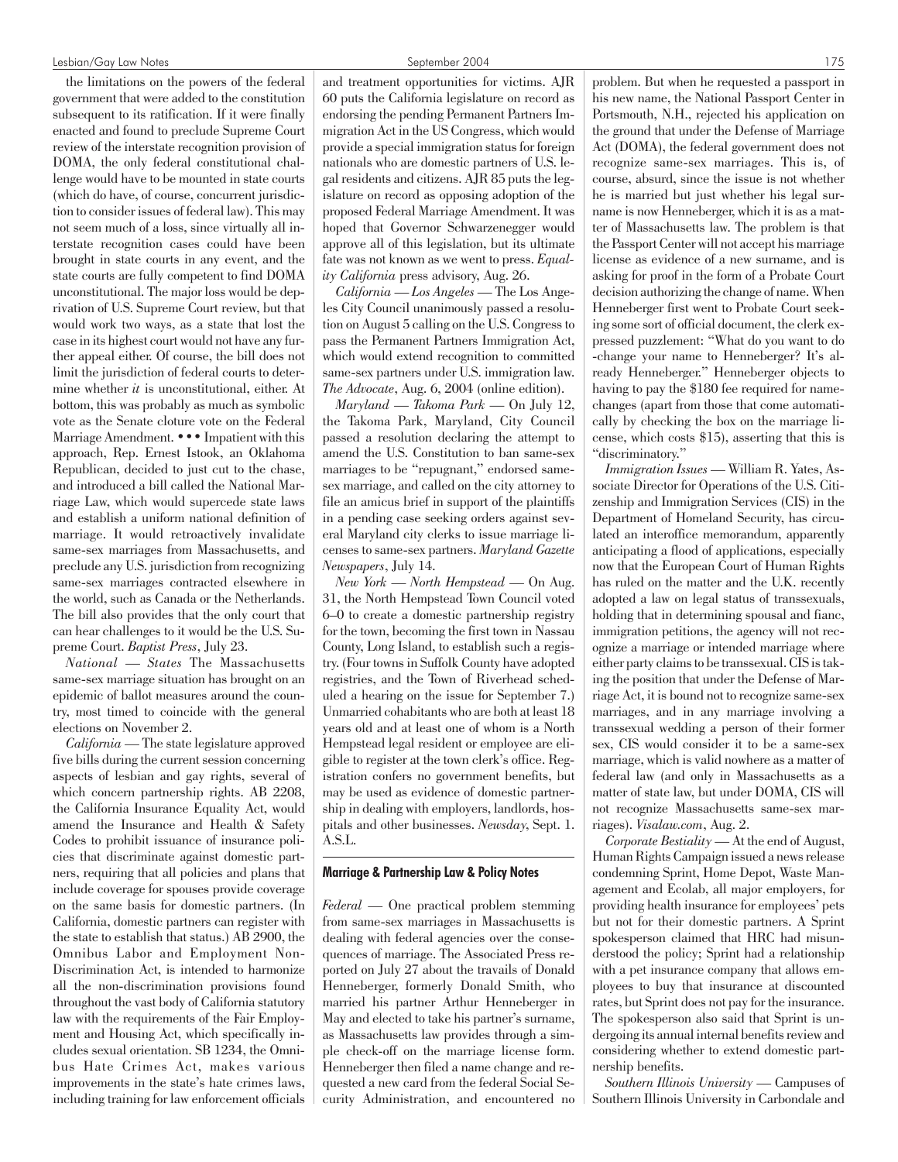the limitations on the powers of the federal government that were added to the constitution subsequent to its ratification. If it were finally enacted and found to preclude Supreme Court review of the interstate recognition provision of DOMA, the only federal constitutional challenge would have to be mounted in state courts (which do have, of course, concurrent jurisdiction to consider issues of federal law). This may not seem much of a loss, since virtually all interstate recognition cases could have been brought in state courts in any event, and the state courts are fully competent to find DOMA unconstitutional. The major loss would be deprivation of U.S. Supreme Court review, but that would work two ways, as a state that lost the case in its highest court would not have any further appeal either. Of course, the bill does not limit the jurisdiction of federal courts to determine whether *it* is unconstitutional, either. At bottom, this was probably as much as symbolic vote as the Senate cloture vote on the Federal Marriage Amendment. ••• Impatient with this approach, Rep. Ernest Istook, an Oklahoma Republican, decided to just cut to the chase, and introduced a bill called the National Marriage Law, which would supercede state laws and establish a uniform national definition of marriage. It would retroactively invalidate same-sex marriages from Massachusetts, and preclude any U.S. jurisdiction from recognizing same-sex marriages contracted elsewhere in the world, such as Canada or the Netherlands. The bill also provides that the only court that can hear challenges to it would be the U.S. Supreme Court. *Baptist Press*, July 23.

*National — States* The Massachusetts same-sex marriage situation has brought on an epidemic of ballot measures around the country, most timed to coincide with the general elections on November 2.

*California* — The state legislature approved five bills during the current session concerning aspects of lesbian and gay rights, several of which concern partnership rights. AB 2208, the California Insurance Equality Act, would amend the Insurance and Health & Safety Codes to prohibit issuance of insurance policies that discriminate against domestic partners, requiring that all policies and plans that include coverage for spouses provide coverage on the same basis for domestic partners. (In California, domestic partners can register with the state to establish that status.) AB 2900, the Omnibus Labor and Employment Non-Discrimination Act, is intended to harmonize all the non-discrimination provisions found throughout the vast body of California statutory law with the requirements of the Fair Employment and Housing Act, which specifically includes sexual orientation. SB 1234, the Omnibus Hate Crimes Act, makes various improvements in the state's hate crimes laws, including training for law enforcement officials and treatment opportunities for victims. AJR 60 puts the California legislature on record as endorsing the pending Permanent Partners Immigration Act in the US Congress, which would provide a special immigration status for foreign nationals who are domestic partners of U.S. legal residents and citizens. AJR 85 puts the legislature on record as opposing adoption of the proposed Federal Marriage Amendment. It was hoped that Governor Schwarzenegger would approve all of this legislation, but its ultimate fate was not known as we went to press. *Equality California* press advisory, Aug. 26.

*California — Los Angeles* — The Los Angeles City Council unanimously passed a resolution on August 5 calling on the U.S. Congress to pass the Permanent Partners Immigration Act, which would extend recognition to committed same-sex partners under U.S. immigration law. *The Advocate*, Aug. 6, 2004 (online edition).

*Maryland — Takoma Park* — On July 12, the Takoma Park, Maryland, City Council passed a resolution declaring the attempt to amend the U.S. Constitution to ban same-sex marriages to be "repugnant," endorsed samesex marriage, and called on the city attorney to file an amicus brief in support of the plaintiffs in a pending case seeking orders against several Maryland city clerks to issue marriage licenses to same-sex partners. *Maryland Gazette Newspapers*, July 14.

*New York — North Hempstead* — On Aug. 31, the North Hempstead Town Council voted 6–0 to create a domestic partnership registry for the town, becoming the first town in Nassau County, Long Island, to establish such a registry. (Four towns in Suffolk County have adopted registries, and the Town of Riverhead scheduled a hearing on the issue for September 7.) Unmarried cohabitants who are both at least 18 years old and at least one of whom is a North Hempstead legal resident or employee are eligible to register at the town clerk's office. Registration confers no government benefits, but may be used as evidence of domestic partnership in dealing with employers, landlords, hospitals and other businesses. *Newsday*, Sept. 1. A.S.L.

# Marriage & Partnership Law & Policy Notes

*Federal* — One practical problem stemming from same-sex marriages in Massachusetts is dealing with federal agencies over the consequences of marriage. The Associated Press reported on July 27 about the travails of Donald Henneberger, formerly Donald Smith, who married his partner Arthur Henneberger in May and elected to take his partner's surname, as Massachusetts law provides through a simple check-off on the marriage license form. Henneberger then filed a name change and requested a new card from the federal Social Security Administration, and encountered no problem. But when he requested a passport in his new name, the National Passport Center in Portsmouth, N.H., rejected his application on the ground that under the Defense of Marriage Act (DOMA), the federal government does not recognize same-sex marriages. This is, of course, absurd, since the issue is not whether he is married but just whether his legal surname is now Henneberger, which it is as a matter of Massachusetts law. The problem is that the Passport Center will not accept his marriage license as evidence of a new surname, and is asking for proof in the form of a Probate Court decision authorizing the change of name. When Henneberger first went to Probate Court seeking some sort of official document, the clerk expressed puzzlement: "What do you want to do -change your name to Henneberger? It's already Henneberger." Henneberger objects to having to pay the \$180 fee required for namechanges (apart from those that come automatically by checking the box on the marriage license, which costs \$15), asserting that this is "discriminatory."

*Immigration Issues* — William R. Yates, Associate Director for Operations of the U.S. Citizenship and Immigration Services (CIS) in the Department of Homeland Security, has circulated an interoffice memorandum, apparently anticipating a flood of applications, especially now that the European Court of Human Rights has ruled on the matter and the U.K. recently adopted a law on legal status of transsexuals, holding that in determining spousal and fianc, immigration petitions, the agency will not recognize a marriage or intended marriage where either party claims to be transsexual. CIS is taking the position that under the Defense of Marriage Act, it is bound not to recognize same-sex marriages, and in any marriage involving a transsexual wedding a person of their former sex, CIS would consider it to be a same-sex marriage, which is valid nowhere as a matter of federal law (and only in Massachusetts as a matter of state law, but under DOMA, CIS will not recognize Massachusetts same-sex marriages). *Visalaw.com*, Aug. 2.

*Corporate Bestiality* — At the end of August, Human Rights Campaign issued a news release condemning Sprint, Home Depot, Waste Management and Ecolab, all major employers, for providing health insurance for employees' pets but not for their domestic partners. A Sprint spokesperson claimed that HRC had misunderstood the policy; Sprint had a relationship with a pet insurance company that allows employees to buy that insurance at discounted rates, but Sprint does not pay for the insurance. The spokesperson also said that Sprint is undergoing its annual internal benefits review and considering whether to extend domestic partnership benefits.

*Southern Illinois University* — Campuses of Southern Illinois University in Carbondale and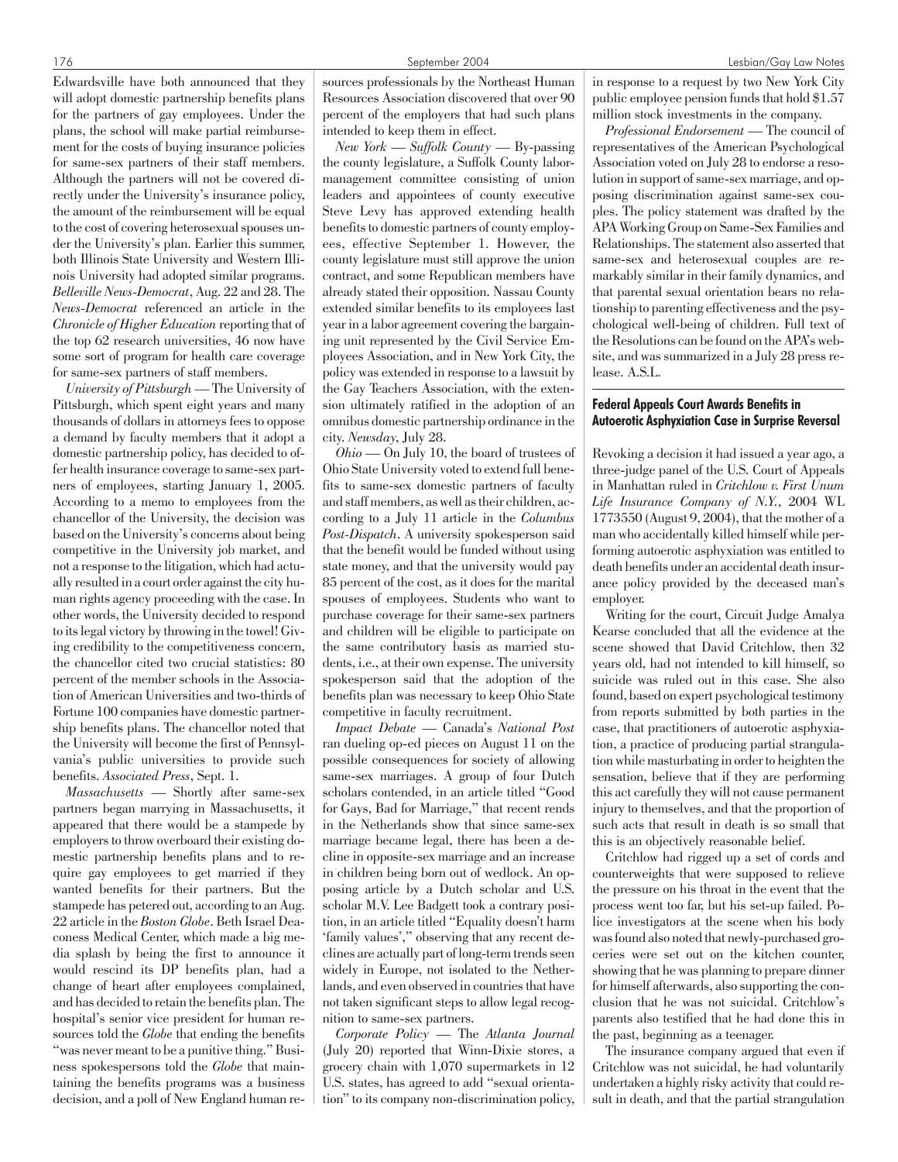Edwardsville have both announced that they will adopt domestic partnership benefits plans for the partners of gay employees. Under the plans, the school will make partial reimbursement for the costs of buying insurance policies for same-sex partners of their staff members. Although the partners will not be covered directly under the University's insurance policy, the amount of the reimbursement will be equal to the cost of covering heterosexual spouses under the University's plan. Earlier this summer, both Illinois State University and Western Illinois University had adopted similar programs. *Belleville News-Democrat*, Aug. 22 and 28. The *News-Democrat* referenced an article in the *Chronicle of Higher Education* reporting that of

the top 62 research universities, 46 now have some sort of program for health care coverage for same-sex partners of staff members. *University of Pittsburgh* — The University of

Pittsburgh, which spent eight years and many thousands of dollars in attorneys fees to oppose a demand by faculty members that it adopt a domestic partnership policy, has decided to offer health insurance coverage to same-sex partners of employees, starting January 1, 2005. According to a memo to employees from the chancellor of the University, the decision was based on the University's concerns about being competitive in the University job market, and not a response to the litigation, which had actually resulted in a court order against the city human rights agency proceeding with the case. In other words, the University decided to respond to its legal victory by throwing in the towel! Giving credibility to the competitiveness concern, the chancellor cited two crucial statistics: 80 percent of the member schools in the Association of American Universities and two-thirds of Fortune 100 companies have domestic partnership benefits plans. The chancellor noted that the University will become the first of Pennsylvania's public universities to provide such benefits. *Associated Press*, Sept. 1.

*Massachusetts* — Shortly after same-sex partners began marrying in Massachusetts, it appeared that there would be a stampede by employers to throw overboard their existing domestic partnership benefits plans and to require gay employees to get married if they wanted benefits for their partners. But the stampede has petered out, according to an Aug. 22 article in the *Boston Globe*. Beth Israel Deaconess Medical Center, which made a big media splash by being the first to announce it would rescind its DP benefits plan, had a change of heart after employees complained, and has decided to retain the benefits plan. The hospital's senior vice president for human resources told the *Globe* that ending the benefits "was never meant to be a punitive thing." Business spokespersons told the *Globe* that maintaining the benefits programs was a business decision, and a poll of New England human re-

sources professionals by the Northeast Human Resources Association discovered that over 90 percent of the employers that had such plans intended to keep them in effect.

*New York — Suffolk County* — By-passing the county legislature, a Suffolk County labormanagement committee consisting of union leaders and appointees of county executive Steve Levy has approved extending health benefits to domestic partners of county employees, effective September 1. However, the county legislature must still approve the union contract, and some Republican members have already stated their opposition. Nassau County extended similar benefits to its employees last year in a labor agreement covering the bargaining unit represented by the Civil Service Employees Association, and in New York City, the policy was extended in response to a lawsuit by the Gay Teachers Association, with the extension ultimately ratified in the adoption of an omnibus domestic partnership ordinance in the city. *Newsday*, July 28.

*Ohio* — On July 10, the board of trustees of Ohio State University voted to extend full benefits to same-sex domestic partners of faculty and staff members, as well as their children, according to a July 11 article in the *Columbus Post-Dispatch*. A university spokesperson said that the benefit would be funded without using state money, and that the university would pay 85 percent of the cost, as it does for the marital spouses of employees. Students who want to purchase coverage for their same-sex partners and children will be eligible to participate on the same contributory basis as married students, i.e., at their own expense. The university spokesperson said that the adoption of the benefits plan was necessary to keep Ohio State competitive in faculty recruitment.

*Impact Debate* — Canada's *National Post* ran dueling op-ed pieces on August 11 on the possible consequences for society of allowing same-sex marriages. A group of four Dutch scholars contended, in an article titled "Good for Gays, Bad for Marriage," that recent rends in the Netherlands show that since same-sex marriage became legal, there has been a decline in opposite-sex marriage and an increase in children being born out of wedlock. An opposing article by a Dutch scholar and U.S. scholar M.V. Lee Badgett took a contrary position, in an article titled "Equality doesn't harm 'family values'," observing that any recent declines are actually part of long-term trends seen widely in Europe, not isolated to the Netherlands, and even observed in countries that have not taken significant steps to allow legal recognition to same-sex partners.

*Corporate Policy* — The *Atlanta Journal* (July 20) reported that Winn-Dixie stores, a grocery chain with 1,070 supermarkets in 12 U.S. states, has agreed to add "sexual orientation" to its company non-discrimination policy,

in response to a request by two New York City public employee pension funds that hold \$1.57 million stock investments in the company.

*Professional Endorsement* — The council of representatives of the American Psychological Association voted on July 28 to endorse a resolution in support of same-sex marriage, and opposing discrimination against same-sex couples. The policy statement was drafted by the APA Working Group on Same-Sex Families and Relationships. The statement also asserted that same-sex and heterosexual couples are remarkably similar in their family dynamics, and that parental sexual orientation bears no relationship to parenting effectiveness and the psychological well-being of children. Full text of the Resolutions can be found on the APA's website, and was summarized in a July 28 press release. A.S.L.

# Federal Appeals Court Awards Benefits in Autoerotic Asphyxiation Case in Surprise Reversal

Revoking a decision it had issued a year ago, a three-judge panel of the U.S. Court of Appeals in Manhattan ruled in *Critchlow v. First Unum Life Insurance Company of N.Y.*, 2004 WL 1773550 (August 9, 2004), that the mother of a man who accidentally killed himself while performing autoerotic asphyxiation was entitled to death benefits under an accidental death insurance policy provided by the deceased man's employer.

Writing for the court, Circuit Judge Amalya Kearse concluded that all the evidence at the scene showed that David Critchlow, then 32 years old, had not intended to kill himself, so suicide was ruled out in this case. She also found, based on expert psychological testimony from reports submitted by both parties in the case, that practitioners of autoerotic asphyxiation, a practice of producing partial strangulation while masturbating in order to heighten the sensation, believe that if they are performing this act carefully they will not cause permanent injury to themselves, and that the proportion of such acts that result in death is so small that this is an objectively reasonable belief.

Critchlow had rigged up a set of cords and counterweights that were supposed to relieve the pressure on his throat in the event that the process went too far, but his set-up failed. Police investigators at the scene when his body was found also noted that newly-purchased groceries were set out on the kitchen counter, showing that he was planning to prepare dinner for himself afterwards, also supporting the conclusion that he was not suicidal. Critchlow's parents also testified that he had done this in the past, beginning as a teenager.

The insurance company argued that even if Critchlow was not suicidal, he had voluntarily undertaken a highly risky activity that could result in death, and that the partial strangulation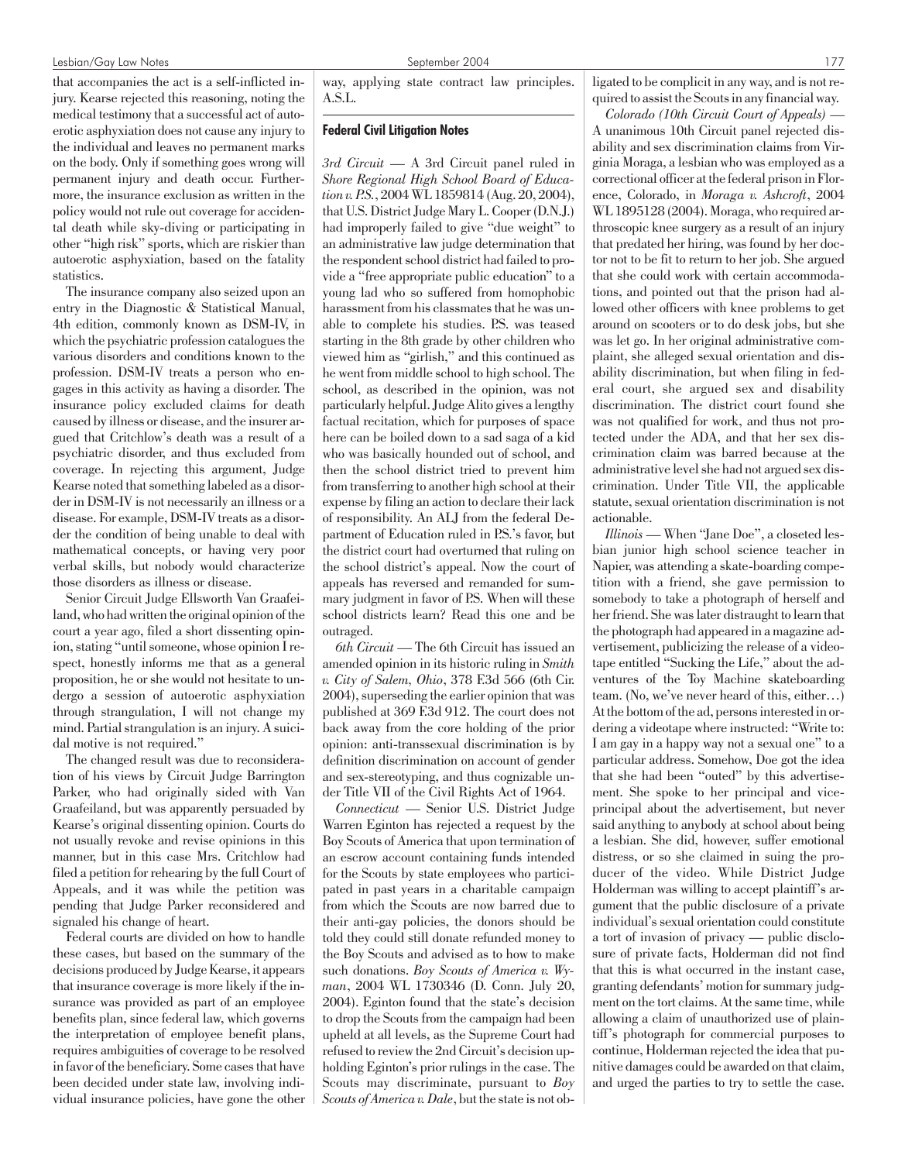#### Lesbian/Gay Law Notes September 2004 177

that accompanies the act is a self-inflicted injury. Kearse rejected this reasoning, noting the medical testimony that a successful act of autoerotic asphyxiation does not cause any injury to the individual and leaves no permanent marks on the body. Only if something goes wrong will permanent injury and death occur. Furthermore, the insurance exclusion as written in the policy would not rule out coverage for accidental death while sky-diving or participating in other "high risk" sports, which are riskier than autoerotic asphyxiation, based on the fatality statistics.

The insurance company also seized upon an entry in the Diagnostic & Statistical Manual, 4th edition, commonly known as DSM-IV, in which the psychiatric profession catalogues the various disorders and conditions known to the profession. DSM-IV treats a person who engages in this activity as having a disorder. The insurance policy excluded claims for death caused by illness or disease, and the insurer argued that Critchlow's death was a result of a psychiatric disorder, and thus excluded from coverage. In rejecting this argument, Judge Kearse noted that something labeled as a disorder in DSM-IV is not necessarily an illness or a disease. For example, DSM-IV treats as a disorder the condition of being unable to deal with mathematical concepts, or having very poor verbal skills, but nobody would characterize those disorders as illness or disease.

Senior Circuit Judge Ellsworth Van Graafeiland, who had written the original opinion of the court a year ago, filed a short dissenting opinion, stating "until someone, whose opinion I respect, honestly informs me that as a general proposition, he or she would not hesitate to undergo a session of autoerotic asphyxiation through strangulation, I will not change my mind. Partial strangulation is an injury. A suicidal motive is not required."

The changed result was due to reconsideration of his views by Circuit Judge Barrington Parker, who had originally sided with Van Graafeiland, but was apparently persuaded by Kearse's original dissenting opinion. Courts do not usually revoke and revise opinions in this manner, but in this case Mrs. Critchlow had filed a petition for rehearing by the full Court of Appeals, and it was while the petition was pending that Judge Parker reconsidered and signaled his change of heart.

Federal courts are divided on how to handle these cases, but based on the summary of the decisions produced by Judge Kearse, it appears that insurance coverage is more likely if the insurance was provided as part of an employee benefits plan, since federal law, which governs the interpretation of employee benefit plans, requires ambiguities of coverage to be resolved in favor of the beneficiary. Some cases that have been decided under state law, involving individual insurance policies, have gone the other way, applying state contract law principles. A.S.L.

# Federal Civil Litigation Notes

*3rd Circuit* — A 3rd Circuit panel ruled in *Shore Regional High School Board of Education v. P.S.*, 2004 WL 1859814 (Aug. 20, 2004), that U.S. District Judge Mary L. Cooper (D.N.J.) had improperly failed to give "due weight" to an administrative law judge determination that the respondent school district had failed to provide a "free appropriate public education" to a young lad who so suffered from homophobic harassment from his classmates that he was unable to complete his studies. P.S. was teased starting in the 8th grade by other children who viewed him as "girlish," and this continued as he went from middle school to high school. The school, as described in the opinion, was not particularly helpful. Judge Alito gives a lengthy factual recitation, which for purposes of space here can be boiled down to a sad saga of a kid who was basically hounded out of school, and then the school district tried to prevent him from transferring to another high school at their expense by filing an action to declare their lack of responsibility. An ALJ from the federal Department of Education ruled in P.S.'s favor, but the district court had overturned that ruling on the school district's appeal. Now the court of appeals has reversed and remanded for summary judgment in favor of P.S. When will these school districts learn? Read this one and be outraged.

*6th Circuit* — The 6th Circuit has issued an amended opinion in its historic ruling in *Smith v. City of Salem, Ohio*, 378 F.3d 566 (6th Cir. 2004), superseding the earlier opinion that was published at 369 F.3d 912. The court does not back away from the core holding of the prior opinion: anti-transsexual discrimination is by definition discrimination on account of gender and sex-stereotyping, and thus cognizable under Title VII of the Civil Rights Act of 1964.

*Connecticut* — Senior U.S. District Judge Warren Eginton has rejected a request by the Boy Scouts of America that upon termination of an escrow account containing funds intended for the Scouts by state employees who participated in past years in a charitable campaign from which the Scouts are now barred due to their anti-gay policies, the donors should be told they could still donate refunded money to the Boy Scouts and advised as to how to make such donations. *Boy Scouts of America v. Wyman*, 2004 WL 1730346 (D. Conn. July 20, 2004). Eginton found that the state's decision to drop the Scouts from the campaign had been upheld at all levels, as the Supreme Court had refused to review the 2nd Circuit's decision upholding Eginton's prior rulings in the case. The Scouts may discriminate, pursuant to *Boy Scouts of America v. Dale*, but the state is not obligated to be complicit in any way, and is not required to assist the Scouts in any financial way.

*Colorado (10th Circuit Court of Appeals)* — A unanimous 10th Circuit panel rejected disability and sex discrimination claims from Virginia Moraga, a lesbian who was employed as a correctional officer at the federal prison in Florence, Colorado, in *Moraga v. Ashcroft*, 2004 WL 1895128 (2004). Moraga, who required arthroscopic knee surgery as a result of an injury that predated her hiring, was found by her doctor not to be fit to return to her job. She argued that she could work with certain accommodations, and pointed out that the prison had allowed other officers with knee problems to get around on scooters or to do desk jobs, but she was let go. In her original administrative complaint, she alleged sexual orientation and disability discrimination, but when filing in federal court, she argued sex and disability discrimination. The district court found she was not qualified for work, and thus not protected under the ADA, and that her sex discrimination claim was barred because at the administrative level she had not argued sex discrimination. Under Title VII, the applicable statute, sexual orientation discrimination is not actionable.

*Illinois* — When "Jane Doe", a closeted lesbian junior high school science teacher in Napier, was attending a skate-boarding competition with a friend, she gave permission to somebody to take a photograph of herself and her friend. She was later distraught to learn that the photograph had appeared in a magazine advertisement, publicizing the release of a videotape entitled "Sucking the Life," about the adventures of the Toy Machine skateboarding team. (No, we've never heard of this, either…) At the bottom of the ad, persons interested in ordering a videotape where instructed: "Write to: I am gay in a happy way not a sexual one" to a particular address. Somehow, Doe got the idea that she had been "outed" by this advertisement. She spoke to her principal and viceprincipal about the advertisement, but never said anything to anybody at school about being a lesbian. She did, however, suffer emotional distress, or so she claimed in suing the producer of the video. While District Judge Holderman was willing to accept plaintiff's argument that the public disclosure of a private individual's sexual orientation could constitute a tort of invasion of privacy — public disclosure of private facts, Holderman did not find that this is what occurred in the instant case, granting defendants' motion for summary judgment on the tort claims. At the same time, while allowing a claim of unauthorized use of plaintiff's photograph for commercial purposes to continue, Holderman rejected the idea that punitive damages could be awarded on that claim, and urged the parties to try to settle the case.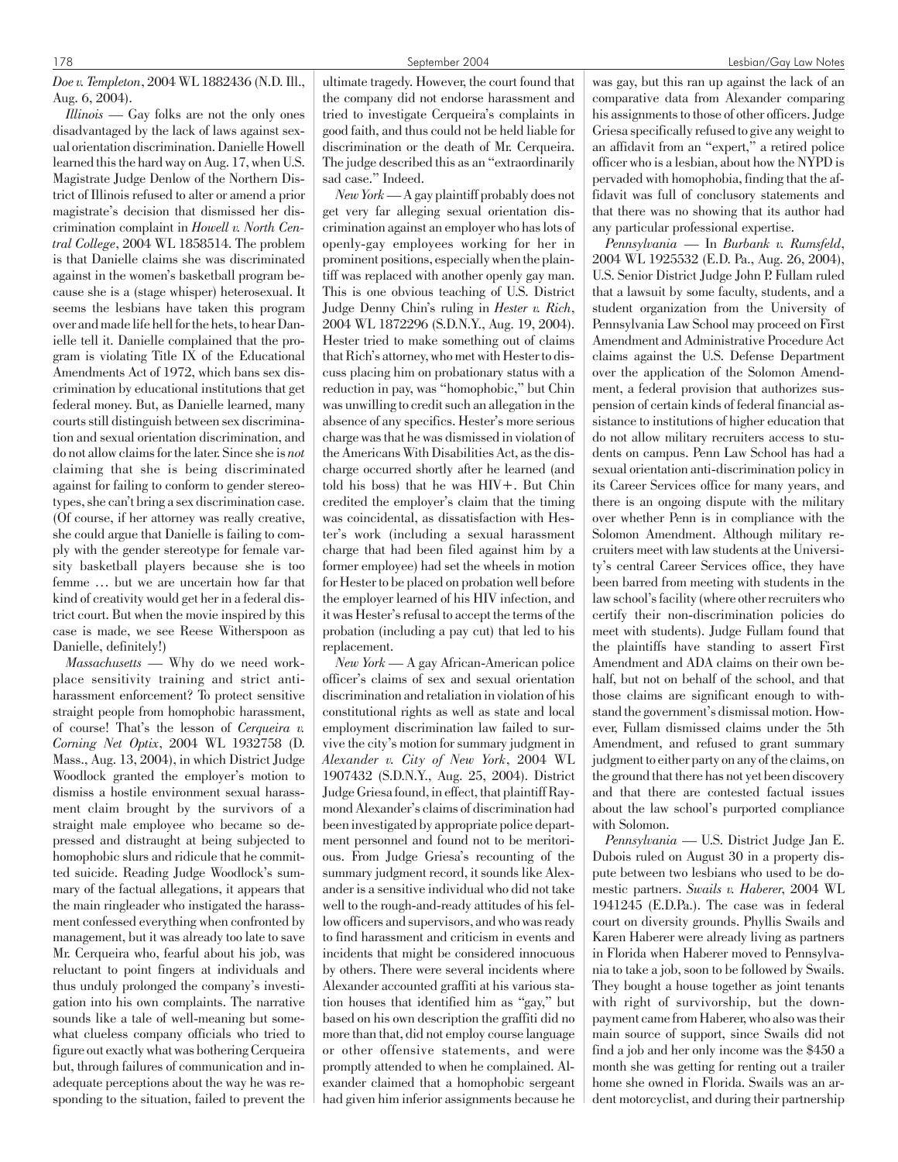*Doe v. Templeton*, 2004 WL 1882436 (N.D. Ill., Aug. 6, 2004).

*Illinois* — Gay folks are not the only ones disadvantaged by the lack of laws against sexual orientation discrimination. Danielle Howell learned this the hard way on Aug. 17, when U.S. Magistrate Judge Denlow of the Northern District of Illinois refused to alter or amend a prior magistrate's decision that dismissed her discrimination complaint in *Howell v. North Central College*, 2004 WL 1858514. The problem is that Danielle claims she was discriminated against in the women's basketball program because she is a (stage whisper) heterosexual. It seems the lesbians have taken this program over and made life hell for the hets, to hear Danielle tell it. Danielle complained that the program is violating Title IX of the Educational Amendments Act of 1972, which bans sex discrimination by educational institutions that get federal money. But, as Danielle learned, many courts still distinguish between sex discrimination and sexual orientation discrimination, and do not allow claims for the later. Since she is *not* claiming that she is being discriminated against for failing to conform to gender stereotypes, she can't bring a sex discrimination case. (Of course, if her attorney was really creative, she could argue that Danielle is failing to comply with the gender stereotype for female varsity basketball players because she is too femme … but we are uncertain how far that kind of creativity would get her in a federal district court. But when the movie inspired by this case is made, we see Reese Witherspoon as Danielle, definitely!)

*Massachusetts* — Why do we need workplace sensitivity training and strict antiharassment enforcement? To protect sensitive straight people from homophobic harassment, of course! That's the lesson of *Cerqueira v. Corning Net Optix*, 2004 WL 1932758 (D. Mass., Aug. 13, 2004), in which District Judge Woodlock granted the employer's motion to dismiss a hostile environment sexual harassment claim brought by the survivors of a straight male employee who became so depressed and distraught at being subjected to homophobic slurs and ridicule that he committed suicide. Reading Judge Woodlock's summary of the factual allegations, it appears that the main ringleader who instigated the harassment confessed everything when confronted by management, but it was already too late to save Mr. Cerqueira who, fearful about his job, was reluctant to point fingers at individuals and thus unduly prolonged the company's investigation into his own complaints. The narrative sounds like a tale of well-meaning but somewhat clueless company officials who tried to figure out exactly what was bothering Cerqueira but, through failures of communication and inadequate perceptions about the way he was responding to the situation, failed to prevent the ultimate tragedy. However, the court found that the company did not endorse harassment and tried to investigate Cerqueira's complaints in good faith, and thus could not be held liable for discrimination or the death of Mr. Cerqueira. The judge described this as an "extraordinarily sad case." Indeed.

*New York*— A gay plaintiff probably does not get very far alleging sexual orientation discrimination against an employer who has lots of openly-gay employees working for her in prominent positions, especially when the plaintiff was replaced with another openly gay man. This is one obvious teaching of U.S. District Judge Denny Chin's ruling in *Hester v. Rich*, 2004 WL 1872296 (S.D.N.Y., Aug. 19, 2004). Hester tried to make something out of claims that Rich's attorney, who met with Hester to discuss placing him on probationary status with a reduction in pay, was "homophobic," but Chin was unwilling to credit such an allegation in the absence of any specifics. Hester's more serious charge was that he was dismissed in violation of the Americans With Disabilities Act, as the discharge occurred shortly after he learned (and told his boss) that he was HIV+. But Chin credited the employer's claim that the timing was coincidental, as dissatisfaction with Hester's work (including a sexual harassment charge that had been filed against him by a former employee) had set the wheels in motion for Hester to be placed on probation well before the employer learned of his HIV infection, and it was Hester's refusal to accept the terms of the probation (including a pay cut) that led to his replacement.

*New York* — A gay African-American police officer's claims of sex and sexual orientation discrimination and retaliation in violation of his constitutional rights as well as state and local employment discrimination law failed to survive the city's motion for summary judgment in *Alexander v. City of New York*, 2004 WL 1907432 (S.D.N.Y., Aug. 25, 2004). District Judge Griesa found, in effect, that plaintiff Raymond Alexander's claims of discrimination had been investigated by appropriate police department personnel and found not to be meritorious. From Judge Griesa's recounting of the summary judgment record, it sounds like Alexander is a sensitive individual who did not take well to the rough-and-ready attitudes of his fellow officers and supervisors, and who was ready to find harassment and criticism in events and incidents that might be considered innocuous by others. There were several incidents where Alexander accounted graffiti at his various station houses that identified him as "gay," but based on his own description the graffiti did no more than that, did not employ course language or other offensive statements, and were promptly attended to when he complained. Alexander claimed that a homophobic sergeant had given him inferior assignments because he

was gay, but this ran up against the lack of an comparative data from Alexander comparing his assignments to those of other officers. Judge Griesa specifically refused to give any weight to an affidavit from an "expert," a retired police officer who is a lesbian, about how the NYPD is pervaded with homophobia, finding that the affidavit was full of conclusory statements and that there was no showing that its author had any particular professional expertise.

*Pennsylvania* — In *Burbank v. Rumsfeld*, 2004 WL 1925532 (E.D. Pa., Aug. 26, 2004), U.S. Senior District Judge John P. Fullam ruled that a lawsuit by some faculty, students, and a student organization from the University of Pennsylvania Law School may proceed on First Amendment and Administrative Procedure Act claims against the U.S. Defense Department over the application of the Solomon Amendment, a federal provision that authorizes suspension of certain kinds of federal financial assistance to institutions of higher education that do not allow military recruiters access to students on campus. Penn Law School has had a sexual orientation anti-discrimination policy in its Career Services office for many years, and there is an ongoing dispute with the military over whether Penn is in compliance with the Solomon Amendment. Although military recruiters meet with law students at the University's central Career Services office, they have been barred from meeting with students in the law school's facility (where other recruiters who certify their non-discrimination policies do meet with students). Judge Fullam found that the plaintiffs have standing to assert First Amendment and ADA claims on their own behalf, but not on behalf of the school, and that those claims are significant enough to withstand the government's dismissal motion. However, Fullam dismissed claims under the 5th Amendment, and refused to grant summary judgment to either party on any of the claims, on the ground that there has not yet been discovery and that there are contested factual issues about the law school's purported compliance with Solomon.

*Pennsylvania* — U.S. District Judge Jan E. Dubois ruled on August 30 in a property dispute between two lesbians who used to be domestic partners. *Swails v. Haberer*, 2004 WL 1941245 (E.D.Pa.). The case was in federal court on diversity grounds. Phyllis Swails and Karen Haberer were already living as partners in Florida when Haberer moved to Pennsylvania to take a job, soon to be followed by Swails. They bought a house together as joint tenants with right of survivorship, but the downpayment came from Haberer, who also was their main source of support, since Swails did not find a job and her only income was the \$450 a month she was getting for renting out a trailer home she owned in Florida. Swails was an ardent motorcyclist, and during their partnership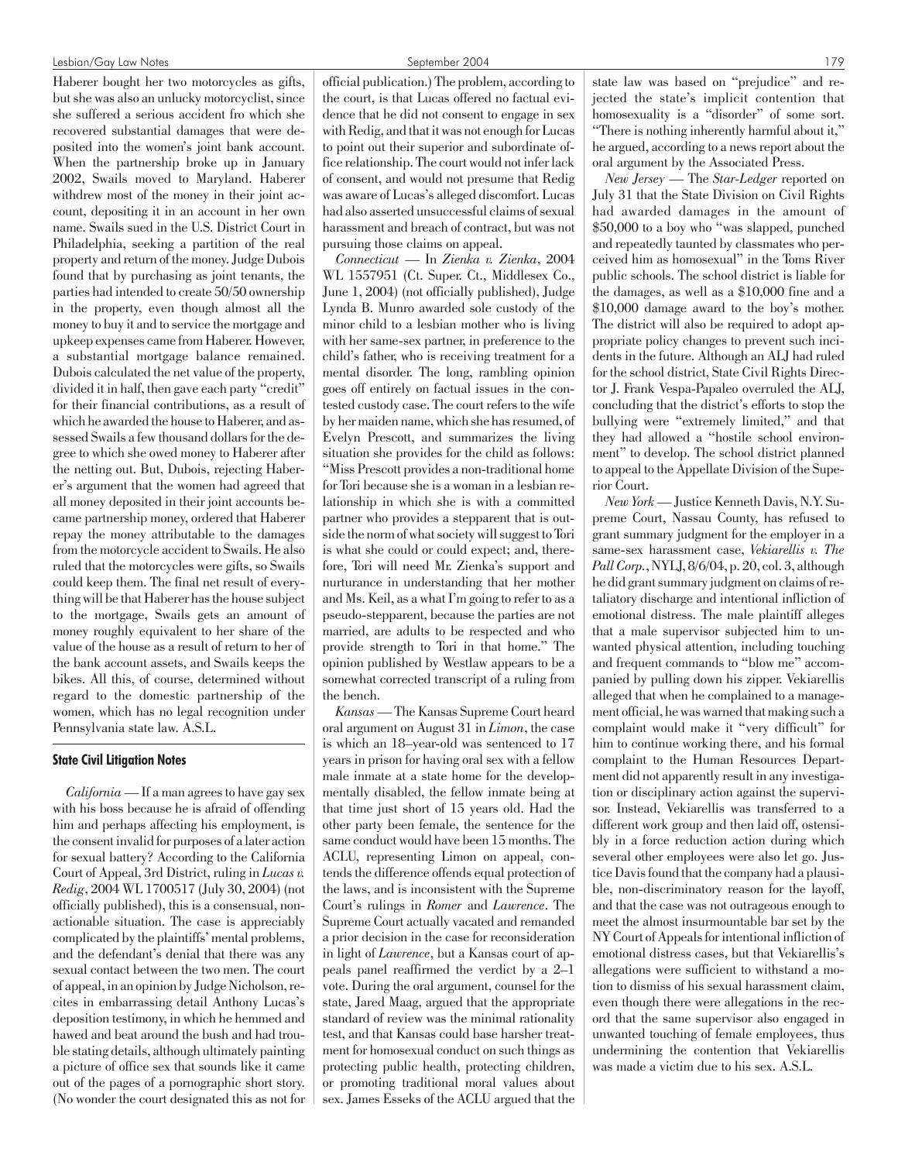Haberer bought her two motorcycles as gifts, but she was also an unlucky motorcyclist, since she suffered a serious accident fro which she recovered substantial damages that were deposited into the women's joint bank account. When the partnership broke up in January 2002, Swails moved to Maryland. Haberer withdrew most of the money in their joint account, depositing it in an account in her own name. Swails sued in the U.S. District Court in Philadelphia, seeking a partition of the real property and return of the money. Judge Dubois found that by purchasing as joint tenants, the parties had intended to create 50/50 ownership in the property, even though almost all the money to buy it and to service the mortgage and upkeep expenses came from Haberer. However, a substantial mortgage balance remained. Dubois calculated the net value of the property, divided it in half, then gave each party "credit" for their financial contributions, as a result of which he awarded the house to Haberer, and assessed Swails a few thousand dollars for the degree to which she owed money to Haberer after the netting out. But, Dubois, rejecting Haberer's argument that the women had agreed that all money deposited in their joint accounts became partnership money, ordered that Haberer repay the money attributable to the damages from the motorcycle accident to Swails. He also ruled that the motorcycles were gifts, so Swails could keep them. The final net result of everything will be that Haberer has the house subject to the mortgage, Swails gets an amount of money roughly equivalent to her share of the value of the house as a result of return to her of the bank account assets, and Swails keeps the bikes. All this, of course, determined without regard to the domestic partnership of the women, which has no legal recognition under Pennsylvania state law. A.S.L.

# State Civil Litigation Notes

*California* — If a man agrees to have gay sex with his boss because he is afraid of offending him and perhaps affecting his employment, is the consent invalid for purposes of a later action for sexual battery? According to the California Court of Appeal, 3rd District, ruling in *Lucas v. Redig*, 2004 WL 1700517 (July 30, 2004) (not officially published), this is a consensual, nonactionable situation. The case is appreciably complicated by the plaintiffs' mental problems, and the defendant's denial that there was any sexual contact between the two men. The court of appeal, in an opinion by Judge Nicholson, recites in embarrassing detail Anthony Lucas's deposition testimony, in which he hemmed and hawed and beat around the bush and had trouble stating details, although ultimately painting a picture of office sex that sounds like it came out of the pages of a pornographic short story. (No wonder the court designated this as not for official publication.) The problem, according to the court, is that Lucas offered no factual evidence that he did not consent to engage in sex with Redig, and that it was not enough for Lucas to point out their superior and subordinate office relationship. The court would not infer lack of consent, and would not presume that Redig was aware of Lucas's alleged discomfort. Lucas had also asserted unsuccessful claims of sexual harassment and breach of contract, but was not pursuing those claims on appeal.

*Connecticut* — In *Zienka v. Zienka*, 2004 WL 1557951 (Ct. Super. Ct., Middlesex Co., June 1, 2004) (not officially published), Judge Lynda B. Munro awarded sole custody of the minor child to a lesbian mother who is living with her same-sex partner, in preference to the child's father, who is receiving treatment for a mental disorder. The long, rambling opinion goes off entirely on factual issues in the contested custody case. The court refers to the wife by her maiden name, which she has resumed, of Evelyn Prescott, and summarizes the living situation she provides for the child as follows: "Miss Prescott provides a non-traditional home for Tori because she is a woman in a lesbian relationship in which she is with a committed partner who provides a stepparent that is outside the norm of what society will suggest to Tori is what she could or could expect; and, therefore, Tori will need Mr. Zienka's support and nurturance in understanding that her mother and Ms. Keil, as a what I'm going to refer to as a pseudo-stepparent, because the parties are not married, are adults to be respected and who provide strength to Tori in that home." The opinion published by Westlaw appears to be a somewhat corrected transcript of a ruling from the bench.

*Kansas*— The Kansas Supreme Court heard oral argument on August 31 in *Limon*, the case is which an 18–year-old was sentenced to 17 years in prison for having oral sex with a fellow male inmate at a state home for the developmentally disabled, the fellow inmate being at that time just short of 15 years old. Had the other party been female, the sentence for the same conduct would have been 15 months. The ACLU, representing Limon on appeal, contends the difference offends equal protection of the laws, and is inconsistent with the Supreme Court's rulings in *Romer* and *Lawrence*. The Supreme Court actually vacated and remanded a prior decision in the case for reconsideration in light of *Lawrence*, but a Kansas court of appeals panel reaffirmed the verdict by a 2–1 vote. During the oral argument, counsel for the state, Jared Maag, argued that the appropriate standard of review was the minimal rationality test, and that Kansas could base harsher treatment for homosexual conduct on such things as protecting public health, protecting children, or promoting traditional moral values about sex. James Esseks of the ACLU argued that the

state law was based on "prejudice" and rejected the state's implicit contention that homosexuality is a "disorder" of some sort. "There is nothing inherently harmful about it," he argued, according to a news report about the oral argument by the Associated Press.

*New Jersey* — The *Star-Ledger* reported on July 31 that the State Division on Civil Rights had awarded damages in the amount of \$50,000 to a boy who "was slapped, punched and repeatedly taunted by classmates who perceived him as homosexual" in the Toms River public schools. The school district is liable for the damages, as well as a \$10,000 fine and a \$10,000 damage award to the boy's mother. The district will also be required to adopt appropriate policy changes to prevent such incidents in the future. Although an ALJ had ruled for the school district, State Civil Rights Director J. Frank Vespa-Papaleo overruled the ALJ, concluding that the district's efforts to stop the bullying were "extremely limited," and that they had allowed a "hostile school environment" to develop. The school district planned to appeal to the Appellate Division of the Superior Court.

*New York*— Justice Kenneth Davis, N.Y. Supreme Court, Nassau County, has refused to grant summary judgment for the employer in a same-sex harassment case, *Vekiarellis v. The Pall Corp.*, NYLJ, 8/6/04, p. 20, col. 3, although he did grant summary judgment on claims of retaliatory discharge and intentional infliction of emotional distress. The male plaintiff alleges that a male supervisor subjected him to unwanted physical attention, including touching and frequent commands to "blow me" accompanied by pulling down his zipper. Vekiarellis alleged that when he complained to a management official, he was warned that making such a complaint would make it "very difficult" for him to continue working there, and his formal complaint to the Human Resources Department did not apparently result in any investigation or disciplinary action against the supervisor. Instead, Vekiarellis was transferred to a different work group and then laid off, ostensibly in a force reduction action during which several other employees were also let go. Justice Davis found that the company had a plausible, non-discriminatory reason for the layoff, and that the case was not outrageous enough to meet the almost insurmountable bar set by the NY Court of Appeals for intentional infliction of emotional distress cases, but that Vekiarellis's allegations were sufficient to withstand a motion to dismiss of his sexual harassment claim, even though there were allegations in the record that the same supervisor also engaged in unwanted touching of female employees, thus undermining the contention that Vekiarellis was made a victim due to his sex. A.S.L.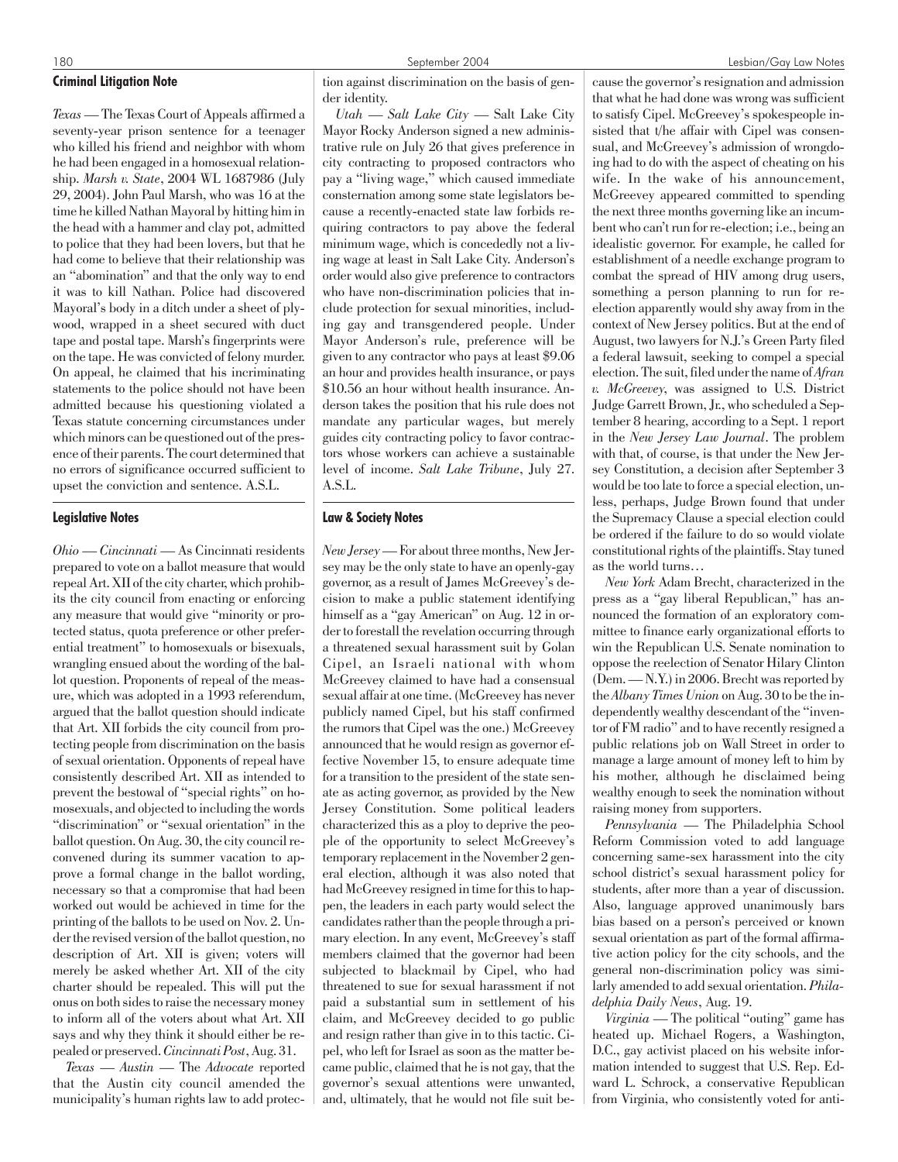# Criminal Litigation Note

*Texas* — The Texas Court of Appeals affirmed a seventy-year prison sentence for a teenager who killed his friend and neighbor with whom he had been engaged in a homosexual relationship. *Marsh v. State*, 2004 WL 1687986 (July 29, 2004). John Paul Marsh, who was 16 at the time he killed Nathan Mayoral by hitting him in the head with a hammer and clay pot, admitted to police that they had been lovers, but that he had come to believe that their relationship was an "abomination" and that the only way to end it was to kill Nathan. Police had discovered Mayoral's body in a ditch under a sheet of plywood, wrapped in a sheet secured with duct tape and postal tape. Marsh's fingerprints were on the tape. He was convicted of felony murder. On appeal, he claimed that his incriminating statements to the police should not have been admitted because his questioning violated a Texas statute concerning circumstances under which minors can be questioned out of the presence of their parents. The court determined that no errors of significance occurred sufficient to upset the conviction and sentence. A.S.L.

# Legislative Notes

*Ohio — Cincinnati* — As Cincinnati residents prepared to vote on a ballot measure that would repeal Art. XII of the city charter, which prohibits the city council from enacting or enforcing any measure that would give "minority or protected status, quota preference or other preferential treatment" to homosexuals or bisexuals, wrangling ensued about the wording of the ballot question. Proponents of repeal of the measure, which was adopted in a 1993 referendum, argued that the ballot question should indicate that Art. XII forbids the city council from protecting people from discrimination on the basis of sexual orientation. Opponents of repeal have consistently described Art. XII as intended to prevent the bestowal of "special rights" on homosexuals, and objected to including the words "discrimination" or "sexual orientation" in the ballot question. On Aug. 30, the city council reconvened during its summer vacation to approve a formal change in the ballot wording, necessary so that a compromise that had been worked out would be achieved in time for the printing of the ballots to be used on Nov. 2. Under the revised version of the ballot question, no description of Art. XII is given; voters will merely be asked whether Art. XII of the city charter should be repealed. This will put the onus on both sides to raise the necessary money to inform all of the voters about what Art. XII says and why they think it should either be repealed or preserved.*Cincinnati Post*, Aug. 31.

*Texas — Austin* — The *Advocate* reported that the Austin city council amended the municipality's human rights law to add protection against discrimination on the basis of gender identity.

*Utah — Salt Lake City* — Salt Lake City Mayor Rocky Anderson signed a new administrative rule on July 26 that gives preference in city contracting to proposed contractors who pay a "living wage," which caused immediate consternation among some state legislators because a recently-enacted state law forbids requiring contractors to pay above the federal minimum wage, which is concededly not a living wage at least in Salt Lake City. Anderson's order would also give preference to contractors who have non-discrimination policies that include protection for sexual minorities, including gay and transgendered people. Under Mayor Anderson's rule, preference will be given to any contractor who pays at least \$9.06 an hour and provides health insurance, or pays \$10.56 an hour without health insurance. Anderson takes the position that his rule does not mandate any particular wages, but merely guides city contracting policy to favor contractors whose workers can achieve a sustainable level of income. *Salt Lake Tribune*, July 27.  $A.S.I.$ 

# Law & Society Notes

*New Jersey*— For about three months, New Jersey may be the only state to have an openly-gay governor, as a result of James McGreevey's decision to make a public statement identifying himself as a "gay American" on Aug. 12 in order to forestall the revelation occurring through a threatened sexual harassment suit by Golan Cipel, an Israeli national with whom McGreevey claimed to have had a consensual sexual affair at one time. (McGreevey has never publicly named Cipel, but his staff confirmed the rumors that Cipel was the one.) McGreevey announced that he would resign as governor effective November 15, to ensure adequate time for a transition to the president of the state senate as acting governor, as provided by the New Jersey Constitution. Some political leaders characterized this as a ploy to deprive the people of the opportunity to select McGreevey's temporary replacement in the November 2 general election, although it was also noted that had McGreevey resigned in time for this to happen, the leaders in each party would select the candidates rather than the people through a primary election. In any event, McGreevey's staff members claimed that the governor had been subjected to blackmail by Cipel, who had threatened to sue for sexual harassment if not paid a substantial sum in settlement of his claim, and McGreevey decided to go public and resign rather than give in to this tactic. Cipel, who left for Israel as soon as the matter became public, claimed that he is not gay, that the governor's sexual attentions were unwanted, and, ultimately, that he would not file suit be-

cause the governor's resignation and admission that what he had done was wrong was sufficient to satisfy Cipel. McGreevey's spokespeople insisted that t/he affair with Cipel was consensual, and McGreevey's admission of wrongdoing had to do with the aspect of cheating on his wife. In the wake of his announcement, McGreevey appeared committed to spending the next three months governing like an incumbent who can't run for re-election; i.e., being an idealistic governor. For example, he called for establishment of a needle exchange program to combat the spread of HIV among drug users, something a person planning to run for reelection apparently would shy away from in the context of New Jersey politics. But at the end of August, two lawyers for N.J.'s Green Party filed a federal lawsuit, seeking to compel a special election. The suit, filed under the name of *Afran v. McGreevey*, was assigned to U.S. District Judge Garrett Brown, Jr., who scheduled a September 8 hearing, according to a Sept. 1 report in the *New Jersey Law Journal*. The problem with that, of course, is that under the New Jersey Constitution, a decision after September 3 would be too late to force a special election, unless, perhaps, Judge Brown found that under the Supremacy Clause a special election could be ordered if the failure to do so would violate constitutional rights of the plaintiffs. Stay tuned as the world turns…

*New York* Adam Brecht, characterized in the press as a "gay liberal Republican," has announced the formation of an exploratory committee to finance early organizational efforts to win the Republican U.S. Senate nomination to oppose the reelection of Senator Hilary Clinton (Dem. — N.Y.) in 2006. Brecht was reported by the *Albany Times Union* on Aug. 30 to be the independently wealthy descendant of the "inventor of FM radio" and to have recently resigned a public relations job on Wall Street in order to manage a large amount of money left to him by his mother, although he disclaimed being wealthy enough to seek the nomination without raising money from supporters.

*Pennsylvania* — The Philadelphia School Reform Commission voted to add language concerning same-sex harassment into the city school district's sexual harassment policy for students, after more than a year of discussion. Also, language approved unanimously bars bias based on a person's perceived or known sexual orientation as part of the formal affirmative action policy for the city schools, and the general non-discrimination policy was similarly amended to add sexual orientation. *Philadelphia Daily News*, Aug. 19.

*Virginia* — The political "outing" game has heated up. Michael Rogers, a Washington, D.C., gay activist placed on his website information intended to suggest that U.S. Rep. Edward L. Schrock, a conservative Republican from Virginia, who consistently voted for anti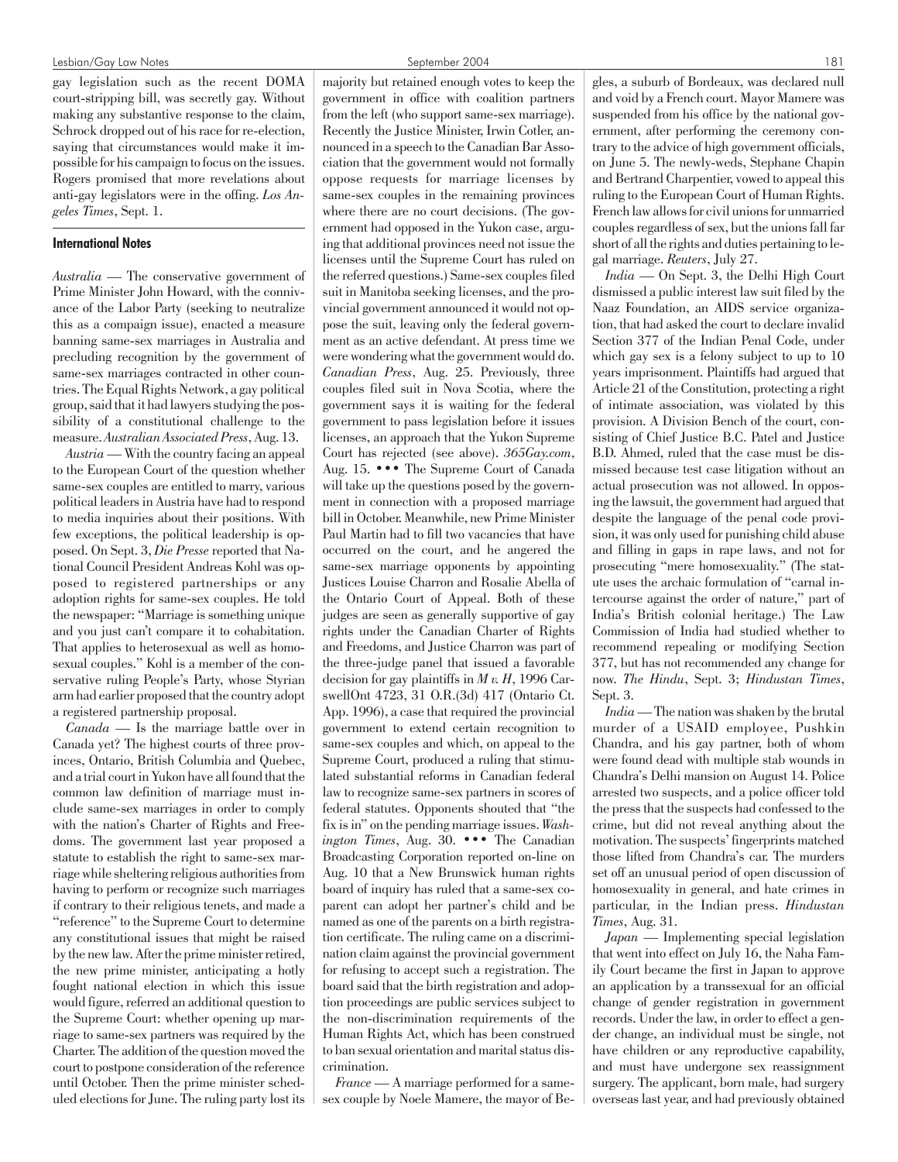gay legislation such as the recent DOMA court-stripping bill, was secretly gay. Without making any substantive response to the claim, Schrock dropped out of his race for re-election, saying that circumstances would make it impossible for his campaign to focus on the issues. Rogers promised that more revelations about anti-gay legislators were in the offing. *Los Angeles Times*, Sept. 1.

# International Notes

*Australia* — The conservative government of Prime Minister John Howard, with the connivance of the Labor Party (seeking to neutralize this as a compaign issue), enacted a measure banning same-sex marriages in Australia and precluding recognition by the government of same-sex marriages contracted in other countries. The Equal Rights Network, a gay political group, said that it had lawyers studying the possibility of a constitutional challenge to the measure.*Australian Associated Press*, Aug. 13.

*Austria*— With the country facing an appeal to the European Court of the question whether same-sex couples are entitled to marry, various political leaders in Austria have had to respond to media inquiries about their positions. With few exceptions, the political leadership is opposed. On Sept. 3, *Die Presse*reported that National Council President Andreas Kohl was opposed to registered partnerships or any adoption rights for same-sex couples. He told the newspaper: "Marriage is something unique and you just can't compare it to cohabitation. That applies to heterosexual as well as homosexual couples." Kohl is a member of the conservative ruling People's Party, whose Styrian arm had earlier proposed that the country adopt a registered partnership proposal.

*Canada* — Is the marriage battle over in Canada yet? The highest courts of three provinces, Ontario, British Columbia and Quebec, and a trial court in Yukon have all found that the common law definition of marriage must include same-sex marriages in order to comply with the nation's Charter of Rights and Freedoms. The government last year proposed a statute to establish the right to same-sex marriage while sheltering religious authorities from having to perform or recognize such marriages if contrary to their religious tenets, and made a "reference" to the Supreme Court to determine any constitutional issues that might be raised by the new law. After the prime minister retired, the new prime minister, anticipating a hotly fought national election in which this issue would figure, referred an additional question to the Supreme Court: whether opening up marriage to same-sex partners was required by the Charter. The addition of the question moved the court to postpone consideration of the reference until October. Then the prime minister scheduled elections for June. The ruling party lost its majority but retained enough votes to keep the government in office with coalition partners from the left (who support same-sex marriage). Recently the Justice Minister, Irwin Cotler, announced in a speech to the Canadian Bar Association that the government would not formally oppose requests for marriage licenses by same-sex couples in the remaining provinces where there are no court decisions. (The government had opposed in the Yukon case, arguing that additional provinces need not issue the licenses until the Supreme Court has ruled on the referred questions.) Same-sex couples filed suit in Manitoba seeking licenses, and the provincial government announced it would not oppose the suit, leaving only the federal government as an active defendant. At press time we were wondering what the government would do. *Canadian Press*, Aug. 25. Previously, three couples filed suit in Nova Scotia, where the government says it is waiting for the federal government to pass legislation before it issues licenses, an approach that the Yukon Supreme Court has rejected (see above). *365Gay.com*, Aug. 15. ••• The Supreme Court of Canada will take up the questions posed by the government in connection with a proposed marriage bill in October. Meanwhile, new Prime Minister Paul Martin had to fill two vacancies that have occurred on the court, and he angered the same-sex marriage opponents by appointing Justices Louise Charron and Rosalie Abella of the Ontario Court of Appeal. Both of these judges are seen as generally supportive of gay rights under the Canadian Charter of Rights and Freedoms, and Justice Charron was part of the three-judge panel that issued a favorable decision for gay plaintiffs in *M v. H*, 1996 CarswellOnt 4723, 31 O.R.(3d) 417 (Ontario Ct. App. 1996), a case that required the provincial government to extend certain recognition to same-sex couples and which, on appeal to the Supreme Court, produced a ruling that stimulated substantial reforms in Canadian federal law to recognize same-sex partners in scores of federal statutes. Opponents shouted that "the fix is in" on the pending marriage issues. *Washington Times*, Aug. 30. ••• The Canadian Broadcasting Corporation reported on-line on Aug. 10 that a New Brunswick human rights board of inquiry has ruled that a same-sex coparent can adopt her partner's child and be named as one of the parents on a birth registration certificate. The ruling came on a discrimination claim against the provincial government for refusing to accept such a registration. The board said that the birth registration and adoption proceedings are public services subject to the non-discrimination requirements of the Human Rights Act, which has been construed to ban sexual orientation and marital status discrimination.

*France* — A marriage performed for a samesex couple by Noele Mamere, the mayor of Begles, a suburb of Bordeaux, was declared null and void by a French court. Mayor Mamere was suspended from his office by the national government, after performing the ceremony contrary to the advice of high government officials, on June 5. The newly-weds, Stephane Chapin and Bertrand Charpentier, vowed to appeal this ruling to the European Court of Human Rights. French law allows for civil unions for unmarried couples regardless of sex, but the unions fall far short of all the rights and duties pertaining to legal marriage. *Reuters*, July 27.

*India* — On Sept. 3, the Delhi High Court dismissed a public interest law suit filed by the Naaz Foundation, an AIDS service organization, that had asked the court to declare invalid Section 377 of the Indian Penal Code, under which gay sex is a felony subject to up to 10 years imprisonment. Plaintiffs had argued that Article 21 of the Constitution, protecting a right of intimate association, was violated by this provision. A Division Bench of the court, consisting of Chief Justice B.C. Patel and Justice B.D. Ahmed, ruled that the case must be dismissed because test case litigation without an actual prosecution was not allowed. In opposing the lawsuit, the government had argued that despite the language of the penal code provision, it was only used for punishing child abuse and filling in gaps in rape laws, and not for prosecuting "mere homosexuality." (The statute uses the archaic formulation of "carnal intercourse against the order of nature," part of India's British colonial heritage.) The Law Commission of India had studied whether to recommend repealing or modifying Section 377, but has not recommended any change for now. *The Hindu*, Sept. 3; *Hindustan Times*, Sept. 3.

*India*— The nation was shaken by the brutal murder of a USAID employee, Pushkin Chandra, and his gay partner, both of whom were found dead with multiple stab wounds in Chandra's Delhi mansion on August 14. Police arrested two suspects, and a police officer told the press that the suspects had confessed to the crime, but did not reveal anything about the motivation. The suspects' fingerprints matched those lifted from Chandra's car. The murders set off an unusual period of open discussion of homosexuality in general, and hate crimes in particular, in the Indian press. *Hindustan Times*, Aug. 31.

*Japan* — Implementing special legislation that went into effect on July 16, the Naha Family Court became the first in Japan to approve an application by a transsexual for an official change of gender registration in government records. Under the law, in order to effect a gender change, an individual must be single, not have children or any reproductive capability, and must have undergone sex reassignment surgery. The applicant, born male, had surgery overseas last year, and had previously obtained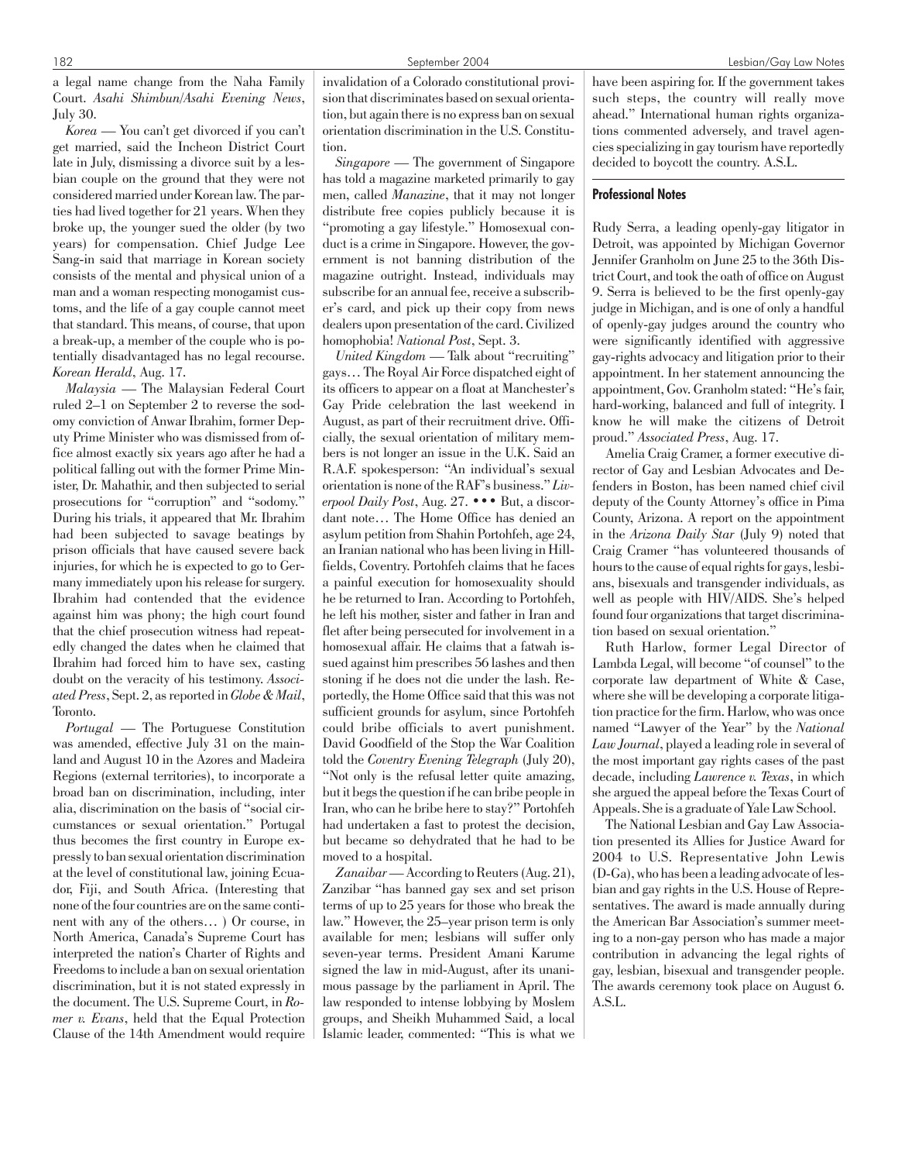a legal name change from the Naha Family Court. *Asahi Shimbun/Asahi Evening News*, July 30.

*Korea* — You can't get divorced if you can't get married, said the Incheon District Court late in July, dismissing a divorce suit by a lesbian couple on the ground that they were not considered married under Korean law. The parties had lived together for 21 years. When they broke up, the younger sued the older (by two years) for compensation. Chief Judge Lee Sang-in said that marriage in Korean society consists of the mental and physical union of a man and a woman respecting monogamist customs, and the life of a gay couple cannot meet that standard. This means, of course, that upon a break-up, a member of the couple who is potentially disadvantaged has no legal recourse. *Korean Herald*, Aug. 17.

*Malaysia* — The Malaysian Federal Court ruled 2–1 on September 2 to reverse the sodomy conviction of Anwar Ibrahim, former Deputy Prime Minister who was dismissed from office almost exactly six years ago after he had a political falling out with the former Prime Minister, Dr. Mahathir, and then subjected to serial prosecutions for "corruption" and "sodomy." During his trials, it appeared that Mr. Ibrahim had been subjected to savage beatings by prison officials that have caused severe back injuries, for which he is expected to go to Germany immediately upon his release for surgery. Ibrahim had contended that the evidence against him was phony; the high court found that the chief prosecution witness had repeatedly changed the dates when he claimed that Ibrahim had forced him to have sex, casting doubt on the veracity of his testimony. *Associated Press*, Sept. 2, as reported in *Globe & Mail*, Toronto.

*Portugal* — The Portuguese Constitution was amended, effective July 31 on the mainland and August 10 in the Azores and Madeira Regions (external territories), to incorporate a broad ban on discrimination, including, inter alia, discrimination on the basis of "social circumstances or sexual orientation." Portugal thus becomes the first country in Europe expressly to ban sexual orientation discrimination at the level of constitutional law, joining Ecuador, Fiji, and South Africa. (Interesting that none of the four countries are on the same continent with any of the others… ) Or course, in North America, Canada's Supreme Court has interpreted the nation's Charter of Rights and Freedoms to include a ban on sexual orientation discrimination, but it is not stated expressly in the document. The U.S. Supreme Court, in *Romer v. Evans*, held that the Equal Protection Clause of the 14th Amendment would require invalidation of a Colorado constitutional provision that discriminates based on sexual orientation, but again there is no express ban on sexual orientation discrimination in the U.S. Constitution.

*Singapore* — The government of Singapore has told a magazine marketed primarily to gay men, called *Manazine*, that it may not longer distribute free copies publicly because it is "promoting a gay lifestyle." Homosexual conduct is a crime in Singapore. However, the government is not banning distribution of the magazine outright. Instead, individuals may subscribe for an annual fee, receive a subscriber's card, and pick up their copy from news dealers upon presentation of the card. Civilized homophobia! *National Post*, Sept. 3.

*United Kingdom* — Talk about "recruiting" gays… The Royal Air Force dispatched eight of its officers to appear on a float at Manchester's Gay Pride celebration the last weekend in August, as part of their recruitment drive. Officially, the sexual orientation of military members is not longer an issue in the U.K. Said an R.A.F. spokesperson: "An individual's sexual orientation is none of the RAF's business." *Liverpool Daily Post*, Aug. 27. ••• But, a discordant note… The Home Office has denied an asylum petition from Shahin Portohfeh, age 24, an Iranian national who has been living in Hillfields, Coventry. Portohfeh claims that he faces a painful execution for homosexuality should he be returned to Iran. According to Portohfeh, he left his mother, sister and father in Iran and flet after being persecuted for involvement in a homosexual affair. He claims that a fatwah issued against him prescribes 56 lashes and then stoning if he does not die under the lash. Reportedly, the Home Office said that this was not sufficient grounds for asylum, since Portohfeh could bribe officials to avert punishment. David Goodfield of the Stop the War Coalition told the *Coventry Evening Telegraph* (July 20), "Not only is the refusal letter quite amazing, but it begs the question if he can bribe people in Iran, who can he bribe here to stay?" Portohfeh had undertaken a fast to protest the decision, but became so dehydrated that he had to be moved to a hospital.

*Zanaibar*— According to Reuters (Aug. 21), Zanzibar "has banned gay sex and set prison terms of up to 25 years for those who break the law." However, the 25–year prison term is only available for men; lesbians will suffer only seven-year terms. President Amani Karume signed the law in mid-August, after its unanimous passage by the parliament in April. The law responded to intense lobbying by Moslem groups, and Sheikh Muhammed Said, a local Islamic leader, commented: "This is what we

have been aspiring for. If the government takes such steps, the country will really move ahead." International human rights organizations commented adversely, and travel agencies specializing in gay tourism have reportedly decided to boycott the country. A.S.L.

#### Professional Notes

Rudy Serra, a leading openly-gay litigator in Detroit, was appointed by Michigan Governor Jennifer Granholm on June 25 to the 36th District Court, and took the oath of office on August 9. Serra is believed to be the first openly-gay judge in Michigan, and is one of only a handful of openly-gay judges around the country who were significantly identified with aggressive gay-rights advocacy and litigation prior to their appointment. In her statement announcing the appointment, Gov. Granholm stated: "He's fair, hard-working, balanced and full of integrity. I know he will make the citizens of Detroit proud." *Associated Press*, Aug. 17.

Amelia Craig Cramer, a former executive director of Gay and Lesbian Advocates and Defenders in Boston, has been named chief civil deputy of the County Attorney's office in Pima County, Arizona. A report on the appointment in the *Arizona Daily Star* (July 9) noted that Craig Cramer "has volunteered thousands of hours to the cause of equal rights for gays, lesbians, bisexuals and transgender individuals, as well as people with HIV/AIDS. She's helped found four organizations that target discrimination based on sexual orientation."

Ruth Harlow, former Legal Director of Lambda Legal, will become "of counsel" to the corporate law department of White & Case, where she will be developing a corporate litigation practice for the firm. Harlow, who was once named "Lawyer of the Year" by the *National Law Journal*, played a leading role in several of the most important gay rights cases of the past decade, including *Lawrence v. Texas*, in which she argued the appeal before the Texas Court of Appeals. She is a graduate of Yale Law School.

The National Lesbian and Gay Law Association presented its Allies for Justice Award for 2004 to U.S. Representative John Lewis (D-Ga), who has been a leading advocate of lesbian and gay rights in the U.S. House of Representatives. The award is made annually during the American Bar Association's summer meeting to a non-gay person who has made a major contribution in advancing the legal rights of gay, lesbian, bisexual and transgender people. The awards ceremony took place on August 6. A.S.L.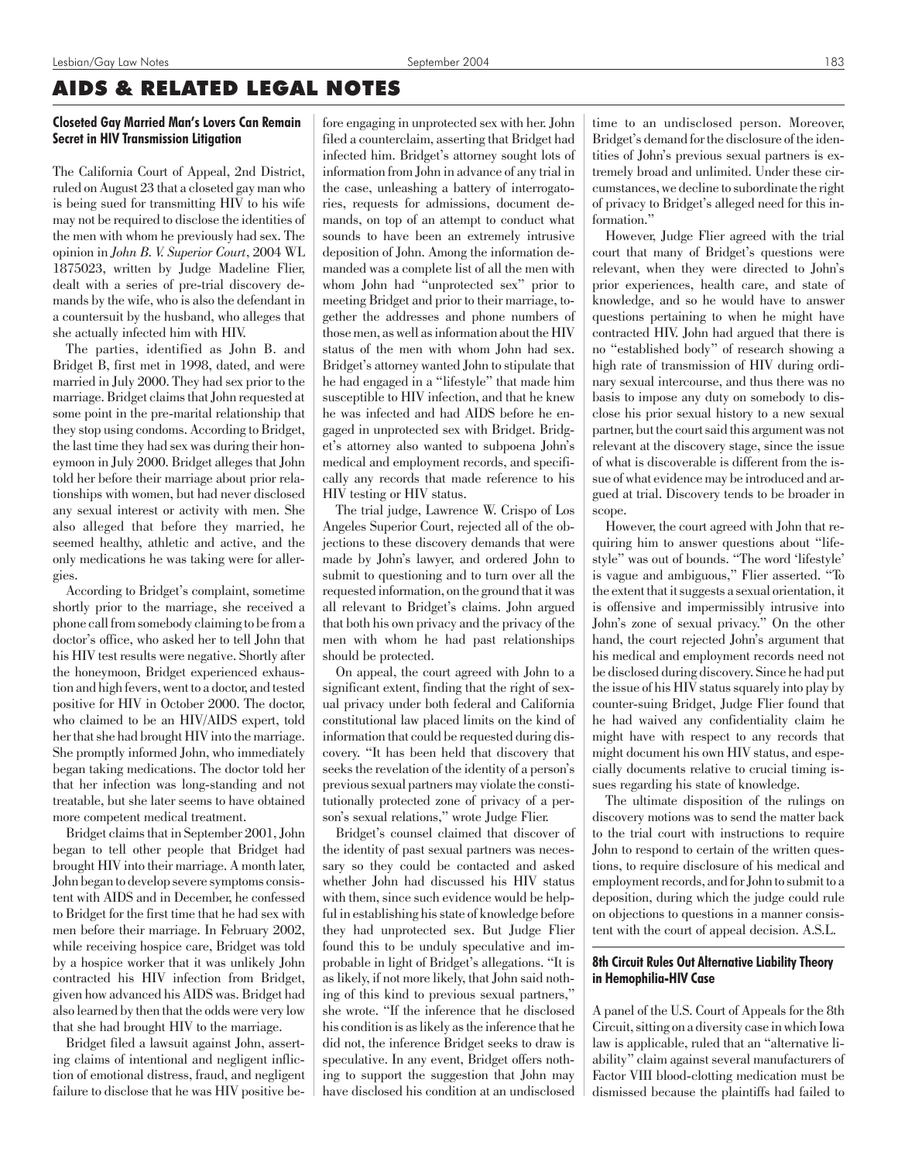# AIDS & RELATED LEGAL NOTES

# Closeted Gay Married Man's Lovers Can Remain Secret in HIV Transmission Litigation

The California Court of Appeal, 2nd District, ruled on August 23 that a closeted gay man who is being sued for transmitting HIV to his wife may not be required to disclose the identities of the men with whom he previously had sex. The opinion in *John B. V. Superior Court*, 2004 WL 1875023, written by Judge Madeline Flier, dealt with a series of pre-trial discovery demands by the wife, who is also the defendant in a countersuit by the husband, who alleges that she actually infected him with HIV.

The parties, identified as John B. and Bridget B, first met in 1998, dated, and were married in July 2000. They had sex prior to the marriage. Bridget claims that John requested at some point in the pre-marital relationship that they stop using condoms. According to Bridget, the last time they had sex was during their honeymoon in July 2000. Bridget alleges that John told her before their marriage about prior relationships with women, but had never disclosed any sexual interest or activity with men. She also alleged that before they married, he seemed healthy, athletic and active, and the only medications he was taking were for allergies.

According to Bridget's complaint, sometime shortly prior to the marriage, she received a phone call from somebody claiming to be from a doctor's office, who asked her to tell John that his HIV test results were negative. Shortly after the honeymoon, Bridget experienced exhaustion and high fevers, went to a doctor, and tested positive for HIV in October 2000. The doctor, who claimed to be an HIV/AIDS expert, told her that she had brought HIV into the marriage. She promptly informed John, who immediately began taking medications. The doctor told her that her infection was long-standing and not treatable, but she later seems to have obtained more competent medical treatment.

Bridget claims that in September 2001, John began to tell other people that Bridget had brought HIV into their marriage. A month later, John began to develop severe symptoms consistent with AIDS and in December, he confessed to Bridget for the first time that he had sex with men before their marriage. In February 2002, while receiving hospice care, Bridget was told by a hospice worker that it was unlikely John contracted his HIV infection from Bridget, given how advanced his AIDS was. Bridget had also learned by then that the odds were very low that she had brought HIV to the marriage.

Bridget filed a lawsuit against John, asserting claims of intentional and negligent infliction of emotional distress, fraud, and negligent failure to disclose that he was HIV positive before engaging in unprotected sex with her. John filed a counterclaim, asserting that Bridget had infected him. Bridget's attorney sought lots of information from John in advance of any trial in the case, unleashing a battery of interrogatories, requests for admissions, document demands, on top of an attempt to conduct what sounds to have been an extremely intrusive deposition of John. Among the information demanded was a complete list of all the men with whom John had "unprotected sex" prior to meeting Bridget and prior to their marriage, together the addresses and phone numbers of those men, as well as information about the HIV status of the men with whom John had sex. Bridget's attorney wanted John to stipulate that he had engaged in a "lifestyle" that made him susceptible to HIV infection, and that he knew he was infected and had AIDS before he engaged in unprotected sex with Bridget. Bridget's attorney also wanted to subpoena John's medical and employment records, and specifically any records that made reference to his HIV testing or HIV status.

The trial judge, Lawrence W. Crispo of Los Angeles Superior Court, rejected all of the objections to these discovery demands that were made by John's lawyer, and ordered John to submit to questioning and to turn over all the requested information, on the ground that it was all relevant to Bridget's claims. John argued that both his own privacy and the privacy of the men with whom he had past relationships should be protected.

On appeal, the court agreed with John to a significant extent, finding that the right of sexual privacy under both federal and California constitutional law placed limits on the kind of information that could be requested during discovery. "It has been held that discovery that seeks the revelation of the identity of a person's previous sexual partners may violate the constitutionally protected zone of privacy of a person's sexual relations," wrote Judge Flier.

Bridget's counsel claimed that discover of the identity of past sexual partners was necessary so they could be contacted and asked whether John had discussed his HIV status with them, since such evidence would be helpful in establishing his state of knowledge before they had unprotected sex. But Judge Flier found this to be unduly speculative and improbable in light of Bridget's allegations. "It is as likely, if not more likely, that John said nothing of this kind to previous sexual partners," she wrote. "If the inference that he disclosed his condition is as likely as the inference that he did not, the inference Bridget seeks to draw is speculative. In any event, Bridget offers nothing to support the suggestion that John may have disclosed his condition at an undisclosed

time to an undisclosed person. Moreover, Bridget's demand for the disclosure of the identities of John's previous sexual partners is extremely broad and unlimited. Under these circumstances, we decline to subordinate the right of privacy to Bridget's alleged need for this information."

However, Judge Flier agreed with the trial court that many of Bridget's questions were relevant, when they were directed to John's prior experiences, health care, and state of knowledge, and so he would have to answer questions pertaining to when he might have contracted HIV. John had argued that there is no "established body" of research showing a high rate of transmission of HIV during ordinary sexual intercourse, and thus there was no basis to impose any duty on somebody to disclose his prior sexual history to a new sexual partner, but the court said this argument was not relevant at the discovery stage, since the issue of what is discoverable is different from the issue of what evidence may be introduced and argued at trial. Discovery tends to be broader in scope.

However, the court agreed with John that requiring him to answer questions about "lifestyle" was out of bounds. "The word 'lifestyle' is vague and ambiguous," Flier asserted. "To the extent that it suggests a sexual orientation, it is offensive and impermissibly intrusive into John's zone of sexual privacy." On the other hand, the court rejected John's argument that his medical and employment records need not be disclosed during discovery. Since he had put the issue of his HIV status squarely into play by counter-suing Bridget, Judge Flier found that he had waived any confidentiality claim he might have with respect to any records that might document his own HIV status, and especially documents relative to crucial timing issues regarding his state of knowledge.

The ultimate disposition of the rulings on discovery motions was to send the matter back to the trial court with instructions to require John to respond to certain of the written questions, to require disclosure of his medical and employment records, and for John to submit to a deposition, during which the judge could rule on objections to questions in a manner consistent with the court of appeal decision. A.S.L.

# 8th Circuit Rules Out Alternative Liability Theory in Hemophilia-HIV Case

A panel of the U.S. Court of Appeals for the 8th Circuit, sitting on a diversity case in which Iowa law is applicable, ruled that an "alternative liability" claim against several manufacturers of Factor VIII blood-clotting medication must be dismissed because the plaintiffs had failed to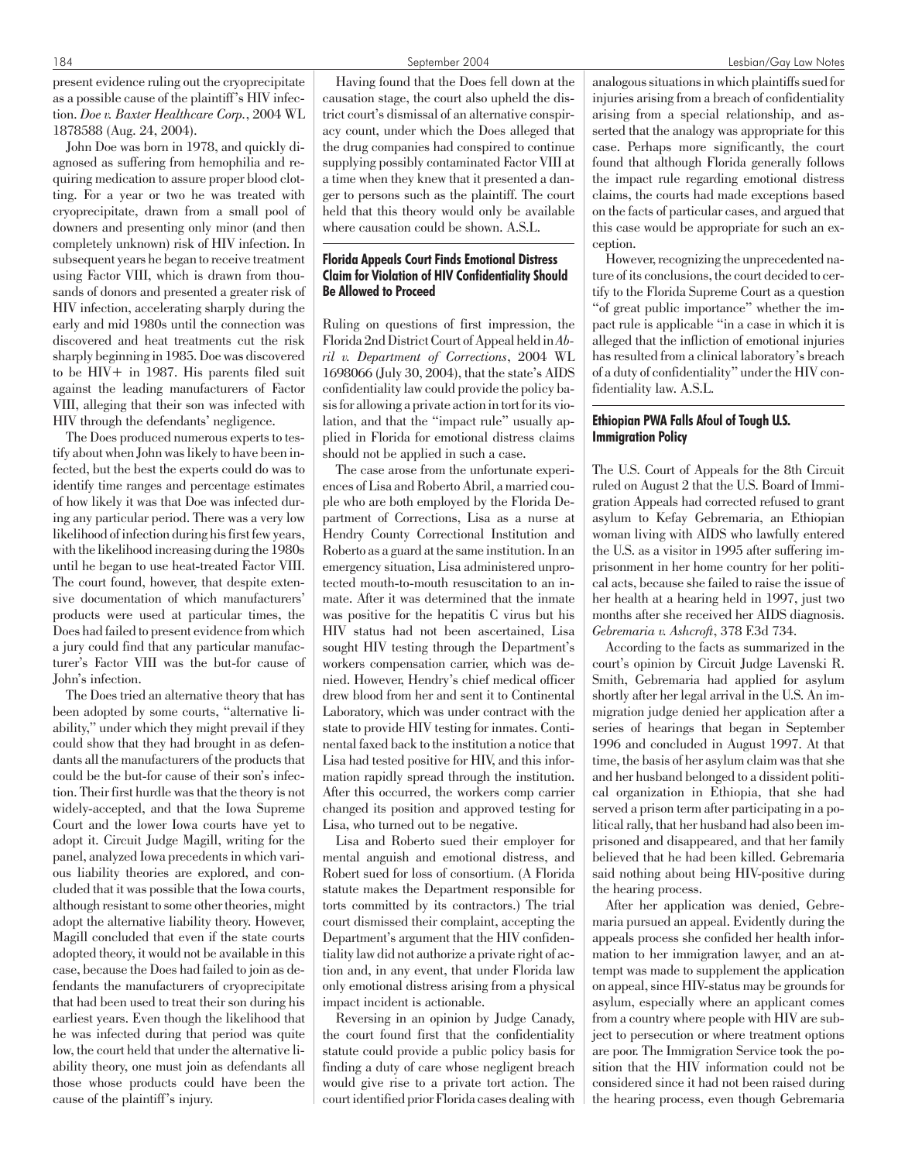John Doe was born in 1978, and quickly diagnosed as suffering from hemophilia and requiring medication to assure proper blood clotting. For a year or two he was treated with cryoprecipitate, drawn from a small pool of downers and presenting only minor (and then completely unknown) risk of HIV infection. In subsequent years he began to receive treatment using Factor VIII, which is drawn from thousands of donors and presented a greater risk of HIV infection, accelerating sharply during the early and mid 1980s until the connection was discovered and heat treatments cut the risk sharply beginning in 1985. Doe was discovered to be HIV+ in 1987. His parents filed suit against the leading manufacturers of Factor VIII, alleging that their son was infected with HIV through the defendants' negligence.

The Does produced numerous experts to testify about when John was likely to have been infected, but the best the experts could do was to identify time ranges and percentage estimates of how likely it was that Doe was infected during any particular period. There was a very low likelihood of infection during his first few years, with the likelihood increasing during the 1980s until he began to use heat-treated Factor VIII. The court found, however, that despite extensive documentation of which manufacturers' products were used at particular times, the Does had failed to present evidence from which a jury could find that any particular manufacturer's Factor VIII was the but-for cause of John's infection.

The Does tried an alternative theory that has been adopted by some courts, "alternative liability," under which they might prevail if they could show that they had brought in as defendants all the manufacturers of the products that could be the but-for cause of their son's infection. Their first hurdle was that the theory is not widely-accepted, and that the Iowa Supreme Court and the lower Iowa courts have yet to adopt it. Circuit Judge Magill, writing for the panel, analyzed Iowa precedents in which various liability theories are explored, and concluded that it was possible that the Iowa courts, although resistant to some other theories, might adopt the alternative liability theory. However, Magill concluded that even if the state courts adopted theory, it would not be available in this case, because the Does had failed to join as defendants the manufacturers of cryoprecipitate that had been used to treat their son during his earliest years. Even though the likelihood that he was infected during that period was quite low, the court held that under the alternative liability theory, one must join as defendants all those whose products could have been the cause of the plaintiff's injury.

Having found that the Does fell down at the causation stage, the court also upheld the district court's dismissal of an alternative conspiracy count, under which the Does alleged that the drug companies had conspired to continue supplying possibly contaminated Factor VIII at a time when they knew that it presented a danger to persons such as the plaintiff. The court held that this theory would only be available where causation could be shown. A.S.L.

# Florida Appeals Court Finds Emotional Distress Claim for Violation of HIV Confidentiality Should Be Allowed to Proceed

Ruling on questions of first impression, the Florida 2nd District Court of Appeal held in*Abril v. Department of Corrections*, 2004 WL 1698066 (July 30, 2004), that the state's AIDS confidentiality law could provide the policy basis for allowing a private action in tort for its violation, and that the "impact rule" usually applied in Florida for emotional distress claims should not be applied in such a case.

The case arose from the unfortunate experiences of Lisa and Roberto Abril, a married couple who are both employed by the Florida Department of Corrections, Lisa as a nurse at Hendry County Correctional Institution and Roberto as a guard at the same institution. In an emergency situation, Lisa administered unprotected mouth-to-mouth resuscitation to an inmate. After it was determined that the inmate was positive for the hepatitis C virus but his HIV status had not been ascertained, Lisa sought HIV testing through the Department's workers compensation carrier, which was denied. However, Hendry's chief medical officer drew blood from her and sent it to Continental Laboratory, which was under contract with the state to provide HIV testing for inmates. Continental faxed back to the institution a notice that Lisa had tested positive for HIV, and this information rapidly spread through the institution. After this occurred, the workers comp carrier changed its position and approved testing for Lisa, who turned out to be negative.

Lisa and Roberto sued their employer for mental anguish and emotional distress, and Robert sued for loss of consortium. (A Florida statute makes the Department responsible for torts committed by its contractors.) The trial court dismissed their complaint, accepting the Department's argument that the HIV confidentiality law did not authorize a private right of action and, in any event, that under Florida law only emotional distress arising from a physical impact incident is actionable.

Reversing in an opinion by Judge Canady, the court found first that the confidentiality statute could provide a public policy basis for finding a duty of care whose negligent breach would give rise to a private tort action. The court identified prior Florida cases dealing with analogous situations in which plaintiffs sued for injuries arising from a breach of confidentiality arising from a special relationship, and asserted that the analogy was appropriate for this case. Perhaps more significantly, the court found that although Florida generally follows the impact rule regarding emotional distress claims, the courts had made exceptions based on the facts of particular cases, and argued that this case would be appropriate for such an exception.

However, recognizing the unprecedented nature of its conclusions, the court decided to certify to the Florida Supreme Court as a question "of great public importance" whether the impact rule is applicable "in a case in which it is alleged that the infliction of emotional injuries has resulted from a clinical laboratory's breach of a duty of confidentiality" under the HIV confidentiality law. A.S.L.

# Ethiopian PWA Falls Afoul of Tough U.S. Immigration Policy

The U.S. Court of Appeals for the 8th Circuit ruled on August 2 that the U.S. Board of Immigration Appeals had corrected refused to grant asylum to Kefay Gebremaria, an Ethiopian woman living with AIDS who lawfully entered the U.S. as a visitor in 1995 after suffering imprisonment in her home country for her political acts, because she failed to raise the issue of her health at a hearing held in 1997, just two months after she received her AIDS diagnosis. *Gebremaria v. Ashcroft*, 378 F.3d 734.

According to the facts as summarized in the court's opinion by Circuit Judge Lavenski R. Smith, Gebremaria had applied for asylum shortly after her legal arrival in the U.S. An immigration judge denied her application after a series of hearings that began in September 1996 and concluded in August 1997. At that time, the basis of her asylum claim was that she and her husband belonged to a dissident political organization in Ethiopia, that she had served a prison term after participating in a political rally, that her husband had also been imprisoned and disappeared, and that her family believed that he had been killed. Gebremaria said nothing about being HIV-positive during the hearing process.

After her application was denied, Gebremaria pursued an appeal. Evidently during the appeals process she confided her health information to her immigration lawyer, and an attempt was made to supplement the application on appeal, since HIV-status may be grounds for asylum, especially where an applicant comes from a country where people with HIV are subject to persecution or where treatment options are poor. The Immigration Service took the position that the HIV information could not be considered since it had not been raised during the hearing process, even though Gebremaria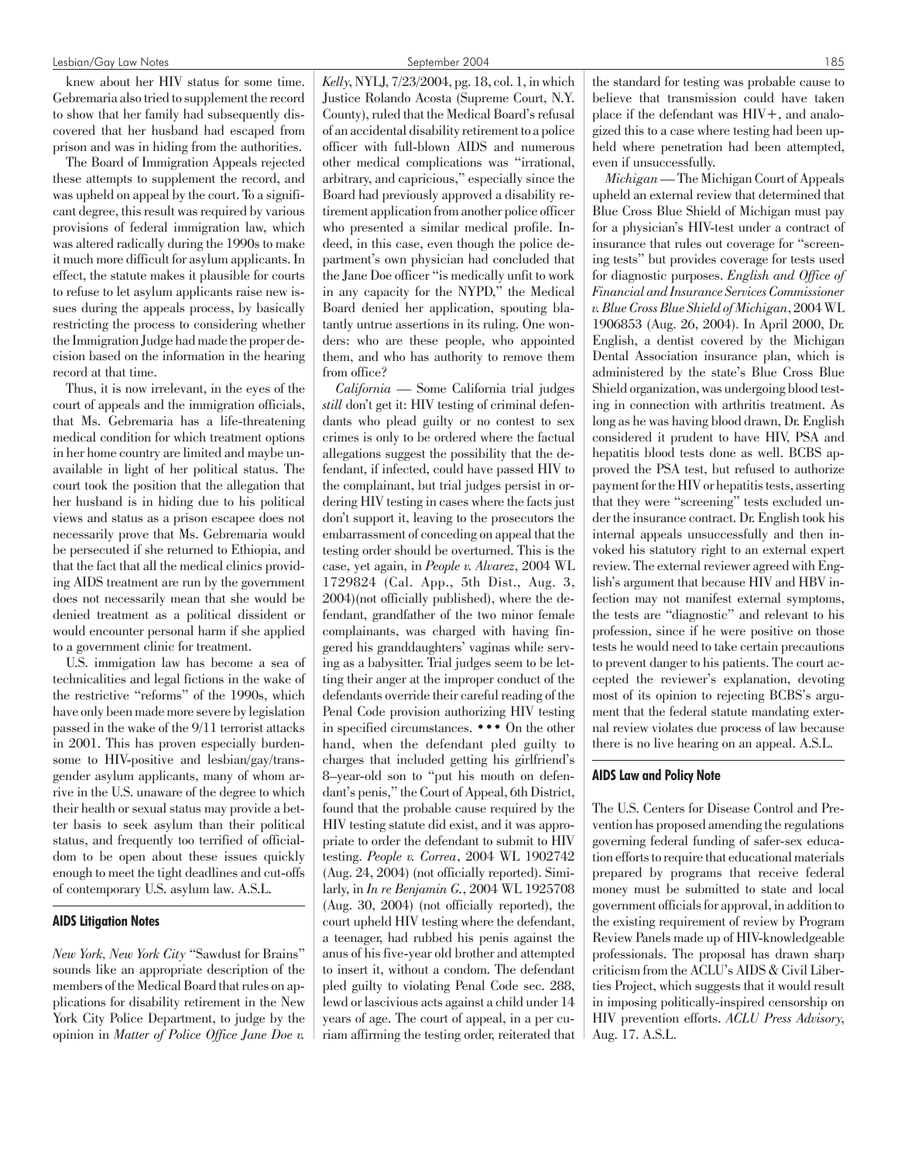knew about her HIV status for some time. Gebremaria also tried to supplement the record to show that her family had subsequently discovered that her husband had escaped from prison and was in hiding from the authorities.

The Board of Immigration Appeals rejected these attempts to supplement the record, and was upheld on appeal by the court. To a significant degree, this result was required by various provisions of federal immigration law, which was altered radically during the 1990s to make it much more difficult for asylum applicants. In effect, the statute makes it plausible for courts to refuse to let asylum applicants raise new issues during the appeals process, by basically restricting the process to considering whether the Immigration Judge had made the proper decision based on the information in the hearing record at that time.

Thus, it is now irrelevant, in the eyes of the court of appeals and the immigration officials, that Ms. Gebremaria has a life-threatening medical condition for which treatment options in her home country are limited and maybe unavailable in light of her political status. The court took the position that the allegation that her husband is in hiding due to his political views and status as a prison escapee does not necessarily prove that Ms. Gebremaria would be persecuted if she returned to Ethiopia, and that the fact that all the medical clinics providing AIDS treatment are run by the government does not necessarily mean that she would be denied treatment as a political dissident or would encounter personal harm if she applied to a government clinic for treatment.

U.S. immigation law has become a sea of technicalities and legal fictions in the wake of the restrictive "reforms" of the 1990s, which have only been made more severe by legislation passed in the wake of the 9/11 terrorist attacks in 2001. This has proven especially burdensome to HIV-positive and lesbian/gay/transgender asylum applicants, many of whom arrive in the U.S. unaware of the degree to which their health or sexual status may provide a better basis to seek asylum than their political status, and frequently too terrified of officialdom to be open about these issues quickly enough to meet the tight deadlines and cut-offs of contemporary U.S. asylum law. A.S.L.

#### AIDS Litigation Notes

*New York, New York City* "Sawdust for Brains" sounds like an appropriate description of the members of the Medical Board that rules on applications for disability retirement in the New York City Police Department, to judge by the opinion in *Matter of Police Office Jane Doe v.* *Kelly*, NYLJ, 7/23/2004, pg. 18, col. 1, in which Justice Rolando Acosta (Supreme Court, N.Y. County), ruled that the Medical Board's refusal of an accidental disability retirement to a police officer with full-blown AIDS and numerous other medical complications was "irrational, arbitrary, and capricious," especially since the Board had previously approved a disability retirement application from another police officer who presented a similar medical profile. Indeed, in this case, even though the police department's own physician had concluded that the Jane Doe officer "is medically unfit to work in any capacity for the NYPD," the Medical Board denied her application, spouting blatantly untrue assertions in its ruling. One wonders: who are these people, who appointed them, and who has authority to remove them from office?

*California* — Some California trial judges *still* don't get it: HIV testing of criminal defendants who plead guilty or no contest to sex crimes is only to be ordered where the factual allegations suggest the possibility that the defendant, if infected, could have passed HIV to the complainant, but trial judges persist in ordering HIV testing in cases where the facts just don't support it, leaving to the prosecutors the embarrassment of conceding on appeal that the testing order should be overturned. This is the case, yet again, in *People v. Alvarez*, 2004 WL 1729824 (Cal. App., 5th Dist., Aug. 3, 2004)(not officially published), where the defendant, grandfather of the two minor female complainants, was charged with having fingered his granddaughters' vaginas while serving as a babysitter. Trial judges seem to be letting their anger at the improper conduct of the defendants override their careful reading of the Penal Code provision authorizing HIV testing in specified circumstances. ••• On the other hand, when the defendant pled guilty to charges that included getting his girlfriend's 8–year-old son to "put his mouth on defendant's penis," the Court of Appeal, 6th District, found that the probable cause required by the HIV testing statute did exist, and it was appropriate to order the defendant to submit to HIV testing. *People v. Correa*, 2004 WL 1902742 (Aug. 24, 2004) (not officially reported). Similarly, in *In re Benjamin G.*, 2004 WL 1925708 (Aug. 30, 2004) (not officially reported), the court upheld HIV testing where the defendant, a teenager, had rubbed his penis against the anus of his five-year old brother and attempted to insert it, without a condom. The defendant pled guilty to violating Penal Code sec. 288, lewd or lascivious acts against a child under 14 years of age. The court of appeal, in a per curiam affirming the testing order, reiterated that the standard for testing was probable cause to believe that transmission could have taken place if the defendant was HIV+, and analogized this to a case where testing had been upheld where penetration had been attempted, even if unsuccessfully.

*Michigan*— The Michigan Court of Appeals upheld an external review that determined that Blue Cross Blue Shield of Michigan must pay for a physician's HIV-test under a contract of insurance that rules out coverage for "screening tests" but provides coverage for tests used for diagnostic purposes. *English and Office of Financial and Insurance Services Commissioner v. Blue Cross Blue Shield of Michigan*, 2004 WL 1906853 (Aug. 26, 2004). In April 2000, Dr. English, a dentist covered by the Michigan Dental Association insurance plan, which is administered by the state's Blue Cross Blue Shield organization, was undergoing blood testing in connection with arthritis treatment. As long as he was having blood drawn, Dr. English considered it prudent to have HIV, PSA and hepatitis blood tests done as well. BCBS approved the PSA test, but refused to authorize payment for the HIV or hepatitis tests, asserting that they were "screening" tests excluded under the insurance contract. Dr. English took his internal appeals unsuccessfully and then invoked his statutory right to an external expert review. The external reviewer agreed with English's argument that because HIV and HBV infection may not manifest external symptoms, the tests are "diagnostic" and relevant to his profession, since if he were positive on those tests he would need to take certain precautions to prevent danger to his patients. The court accepted the reviewer's explanation, devoting most of its opinion to rejecting BCBS's argument that the federal statute mandating external review violates due process of law because there is no live hearing on an appeal. A.S.L.

## AIDS Law and Policy Note

The U.S. Centers for Disease Control and Prevention has proposed amending the regulations governing federal funding of safer-sex education efforts to require that educational materials prepared by programs that receive federal money must be submitted to state and local government officials for approval, in addition to the existing requirement of review by Program Review Panels made up of HIV-knowledgeable professionals. The proposal has drawn sharp criticism from the ACLU's AIDS & Civil Liberties Project, which suggests that it would result in imposing politically-inspired censorship on HIV prevention efforts. *ACLU Press Advisory*, Aug. 17. A.S.L.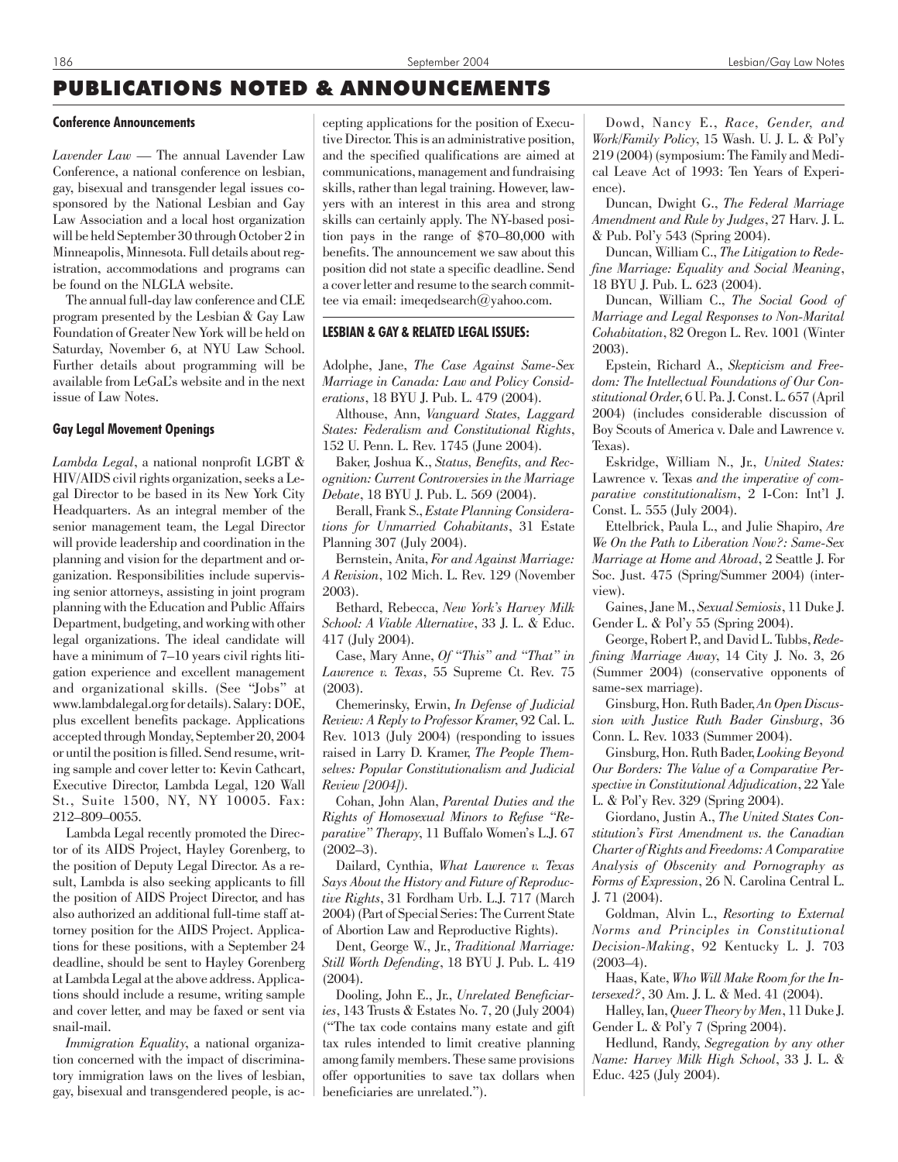# PUBLICATIONS NOTED & ANNOUNCEMENTS

#### Conference Announcements

*Lavender Law* — The annual Lavender Law Conference, a national conference on lesbian, gay, bisexual and transgender legal issues cosponsored by the National Lesbian and Gay Law Association and a local host organization will be held September 30 through October 2 in Minneapolis, Minnesota. Full details about registration, accommodations and programs can be found on the NLGLA website.

The annual full-day law conference and CLE program presented by the Lesbian & Gay Law Foundation of Greater New York will be held on Saturday, November 6, at NYU Law School. Further details about programming will be available from LeGaL's website and in the next issue of Law Notes.

#### Gay Legal Movement Openings

*Lambda Legal*, a national nonprofit LGBT & HIV/AIDS civil rights organization, seeks a Legal Director to be based in its New York City Headquarters. As an integral member of the senior management team, the Legal Director will provide leadership and coordination in the planning and vision for the department and organization. Responsibilities include supervising senior attorneys, assisting in joint program planning with the Education and Public Affairs Department, budgeting, and working with other legal organizations. The ideal candidate will have a minimum of 7–10 years civil rights litigation experience and excellent management and organizational skills. (See "Jobs" at www.lambdalegal.org for details). Salary: DOE, plus excellent benefits package. Applications accepted through Monday, September 20, 2004 or until the position is filled. Send resume, writing sample and cover letter to: Kevin Cathcart, Executive Director, Lambda Legal, 120 Wall St., Suite 1500, NY, NY 10005. Fax: 212–809–0055.

Lambda Legal recently promoted the Director of its AIDS Project, Hayley Gorenberg, to the position of Deputy Legal Director. As a result, Lambda is also seeking applicants to fill the position of AIDS Project Director, and has also authorized an additional full-time staff attorney position for the AIDS Project. Applications for these positions, with a September 24 deadline, should be sent to Hayley Gorenberg at Lambda Legal at the above address. Applications should include a resume, writing sample and cover letter, and may be faxed or sent via snail-mail.

*Immigration Equality*, a national organization concerned with the impact of discriminatory immigration laws on the lives of lesbian, gay, bisexual and transgendered people, is ac-

cepting applications for the position of Executive Director. This is an administrative position, and the specified qualifications are aimed at communications, management and fundraising skills, rather than legal training. However, lawyers with an interest in this area and strong skills can certainly apply. The NY-based position pays in the range of \$70–80,000 with benefits. The announcement we saw about this position did not state a specific deadline. Send a cover letter and resume to the search committee via email: imegedsearch@yahoo.com.

# LESBIAN & GAY & RELATED LEGAL ISSUES:

Adolphe, Jane, *The Case Against Same-Sex Marriage in Canada: Law and Policy Considerations*, 18 BYU J. Pub. L. 479 (2004).

Althouse, Ann, *Vanguard States, Laggard States: Federalism and Constitutional Rights*, 152 U. Penn. L. Rev. 1745 (June 2004).

Baker, Joshua K., *Status, Benefits, and Recognition: Current Controversies in the Marriage Debate*, 18 BYU J. Pub. L. 569 (2004).

Berall, Frank S., *Estate Planning Considerations for Unmarried Cohabitants*, 31 Estate Planning 307 (July 2004).

Bernstein, Anita, *For and Against Marriage: A Revision*, 102 Mich. L. Rev. 129 (November 2003).

Bethard, Rebecca, *New York's Harvey Milk School: A Viable Alternative*, 33 J. L. & Educ. 417 (July 2004).

Case, Mary Anne, *Of "This" and "That" in Lawrence v. Texas*, 55 Supreme Ct. Rev. 75 (2003).

Chemerinsky, Erwin, *In Defense of Judicial Review: A Reply to Professor Kramer*, 92 Cal. L. Rev. 1013 (July 2004) (responding to issues raised in Larry D. Kramer, *The People Themselves: Popular Constitutionalism and Judicial Review [2004]).*

Cohan, John Alan, *Parental Duties and the Rights of Homosexual Minors to Refuse "Reparative" Therapy*, 11 Buffalo Women's L.J. 67 (2002–3).

Dailard, Cynthia, *What Lawrence v. Texas Says About the History and Future of Reproductive Rights*, 31 Fordham Urb. L.J. 717 (March 2004) (Part of Special Series: The Current State of Abortion Law and Reproductive Rights).

Dent, George W., Jr., *Traditional Marriage: Still Worth Defending*, 18 BYU J. Pub. L. 419 (2004).

Dooling, John E., Jr., *Unrelated Beneficiaries*, 143 Trusts & Estates No. 7, 20 (July 2004) ("The tax code contains many estate and gift tax rules intended to limit creative planning among family members. These same provisions offer opportunities to save tax dollars when beneficiaries are unrelated.").

Dowd, Nancy E., *Race, Gender, and Work/Family Policy*, 15 Wash. U. J. L. & Pol'y 219 (2004) (symposium: The Family and Medical Leave Act of 1993: Ten Years of Experience).

Duncan, Dwight G., *The Federal Marriage Amendment and Rule by Judges*, 27 Harv. J. L. & Pub. Pol'y 543 (Spring 2004).

Duncan, William C., *The Litigation to Redefine Marriage: Equality and Social Meaning*, 18 BYU J. Pub. L. 623 (2004).

Duncan, William C., *The Social Good of Marriage and Legal Responses to Non-Marital Cohabitation*, 82 Oregon L. Rev. 1001 (Winter 2003).

Epstein, Richard A., *Skepticism and Freedom: The Intellectual Foundations of Our Constitutional Order*, 6 U. Pa. J. Const. L. 657 (April 2004) (includes considerable discussion of Boy Scouts of America v. Dale and Lawrence v. Texas).

Eskridge, William N., Jr., *United States:* Lawrence v. Texas *and the imperative of comparative constitutionalism*, 2 I-Con: Int'l J. Const. L. 555 (July 2004).

Ettelbrick, Paula L., and Julie Shapiro, *Are We On the Path to Liberation Now?: Same-Sex Marriage at Home and Abroad*, 2 Seattle J. For Soc. Just. 475 (Spring/Summer 2004) (interview).

Gaines, Jane M., *Sexual Semiosis*, 11 Duke J. Gender L. & Pol'y 55 (Spring 2004).

George, Robert P., and David L. Tubbs, *Redefining Marriage Away*, 14 City J. No. 3, 26 (Summer 2004) (conservative opponents of same-sex marriage).

Ginsburg, Hon. Ruth Bader, *An Open Discussion with Justice Ruth Bader Ginsburg*, 36 Conn. L. Rev. 1033 (Summer 2004).

Ginsburg, Hon. Ruth Bader, *Looking Beyond Our Borders: The Value of a Comparative Perspective in Constitutional Adjudication*, 22 Yale L. & Pol'y Rev. 329 (Spring 2004).

Giordano, Justin A., *The United States Constitution's First Amendment vs. the Canadian Charter of Rights and Freedoms: A Comparative Analysis of Obscenity and Pornography as Forms of Expression*, 26 N. Carolina Central L. J. 71 (2004).

Goldman, Alvin L., *Resorting to External Norms and Principles in Constitutional Decision-Making*, 92 Kentucky L. J. 703  $(2003-4)$ .

Haas, Kate, *Who Will Make Room for the Intersexed?*, 30 Am. J. L. & Med. 41 (2004).

Halley, Ian,*Queer Theory by Men*, 11 Duke J. Gender L. & Pol'y 7 (Spring 2004).

Hedlund, Randy, *Segregation by any other Name: Harvey Milk High School*, 33 J. L. & Educ. 425 (July 2004).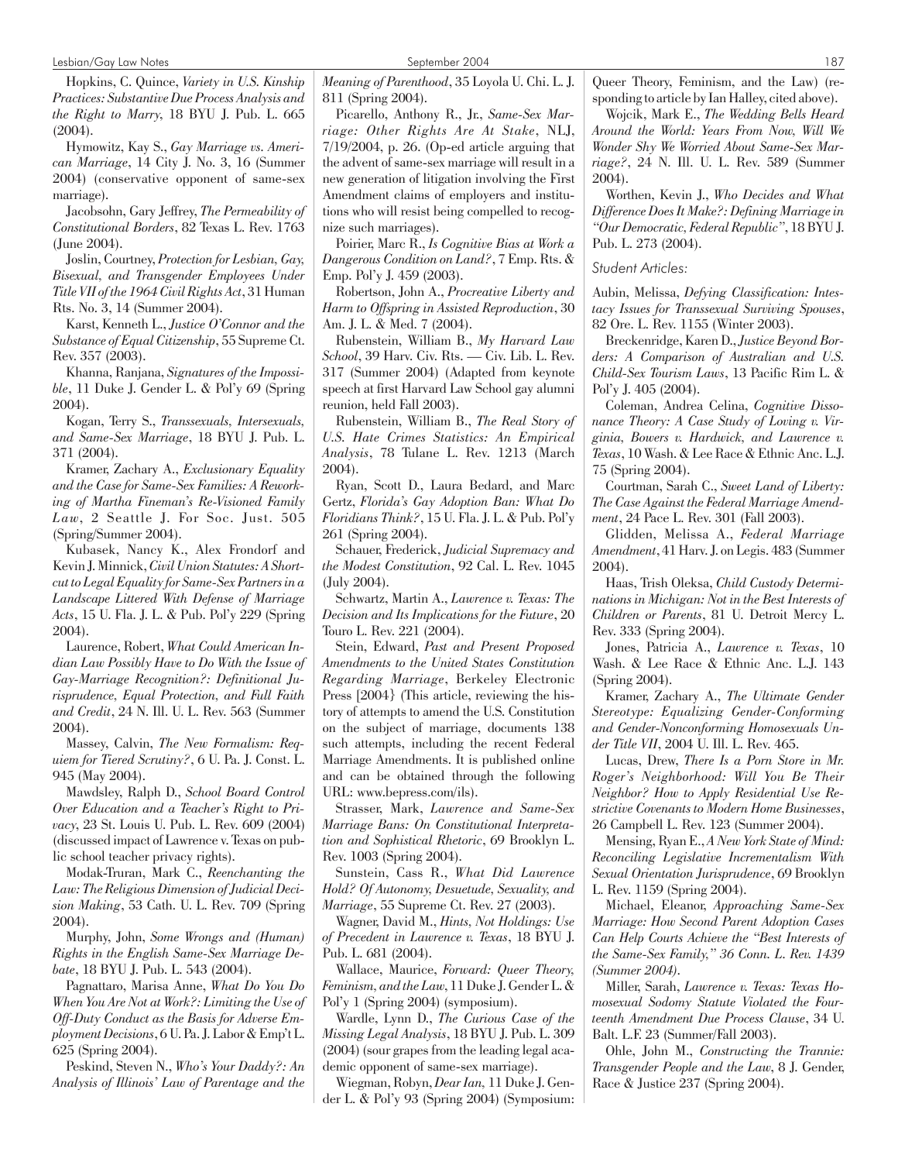Hopkins, C. Quince, *Variety in U.S. Kinship Practices: Substantive Due Process Analysis and the Right to Marry*, 18 BYU J. Pub. L. 665 (2004).

Hymowitz, Kay S., *Gay Marriage vs. American Marriage*, 14 City J. No. 3, 16 (Summer 2004) (conservative opponent of same-sex marriage).

Jacobsohn, Gary Jeffrey, *The Permeability of Constitutional Borders*, 82 Texas L. Rev. 1763 (June 2004).

Joslin, Courtney, *Protection for Lesbian, Gay, Bisexual, and Transgender Employees Under Title VII of the 1964 Civil Rights Act*, 31 Human Rts. No. 3, 14 (Summer 2004).

Karst, Kenneth L., *Justice O'Connor and the Substance of Equal Citizenship*, 55 Supreme Ct. Rev. 357 (2003).

Khanna, Ranjana, *Signatures of the Impossible*, 11 Duke J. Gender L. & Pol'y 69 (Spring 2004).

Kogan, Terry S., *Transsexuals, Intersexuals, and Same-Sex Marriage*, 18 BYU J. Pub. L. 371 (2004).

Kramer, Zachary A., *Exclusionary Equality and the Case for Same-Sex Families: A Reworking of Martha Fineman's Re-Visioned Family Law*, 2 Seattle J. For Soc. Just. 505 (Spring/Summer 2004).

Kubasek, Nancy K., Alex Frondorf and Kevin J. Minnick,*Civil Union Statutes: A Shortcut to Legal Equality for Same-Sex Partners in a Landscape Littered With Defense of Marriage Acts*, 15 U. Fla. J. L. & Pub. Pol'y 229 (Spring 2004).

Laurence, Robert, *What Could American Indian Law Possibly Have to Do With the Issue of Gay-Marriage Recognition?: Definitional Jurisprudence, Equal Protection, and Full Faith and Credit*, 24 N. Ill. U. L. Rev. 563 (Summer 2004).

Massey, Calvin, *The New Formalism: Requiem for Tiered Scrutiny?*, 6 U. Pa. J. Const. L. 945 (May 2004).

Mawdsley, Ralph D., *School Board Control Over Education and a Teacher's Right to Privacy*, 23 St. Louis U. Pub. L. Rev. 609 (2004) (discussed impact of Lawrence v. Texas on public school teacher privacy rights).

Modak-Truran, Mark C., *Reenchanting the Law: The Religious Dimension of Judicial Decision Making*, 53 Cath. U. L. Rev. 709 (Spring 2004).

Murphy, John, *Some Wrongs and (Human) Rights in the English Same-Sex Marriage Debate*, 18 BYU J. Pub. L. 543 (2004).

Pagnattaro, Marisa Anne, *What Do You Do When You Are Not at Work?: Limiting the Use of Off-Duty Conduct as the Basis for Adverse Employment Decisions*, 6 U. Pa. J. Labor & Emp't L. 625 (Spring 2004).

Peskind, Steven N., *Who's Your Daddy?: An Analysis of Illinois' Law of Parentage and the* *Meaning of Parenthood*, 35 Loyola U. Chi. L. J. 811 (Spring 2004).

Picarello, Anthony R., Jr., *Same-Sex Marriage: Other Rights Are At Stake*, NLJ, 7/19/2004, p. 26. (Op-ed article arguing that the advent of same-sex marriage will result in a new generation of litigation involving the First Amendment claims of employers and institutions who will resist being compelled to recognize such marriages).

Poirier, Marc R., *Is Cognitive Bias at Work a Dangerous Condition on Land?*, 7 Emp. Rts. & Emp. Pol'y J. 459 (2003).

Robertson, John A., *Procreative Liberty and Harm to Offspring in Assisted Reproduction*, 30 Am. J. L. & Med. 7 (2004).

Rubenstein, William B., *My Harvard Law School*, 39 Harv. Civ. Rts. — Civ. Lib. L. Rev. 317 (Summer 2004) (Adapted from keynote speech at first Harvard Law School gay alumni reunion, held Fall 2003).

Rubenstein, William B., *The Real Story of U.S. Hate Crimes Statistics: An Empirical Analysis*, 78 Tulane L. Rev. 1213 (March 2004).

Ryan, Scott D., Laura Bedard, and Marc Gertz, *Florida's Gay Adoption Ban: What Do Floridians Think?*, 15 U. Fla. J. L. & Pub. Pol'y 261 (Spring 2004).

Schauer, Frederick, *Judicial Supremacy and the Modest Constitution*, 92 Cal. L. Rev. 1045 (July 2004).

Schwartz, Martin A., *Lawrence v. Texas: The Decision and Its Implications for the Future*, 20 Touro L. Rev. 221 (2004).

Stein, Edward, *Past and Present Proposed Amendments to the United States Constitution Regarding Marriage*, Berkeley Electronic Press [2004} (This article, reviewing the history of attempts to amend the U.S. Constitution on the subject of marriage, documents 138 such attempts, including the recent Federal Marriage Amendments. It is published online and can be obtained through the following URL: www.bepress.com/ils).

Strasser, Mark, *Lawrence and Same-Sex Marriage Bans: On Constitutional Interpretation and Sophistical Rhetoric*, 69 Brooklyn L. Rev. 1003 (Spring 2004).

Sunstein, Cass R., *What Did Lawrence Hold? Of Autonomy, Desuetude, Sexuality, and Marriage*, 55 Supreme Ct. Rev. 27 (2003).

Wagner, David M., *Hints, Not Holdings: Use of Precedent in Lawrence v. Texas*, 18 BYU J. Pub. L. 681 (2004).

Wallace, Maurice, *Forward: Queer Theory, Feminism, and the Law*, 11 Duke J. Gender L. & Pol'y 1 (Spring 2004) (symposium).

Wardle, Lynn D., *The Curious Case of the Missing Legal Analysis*, 18 BYU J. Pub. L. 309 (2004) (sour grapes from the leading legal academic opponent of same-sex marriage).

Wiegman, Robyn,*Dear Ian,* 11 Duke J. Gender L. & Pol'y 93 (Spring 2004) (Symposium: Queer Theory, Feminism, and the Law) (responding to article by Ian Halley, cited above).

Wojcik, Mark E., *The Wedding Bells Heard Around the World: Years From Now, Will We Wonder Shy We Worried About Same-Sex Marriage?*, 24 N. Ill. U. L. Rev. 589 (Summer 2004).

Worthen, Kevin J., *Who Decides and What Difference Does It Make?: Defining Marriage in "Our Democratic, Federal Republic"*, 18 BYU J. Pub. L. 273 (2004).

*Student Articles:*

Aubin, Melissa, *Defying Classification: Intestacy Issues for Transsexual Surviving Spouses*, 82 Ore. L. Rev. 1155 (Winter 2003).

Breckenridge, Karen D.,*Justice Beyond Borders: A Comparison of Australian and U.S. Child-Sex Tourism Laws*, 13 Pacific Rim L. & Pol'y J. 405 (2004).

Coleman, Andrea Celina, *Cognitive Dissonance Theory: A Case Study of Loving v. Virginia, Bowers v. Hardwick, and Lawrence v. Texas*, 10 Wash. & Lee Race & Ethnic Anc. L.J. 75 (Spring 2004).

Courtman, Sarah C., *Sweet Land of Liberty: The Case Against the Federal Marriage Amendment*, 24 Pace L. Rev. 301 (Fall 2003).

Glidden, Melissa A., *Federal Marriage Amendment*, 41 Harv. J. on Legis. 483 (Summer 2004).

Haas, Trish Oleksa, *Child Custody Determinations in Michigan: Not in the Best Interests of Children or Parents*, 81 U. Detroit Mercy L. Rev. 333 (Spring 2004).

Jones, Patricia A., *Lawrence v. Texas*, 10 Wash. & Lee Race & Ethnic Anc. L.J. 143 (Spring 2004).

Kramer, Zachary A., *The Ultimate Gender Stereotype: Equalizing Gender-Conforming and Gender-Nonconforming Homosexuals Under Title VII*, 2004 U. Ill. L. Rev. 465.

Lucas, Drew, *There Is a Porn Store in Mr. Roger's Neighborhood: Will You Be Their Neighbor? How to Apply Residential Use Restrictive Covenants to Modern Home Businesses*, 26 Campbell L. Rev. 123 (Summer 2004).

Mensing, Ryan E., *A New York State of Mind: Reconciling Legislative Incrementalism With Sexual Orientation Jurisprudence*, 69 Brooklyn L. Rev. 1159 (Spring 2004).

Michael, Eleanor, *Approaching Same-Sex Marriage: How Second Parent Adoption Cases Can Help Courts Achieve the "Best Interests of the Same-Sex Family," 36 Conn. L. Rev. 1439 (Summer 2004).*

Miller, Sarah, *Lawrence v. Texas: Texas Homosexual Sodomy Statute Violated the Fourteenth Amendment Due Process Clause*, 34 U. Balt. L.F. 23 (Summer/Fall 2003).

Ohle, John M., *Constructing the Trannie: Transgender People and the Law*, 8 J. Gender, Race & Justice 237 (Spring 2004).